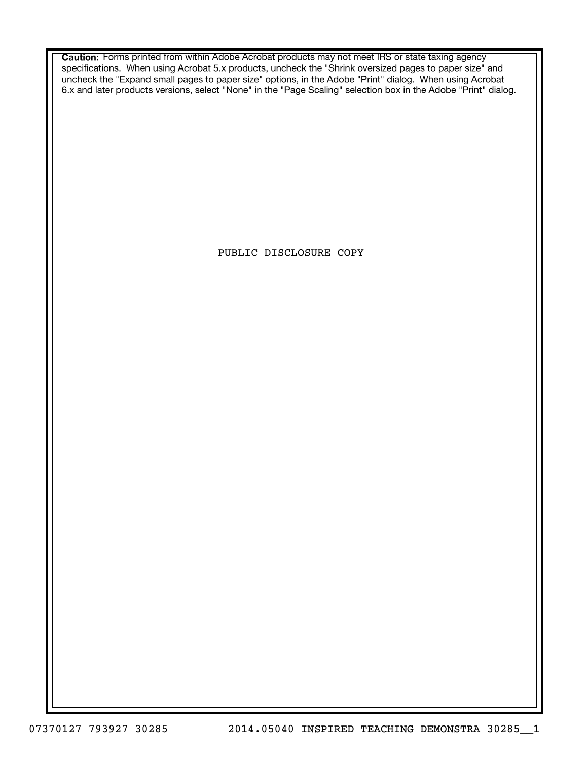**Caution:** Forms printed from within Adobe Acrobat products may not meet IRS or state taxing agency specifications. When using Acrobat 5.x products, uncheck the "Shrink oversized pages to paper size" and uncheck the "Expand small pages to paper size" options, in the Adobe "Print" dialog. When using Acrobat 6.x and later products versions, select "None" in the "Page Scaling" selection box in the Adobe "Print" dialog.

PUBLIC DISCLOSURE COPY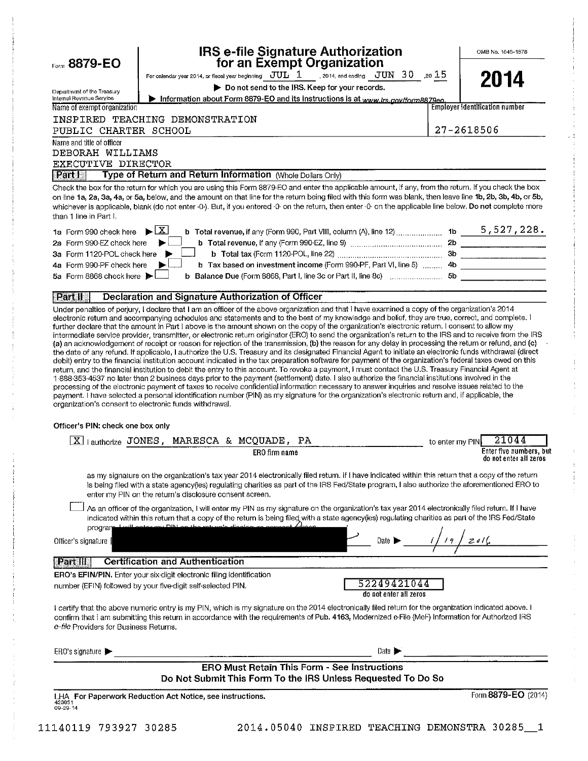| Form 8879-EO                           | <b>IRS e-file Signature Authorization<br/>for an Exempt Organization</b>                                                                                                                                                                                                                                                                                                                                                                                                                                                                                                                                                                                                                                                                                                                                                                                                                                                                                                                                                                                                                                                                                                                                                                                                                                                                                                                                                                                                                                                                                                                                                                                                                                                                                                             | OMB No. 1545-1878                                 |
|----------------------------------------|--------------------------------------------------------------------------------------------------------------------------------------------------------------------------------------------------------------------------------------------------------------------------------------------------------------------------------------------------------------------------------------------------------------------------------------------------------------------------------------------------------------------------------------------------------------------------------------------------------------------------------------------------------------------------------------------------------------------------------------------------------------------------------------------------------------------------------------------------------------------------------------------------------------------------------------------------------------------------------------------------------------------------------------------------------------------------------------------------------------------------------------------------------------------------------------------------------------------------------------------------------------------------------------------------------------------------------------------------------------------------------------------------------------------------------------------------------------------------------------------------------------------------------------------------------------------------------------------------------------------------------------------------------------------------------------------------------------------------------------------------------------------------------------|---------------------------------------------------|
|                                        | For calendar year 2014, or fiscal year beginning $JUL-1$ , 2014, and ending $JUN-30$ , 20 $15$                                                                                                                                                                                                                                                                                                                                                                                                                                                                                                                                                                                                                                                                                                                                                                                                                                                                                                                                                                                                                                                                                                                                                                                                                                                                                                                                                                                                                                                                                                                                                                                                                                                                                       |                                                   |
| Department of the Treasury             | Do not send to the IRS. Keep for your records.                                                                                                                                                                                                                                                                                                                                                                                                                                                                                                                                                                                                                                                                                                                                                                                                                                                                                                                                                                                                                                                                                                                                                                                                                                                                                                                                                                                                                                                                                                                                                                                                                                                                                                                                       | 2014                                              |
| Internal Revenue Service               | Information about Form 8879-EO and its instructions is at $www.irs.gov/formB879e0$ .                                                                                                                                                                                                                                                                                                                                                                                                                                                                                                                                                                                                                                                                                                                                                                                                                                                                                                                                                                                                                                                                                                                                                                                                                                                                                                                                                                                                                                                                                                                                                                                                                                                                                                 |                                                   |
| Name of exempt organization            |                                                                                                                                                                                                                                                                                                                                                                                                                                                                                                                                                                                                                                                                                                                                                                                                                                                                                                                                                                                                                                                                                                                                                                                                                                                                                                                                                                                                                                                                                                                                                                                                                                                                                                                                                                                      | <b>Employer identification number</b>             |
|                                        | INSPIRED TEACHING DEMONSTRATION                                                                                                                                                                                                                                                                                                                                                                                                                                                                                                                                                                                                                                                                                                                                                                                                                                                                                                                                                                                                                                                                                                                                                                                                                                                                                                                                                                                                                                                                                                                                                                                                                                                                                                                                                      |                                                   |
| PUBLIC CHARTER SCHOOL                  |                                                                                                                                                                                                                                                                                                                                                                                                                                                                                                                                                                                                                                                                                                                                                                                                                                                                                                                                                                                                                                                                                                                                                                                                                                                                                                                                                                                                                                                                                                                                                                                                                                                                                                                                                                                      | 27-2618506                                        |
| Name and title of officer              |                                                                                                                                                                                                                                                                                                                                                                                                                                                                                                                                                                                                                                                                                                                                                                                                                                                                                                                                                                                                                                                                                                                                                                                                                                                                                                                                                                                                                                                                                                                                                                                                                                                                                                                                                                                      |                                                   |
| DEBORAH WILLIAMS                       |                                                                                                                                                                                                                                                                                                                                                                                                                                                                                                                                                                                                                                                                                                                                                                                                                                                                                                                                                                                                                                                                                                                                                                                                                                                                                                                                                                                                                                                                                                                                                                                                                                                                                                                                                                                      |                                                   |
| EXECUTIVE DIRECTOR<br>Parti            | Type of Return and Return Information (Whole Dollars Only)                                                                                                                                                                                                                                                                                                                                                                                                                                                                                                                                                                                                                                                                                                                                                                                                                                                                                                                                                                                                                                                                                                                                                                                                                                                                                                                                                                                                                                                                                                                                                                                                                                                                                                                           |                                                   |
|                                        | Check the box for the return for which you are using this Form 8879-EO and enter the applicable amount, if any, from the return. If you check the box                                                                                                                                                                                                                                                                                                                                                                                                                                                                                                                                                                                                                                                                                                                                                                                                                                                                                                                                                                                                                                                                                                                                                                                                                                                                                                                                                                                                                                                                                                                                                                                                                                |                                                   |
| than 1 line in Part I.                 | on line 1a, 2a, 3a, 4a, or 5a, below, and the amount on that line for the return being filed with this form was blank, then leave line 1b, 2b, 3b, 4b, or 5b,<br>whichever is applicable, blank (do not enter 0). But, if you entered 0 on the return, then enter 0 on the applicable line below. Do not complete more                                                                                                                                                                                                                                                                                                                                                                                                                                                                                                                                                                                                                                                                                                                                                                                                                                                                                                                                                                                                                                                                                                                                                                                                                                                                                                                                                                                                                                                               |                                                   |
| 1a Form 990 check here                 | $\blacktriangleright$ $\mathsf{I} \mathsf{X}$                                                                                                                                                                                                                                                                                                                                                                                                                                                                                                                                                                                                                                                                                                                                                                                                                                                                                                                                                                                                                                                                                                                                                                                                                                                                                                                                                                                                                                                                                                                                                                                                                                                                                                                                        |                                                   |
| 2a Form 990-EZ check here              |                                                                                                                                                                                                                                                                                                                                                                                                                                                                                                                                                                                                                                                                                                                                                                                                                                                                                                                                                                                                                                                                                                                                                                                                                                                                                                                                                                                                                                                                                                                                                                                                                                                                                                                                                                                      |                                                   |
| 3a Form 1120-POL check here            |                                                                                                                                                                                                                                                                                                                                                                                                                                                                                                                                                                                                                                                                                                                                                                                                                                                                                                                                                                                                                                                                                                                                                                                                                                                                                                                                                                                                                                                                                                                                                                                                                                                                                                                                                                                      |                                                   |
| 4a Form 990-PF check here              | b Tax based on investment income (Form 990-PF, Part VI, line 5)  4b [100]                                                                                                                                                                                                                                                                                                                                                                                                                                                                                                                                                                                                                                                                                                                                                                                                                                                                                                                                                                                                                                                                                                                                                                                                                                                                                                                                                                                                                                                                                                                                                                                                                                                                                                            |                                                   |
| 5a Form 8868 check here                | <b>b</b> Balance Due (Form 8868, Part I, line 3c or Part II, line 8c) <i>manumeraness.</i> 5b                                                                                                                                                                                                                                                                                                                                                                                                                                                                                                                                                                                                                                                                                                                                                                                                                                                                                                                                                                                                                                                                                                                                                                                                                                                                                                                                                                                                                                                                                                                                                                                                                                                                                        |                                                   |
| Part II                                | Declaration and Signature Authorization of Officer                                                                                                                                                                                                                                                                                                                                                                                                                                                                                                                                                                                                                                                                                                                                                                                                                                                                                                                                                                                                                                                                                                                                                                                                                                                                                                                                                                                                                                                                                                                                                                                                                                                                                                                                   |                                                   |
|                                        | Under penalties of perjury, I declare that I am an officer of the above organization and that I have examined a copy of the organization's 2014<br>electronic return and accompanying schedules and statements and to the best of my knowledge and belief, they are true, correct, and complete. I<br>further declare that the amount in Part I above is the amount shown on the copy of the organization's electronic return. I consent to allow my<br>intermediate service provider, transmitter, or electronic return originator (ERO) to send the organization's return to the IRS and to receive from the IRS<br>(a) an acknowledgement of receipt or reason for rejection of the transmission, (b) the reason for any delay in processing the return or refund, and (c)<br>the date of any refund. If applicable, I authorize the U.S. Treasury and its designated Financial Agent to initiate an electronic funds withdrawal (direct<br>debit) entry to the financial institution account indicated in the tax preparation software for payment of the organization's federal taxes owed on this<br>return, and the financial institution to debit the entry to this account. To revoke a payment, I must contact the U.S. Treasury Financial Agent at<br>1-888-353-4537 no later than 2 business days prior to the payment (settlement) date. I also authorize the financial institutions involved in the<br>processing of the electronic payment of taxes to receive confidential information necessary to answer inquiries and resolve issues related to the<br>payment. I have selected a personal identification number (PIN) as my signature for the organization's electronic return and, if applicable, the<br>organization's consent to electronic funds withdrawal. |                                                   |
| Officer's PIN: check one box only      |                                                                                                                                                                                                                                                                                                                                                                                                                                                                                                                                                                                                                                                                                                                                                                                                                                                                                                                                                                                                                                                                                                                                                                                                                                                                                                                                                                                                                                                                                                                                                                                                                                                                                                                                                                                      |                                                   |
|                                        | $\boxed{\text{X}}$ authorize JONES, MARESCA & MCQUADE, PA                                                                                                                                                                                                                                                                                                                                                                                                                                                                                                                                                                                                                                                                                                                                                                                                                                                                                                                                                                                                                                                                                                                                                                                                                                                                                                                                                                                                                                                                                                                                                                                                                                                                                                                            | 21044<br>to enter my PIN                          |
|                                        | ERO firm name                                                                                                                                                                                                                                                                                                                                                                                                                                                                                                                                                                                                                                                                                                                                                                                                                                                                                                                                                                                                                                                                                                                                                                                                                                                                                                                                                                                                                                                                                                                                                                                                                                                                                                                                                                        | Enter five numbers, but<br>do not enter all zeros |
|                                        | as my signature on the organization's tax year 2014 electronically filed return. If I have indicated within this return that a copy of the return<br>is being filed with a state agency(ies) regulating charities as part of the IRS Fed/State program, I also authorize the aforementioned ERO to<br>enter my PIN on the return's disclosure consent screen.<br>As an officer of the organization, I will enter my PIN as my signature on the organization's tax year 2014 electronically filed return. If I have<br>indicated within this return that a copy of the return is being filed with a state agency(ies) regulating charities as part of the IRS Fed/State                                                                                                                                                                                                                                                                                                                                                                                                                                                                                                                                                                                                                                                                                                                                                                                                                                                                                                                                                                                                                                                                                                               |                                                   |
|                                        | program I will enter my DIN on the return's disalpeurs consent adress                                                                                                                                                                                                                                                                                                                                                                                                                                                                                                                                                                                                                                                                                                                                                                                                                                                                                                                                                                                                                                                                                                                                                                                                                                                                                                                                                                                                                                                                                                                                                                                                                                                                                                                |                                                   |
| Officer's signature                    | Date 1                                                                                                                                                                                                                                                                                                                                                                                                                                                                                                                                                                                                                                                                                                                                                                                                                                                                                                                                                                                                                                                                                                                                                                                                                                                                                                                                                                                                                                                                                                                                                                                                                                                                                                                                                                               | z o I ("                                          |
| Part III                               | <b>Certification and Authentication</b>                                                                                                                                                                                                                                                                                                                                                                                                                                                                                                                                                                                                                                                                                                                                                                                                                                                                                                                                                                                                                                                                                                                                                                                                                                                                                                                                                                                                                                                                                                                                                                                                                                                                                                                                              |                                                   |
|                                        | ERO's EFIN/PIN. Enter your six-digit electronic filing identification                                                                                                                                                                                                                                                                                                                                                                                                                                                                                                                                                                                                                                                                                                                                                                                                                                                                                                                                                                                                                                                                                                                                                                                                                                                                                                                                                                                                                                                                                                                                                                                                                                                                                                                |                                                   |
|                                        | 52249421044<br>number (EFIN) followed by your five-digit self-selected PIN.<br>do not enter all zeros                                                                                                                                                                                                                                                                                                                                                                                                                                                                                                                                                                                                                                                                                                                                                                                                                                                                                                                                                                                                                                                                                                                                                                                                                                                                                                                                                                                                                                                                                                                                                                                                                                                                                |                                                   |
| e-file Providers for Business Returns. | I certify that the above numeric entry is my PIN, which is my signature on the 2014 electronically filed return for the organization indicated above. I<br>confirm that I am submitting this return in accordance with the requirements of Pub. 4163, Modernized e-File (MeF) Information for Authorized IRS                                                                                                                                                                                                                                                                                                                                                                                                                                                                                                                                                                                                                                                                                                                                                                                                                                                                                                                                                                                                                                                                                                                                                                                                                                                                                                                                                                                                                                                                         |                                                   |
| ERO's signature $\blacktriangleright$  | $\Box$                                                                                                                                                                                                                                                                                                                                                                                                                                                                                                                                                                                                                                                                                                                                                                                                                                                                                                                                                                                                                                                                                                                                                                                                                                                                                                                                                                                                                                                                                                                                                                                                                                                                                                                                                                               |                                                   |
|                                        | <b>ERO Must Retain This Form - See Instructions</b><br>Do Not Submit This Form To the IRS Unless Requested To Do So                                                                                                                                                                                                                                                                                                                                                                                                                                                                                                                                                                                                                                                                                                                                                                                                                                                                                                                                                                                                                                                                                                                                                                                                                                                                                                                                                                                                                                                                                                                                                                                                                                                                  |                                                   |
| 423051<br>09-29-14                     | LHA For Paperwork Reduction Act Notice, see instructions.                                                                                                                                                                                                                                                                                                                                                                                                                                                                                                                                                                                                                                                                                                                                                                                                                                                                                                                                                                                                                                                                                                                                                                                                                                                                                                                                                                                                                                                                                                                                                                                                                                                                                                                            | Form 8879-EO (2014)                               |
|                                        | AEAAA TMODIDIDO MEAGUITMO DEMONICIDA                                                                                                                                                                                                                                                                                                                                                                                                                                                                                                                                                                                                                                                                                                                                                                                                                                                                                                                                                                                                                                                                                                                                                                                                                                                                                                                                                                                                                                                                                                                                                                                                                                                                                                                                                 |                                                   |

 $\begin{array}{c} 1 \\ 1 \\ 1 \\ 1 \end{array}$ 

ţ.

 $\pm$ 

 $\hat{\mathcal{E}}$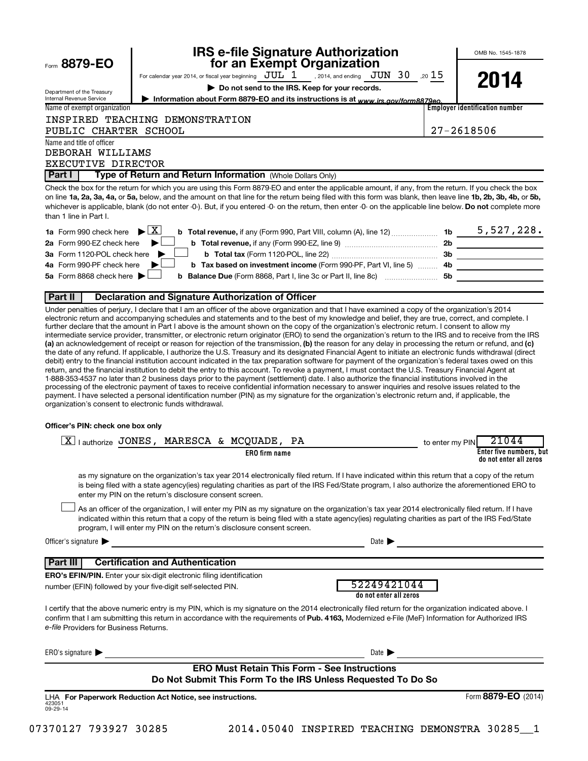| Form 8879-EO                                           | <b>IRS e-file Signature Authorization</b><br>for an Exempt Organization                                                                                                                                                                                                                                                                                                                                                                                                                                                                                                                                                                                                   | OMB No. 1545-1878                          |
|--------------------------------------------------------|---------------------------------------------------------------------------------------------------------------------------------------------------------------------------------------------------------------------------------------------------------------------------------------------------------------------------------------------------------------------------------------------------------------------------------------------------------------------------------------------------------------------------------------------------------------------------------------------------------------------------------------------------------------------------|--------------------------------------------|
|                                                        | For calendar year 2014, or fiscal year beginning $JUL$ $1$ , 2014, and ending $JUN$ $30$ , 20 $15$                                                                                                                                                                                                                                                                                                                                                                                                                                                                                                                                                                        |                                            |
|                                                        | Do not send to the IRS. Keep for your records.                                                                                                                                                                                                                                                                                                                                                                                                                                                                                                                                                                                                                            | 2014                                       |
| Department of the Treasury<br>Internal Revenue Service | Information about Form 8879-EO and its instructions is at www.irs.gov/form8879eo.                                                                                                                                                                                                                                                                                                                                                                                                                                                                                                                                                                                         |                                            |
| Name of exempt organization                            |                                                                                                                                                                                                                                                                                                                                                                                                                                                                                                                                                                                                                                                                           | <b>Employer identification number</b>      |
|                                                        | INSPIRED TEACHING DEMONSTRATION                                                                                                                                                                                                                                                                                                                                                                                                                                                                                                                                                                                                                                           |                                            |
| PUBLIC CHARTER SCHOOL                                  |                                                                                                                                                                                                                                                                                                                                                                                                                                                                                                                                                                                                                                                                           | 27-2618506                                 |
| Name and title of officer                              |                                                                                                                                                                                                                                                                                                                                                                                                                                                                                                                                                                                                                                                                           |                                            |
| DEBORAH WILLIAMS                                       |                                                                                                                                                                                                                                                                                                                                                                                                                                                                                                                                                                                                                                                                           |                                            |
| EXECUTIVE DIRECTOR                                     |                                                                                                                                                                                                                                                                                                                                                                                                                                                                                                                                                                                                                                                                           |                                            |
| Part I                                                 | Type of Return and Return Information (Whole Dollars Only)                                                                                                                                                                                                                                                                                                                                                                                                                                                                                                                                                                                                                |                                            |
| than 1 line in Part I.                                 | Check the box for the return for which you are using this Form 8879-EO and enter the applicable amount, if any, from the return. If you check the box<br>on line 1a, 2a, 3a, 4a, or 5a, below, and the amount on that line for the return being filed with this form was blank, then leave line 1b, 2b, 3b, 4b, or 5b,<br>whichever is applicable, blank (do not enter -0-). But, if you entered -0- on the return, then enter -0- on the applicable line below. Do not complete more                                                                                                                                                                                     |                                            |
| 1a Form 990 check here                                 | -X l                                                                                                                                                                                                                                                                                                                                                                                                                                                                                                                                                                                                                                                                      |                                            |
| 2a Form 990-EZ check here                              |                                                                                                                                                                                                                                                                                                                                                                                                                                                                                                                                                                                                                                                                           |                                            |
| 3a Form 1120-POL check here                            |                                                                                                                                                                                                                                                                                                                                                                                                                                                                                                                                                                                                                                                                           |                                            |
| 4a Form 990-PF check here                              | b Tax based on investment income (Form 990-PF, Part VI, line 5)  4b ______________________                                                                                                                                                                                                                                                                                                                                                                                                                                                                                                                                                                                |                                            |
| 5a Form 8868 check here                                |                                                                                                                                                                                                                                                                                                                                                                                                                                                                                                                                                                                                                                                                           |                                            |
|                                                        |                                                                                                                                                                                                                                                                                                                                                                                                                                                                                                                                                                                                                                                                           |                                            |
| Part II                                                | <b>Declaration and Signature Authorization of Officer</b>                                                                                                                                                                                                                                                                                                                                                                                                                                                                                                                                                                                                                 |                                            |
| Officer's PIN: check one box only                      | return, and the financial institution to debit the entry to this account. To revoke a payment, I must contact the U.S. Treasury Financial Agent at<br>1-888-353-4537 no later than 2 business days prior to the payment (settlement) date. I also authorize the financial institutions involved in the<br>processing of the electronic payment of taxes to receive confidential information necessary to answer inquiries and resolve issues related to the<br>payment. I have selected a personal identification number (PIN) as my signature for the organization's electronic return and, if applicable, the<br>organization's consent to electronic funds withdrawal. |                                            |
|                                                        | $ \underline{X} $ authorize JONES, MARESCA & MCQUADE, PA                                                                                                                                                                                                                                                                                                                                                                                                                                                                                                                                                                                                                  | 21044                                      |
|                                                        | <b>ERO</b> firm name                                                                                                                                                                                                                                                                                                                                                                                                                                                                                                                                                                                                                                                      | to enter my PIN<br>Enter five numbers, but |
|                                                        |                                                                                                                                                                                                                                                                                                                                                                                                                                                                                                                                                                                                                                                                           | do not enter all zeros                     |
|                                                        | as my signature on the organization's tax year 2014 electronically filed return. If I have indicated within this return that a copy of the return<br>is being filed with a state agency(ies) regulating charities as part of the IRS Fed/State program, I also authorize the aforementioned ERO to<br>enter my PIN on the return's disclosure consent screen.                                                                                                                                                                                                                                                                                                             |                                            |
|                                                        | As an officer of the organization, I will enter my PIN as my signature on the organization's tax year 2014 electronically filed return. If I have<br>indicated within this return that a copy of the return is being filed with a state agency(ies) regulating charities as part of the IRS Fed/State<br>program, I will enter my PIN on the return's disclosure consent screen.                                                                                                                                                                                                                                                                                          |                                            |
| Officer's signature $\blacktriangleright$              | <u> 1980 - Johann Barbara, martin amerikan basar dan berasal dalam basa dalam basar dalam basar dalam basar dala</u>                                                                                                                                                                                                                                                                                                                                                                                                                                                                                                                                                      | Date $\blacktriangleright$                 |
| Part III                                               | <b>Certification and Authentication</b>                                                                                                                                                                                                                                                                                                                                                                                                                                                                                                                                                                                                                                   |                                            |
|                                                        | <b>ERO's EFIN/PIN.</b> Enter your six-digit electronic filing identification                                                                                                                                                                                                                                                                                                                                                                                                                                                                                                                                                                                              |                                            |
|                                                        | 52249421044<br>number (EFIN) followed by your five-digit self-selected PIN.                                                                                                                                                                                                                                                                                                                                                                                                                                                                                                                                                                                               |                                            |
|                                                        | do not enter all zeros                                                                                                                                                                                                                                                                                                                                                                                                                                                                                                                                                                                                                                                    |                                            |
| e-file Providers for Business Returns.                 | I certify that the above numeric entry is my PIN, which is my signature on the 2014 electronically filed return for the organization indicated above. I<br>confirm that I am submitting this return in accordance with the requirements of <b>Pub. 4163</b> , Modernized e-File (MeF) Information for Authorized IRS                                                                                                                                                                                                                                                                                                                                                      |                                            |
| ERO's signature $\blacktriangleright$                  | Date $\blacktriangleright$                                                                                                                                                                                                                                                                                                                                                                                                                                                                                                                                                                                                                                                |                                            |
|                                                        |                                                                                                                                                                                                                                                                                                                                                                                                                                                                                                                                                                                                                                                                           |                                            |
|                                                        | <b>ERO Must Retain This Form - See Instructions</b><br>Do Not Submit This Form To the IRS Unless Requested To Do So                                                                                                                                                                                                                                                                                                                                                                                                                                                                                                                                                       |                                            |
| 423051<br>09-29-14                                     | LHA For Paperwork Reduction Act Notice, see instructions.                                                                                                                                                                                                                                                                                                                                                                                                                                                                                                                                                                                                                 | Form 8879-EO (2014)                        |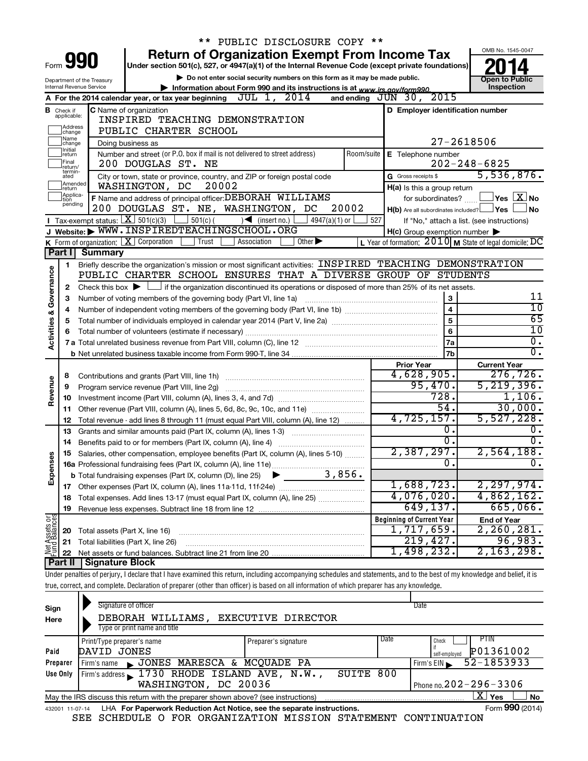|                         |                               |                                | ** PUBLIC DISCLOSURE COPY **                                                                                                                                               |                                                                       |                                                         |
|-------------------------|-------------------------------|--------------------------------|----------------------------------------------------------------------------------------------------------------------------------------------------------------------------|-----------------------------------------------------------------------|---------------------------------------------------------|
|                         |                               |                                | <b>Return of Organization Exempt From Income Tax</b>                                                                                                                       |                                                                       | OMB No. 1545-0047                                       |
|                         |                               | Form 990                       | Under section 501(c), 527, or 4947(a)(1) of the Internal Revenue Code (except private foundations)                                                                         |                                                                       |                                                         |
|                         |                               | Department of the Treasury     | Do not enter social security numbers on this form as it may be made public.                                                                                                |                                                                       | <b>Open to Public</b>                                   |
|                         |                               | Internal Revenue Service       | Information about Form 990 and its instructions is at www.irs.gov/form990.                                                                                                 |                                                                       | Inspection                                              |
|                         |                               |                                | A For the 2014 calendar year, or tax year beginning $JUL$ 1, $2014$                                                                                                        | 2015<br>and ending $J\bar{U}N$ 30,                                    |                                                         |
|                         | <b>B</b> Check if applicable: |                                | C Name of organization                                                                                                                                                     | D Employer identification number                                      |                                                         |
|                         | Address                       |                                | INSPIRED TEACHING DEMONSTRATION                                                                                                                                            |                                                                       |                                                         |
|                         | change<br>Name                |                                | PUBLIC CHARTER SCHOOL                                                                                                                                                      |                                                                       |                                                         |
|                         | change<br>Initial             |                                | Doing business as                                                                                                                                                          |                                                                       | 27-2618506                                              |
|                         | return<br>Final               |                                | Number and street (or P.O. box if mail is not delivered to street address)<br>Room/suite                                                                                   | E Telephone number                                                    | $202 - 248 - 6825$                                      |
|                         | return/<br>termin-<br>ated    |                                | 200 DOUGLAS ST. NE                                                                                                                                                         |                                                                       | 5,536,876.                                              |
|                         | Amended                       |                                | City or town, state or province, country, and ZIP or foreign postal code<br>WASHINGTON, DC<br>20002                                                                        | G Gross receipts \$                                                   |                                                         |
|                         | Ireturn<br>Applica-<br>Ition  |                                | F Name and address of principal officer: DEBORAH WILLIAMS                                                                                                                  | $H(a)$ is this a group return                                         | $\sqrt{}$ Yes $\sqrt{}$ X $\sqrt{}$ No                  |
|                         | pending                       |                                | 200 DOUGLAS ST. NE, WASHINGTON, DC<br>20002                                                                                                                                | for subordinates?<br>$H(b)$ Are all subordinates included? $\Box$ Yes | l No                                                    |
|                         |                               |                                | Tax-exempt status: $X \ 501(c)(3)$<br>$501(c)$ (<br>$\mathcal{A}$ (insert no.)<br>4947(a)(1) or                                                                            | 527                                                                   | If "No," attach a list. (see instructions)              |
|                         |                               |                                | J Website: WWW.INSPIREDTEACHINGSCHOOL.ORG                                                                                                                                  | $H(c)$ Group exemption number $\blacktriangleright$                   |                                                         |
|                         |                               |                                | K Form of organization: $X$ Corporation<br>Other $\blacktriangleright$<br>Trust<br>Association                                                                             |                                                                       | L Year of formation: 2010 M State of legal domicile: DC |
|                         | Part I                        | <b>Summary</b>                 |                                                                                                                                                                            |                                                                       |                                                         |
|                         | 1                             |                                | Briefly describe the organization's mission or most significant activities: INSPIRED TEACHING DEMONSTRATION                                                                |                                                                       |                                                         |
| Governance              |                               |                                | PUBLIC CHARTER SCHOOL ENSURES THAT A DIVERSE GROUP OF STUDENTS                                                                                                             |                                                                       |                                                         |
|                         | 2                             |                                | Check this box $\blacktriangleright$ $\Box$ if the organization discontinued its operations or disposed of more than 25% of its net assets.                                |                                                                       |                                                         |
|                         | 3                             |                                | Number of voting members of the governing body (Part VI, line 1a)                                                                                                          | 3                                                                     | 11                                                      |
|                         | 4                             |                                |                                                                                                                                                                            | $\overline{4}$                                                        | 10                                                      |
|                         | 5                             |                                |                                                                                                                                                                            | $5\phantom{1}$                                                        | 65                                                      |
| <b>Activities &amp;</b> | 6                             |                                |                                                                                                                                                                            | 6                                                                     | 10                                                      |
|                         |                               |                                |                                                                                                                                                                            | 7a                                                                    | $\overline{0}$ .                                        |
|                         |                               |                                |                                                                                                                                                                            | 7b                                                                    | $\overline{0}$ .                                        |
|                         |                               |                                |                                                                                                                                                                            | <b>Prior Year</b>                                                     | <b>Current Year</b>                                     |
|                         | 8                             |                                |                                                                                                                                                                            | 4,628,905.<br>95,470.                                                 | 276, 726.<br>5, 219, 396.                               |
| Revenue                 | 9                             |                                | Program service revenue (Part VIII, line 2g)                                                                                                                               | 728.                                                                  | 1,106.                                                  |
|                         | 10                            |                                |                                                                                                                                                                            | 54.                                                                   | 30,000.                                                 |
|                         | 11<br>12                      |                                | Other revenue (Part VIII, column (A), lines 5, 6d, 8c, 9c, 10c, and 11e)<br>Total revenue - add lines 8 through 11 (must equal Part VIII, column (A), line 12)             | 4,725,157.                                                            | 5,527,228.                                              |
|                         | 13                            |                                | Grants and similar amounts paid (Part IX, column (A), lines 1-3)                                                                                                           | Ο.                                                                    | ο.                                                      |
|                         | 14                            |                                | Benefits paid to or for members (Part IX, column (A), line 4)                                                                                                              | $\overline{0}$ .                                                      | 0.                                                      |
|                         | 15                            |                                | Salaries, other compensation, employee benefits (Part IX, column (A), lines 5-10)                                                                                          | 2,387,297.                                                            | 2,564,188.                                              |
| nses                    |                               |                                | 16a Professional fundraising fees (Part IX, column (A), line 11e)                                                                                                          | σ.                                                                    | Ο.                                                      |
| Exper                   |                               |                                | 3,856.<br><b>b</b> Total fundraising expenses (Part IX, column (D), line 25)<br>▶                                                                                          |                                                                       |                                                         |
|                         | 17                            |                                |                                                                                                                                                                            | 1,688,723.                                                            | 2, 297, 974.                                            |
|                         | 18                            |                                | Total expenses. Add lines 13-17 (must equal Part IX, column (A), line 25)                                                                                                  | 4,076,020.                                                            | 4,862,162.                                              |
|                         | 19                            |                                |                                                                                                                                                                            | 649,137.                                                              | 665,066.                                                |
| Net Assets or           |                               |                                |                                                                                                                                                                            | <b>Beginning of Current Year</b>                                      | <b>End of Year</b>                                      |
|                         | 20                            | Total assets (Part X, line 16) |                                                                                                                                                                            | 1,717,659.                                                            | 2, 260, 281.                                            |
|                         | 21                            |                                | Total liabilities (Part X, line 26)                                                                                                                                        | $\overline{219,427}$ .                                                | 96,983.                                                 |
|                         | 22                            |                                |                                                                                                                                                                            | 1,498,232.                                                            | 2,163,298.                                              |
|                         | Part II                       | Signature Block                |                                                                                                                                                                            |                                                                       |                                                         |
|                         |                               |                                | Under penalties of perjury, I declare that I have examined this return, including accompanying schedules and statements, and to the best of my knowledge and belief, it is |                                                                       |                                                         |
|                         |                               |                                | true, correct, and complete. Declaration of preparer (other than officer) is based on all information of which preparer has any knowledge.                                 |                                                                       |                                                         |
|                         |                               |                                | Signature of officer                                                                                                                                                       | Date                                                                  |                                                         |
| Sign                    |                               |                                |                                                                                                                                                                            |                                                                       |                                                         |

| Sign     | Signature of officer                                                                                 |                      |      | Date                         |  |  |  |  |  |  |
|----------|------------------------------------------------------------------------------------------------------|----------------------|------|------------------------------|--|--|--|--|--|--|
| Here     | DEBORAH WILLIAMS,<br>Type or print name and title                                                    | EXECUTIVE DIRECTOR   |      |                              |  |  |  |  |  |  |
|          | Print/Type preparer's name                                                                           | Preparer's signature | Date | <b>PTIN</b><br>Check         |  |  |  |  |  |  |
| Paid     | DAVID JONES                                                                                          |                      |      | P01361002<br>self-employed   |  |  |  |  |  |  |
| Preparer | JONES MARESCA & MCQUADE PA<br>Firm's name                                                            |                      |      | 52-1853933<br>Firm's $EIN$   |  |  |  |  |  |  |
| Use Only | Firm's address 1730 RHODE ISLAND AVE, N.W.,                                                          | SUITE 800            |      |                              |  |  |  |  |  |  |
|          | WASHINGTON, DC 20036                                                                                 |                      |      | Phone no. $202 - 296 - 3306$ |  |  |  |  |  |  |
|          | ΧI<br>Yes<br>No<br>May the IRS discuss this return with the preparer shown above? (see instructions) |                      |      |                              |  |  |  |  |  |  |

SEE SCHEDULE O FOR ORGANIZATION MISSION STATEMENT CONTINUATION

Form **990** (2014)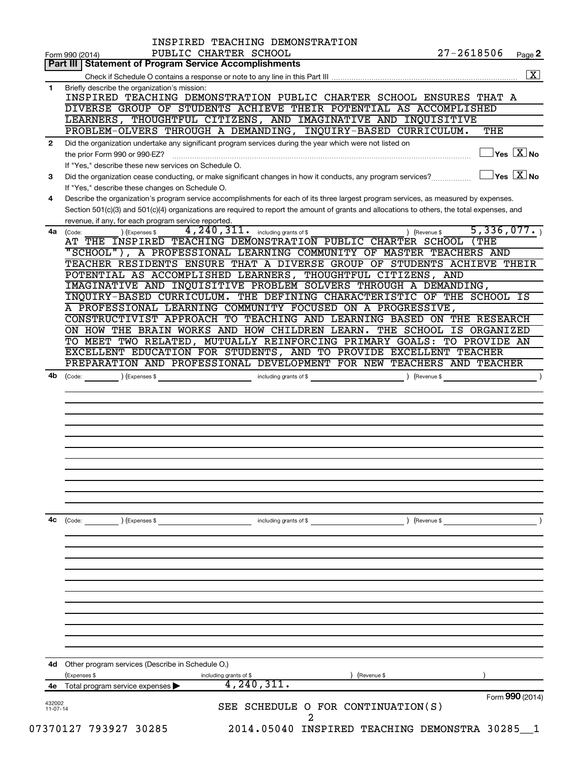|              | 27-2618506<br>PUBLIC CHARTER SCHOOL<br>Page 2<br>Form 990 (2014)<br><b>Part III   Statement of Program Service Accomplishments</b>                             |
|--------------|----------------------------------------------------------------------------------------------------------------------------------------------------------------|
|              | $\boxed{\text{X}}$                                                                                                                                             |
|              |                                                                                                                                                                |
| 1            | Briefly describe the organization's mission:<br>INSPIRED TEACHING DEMONSTRATION PUBLIC CHARTER SCHOOL ENSURES THAT A                                           |
|              | DIVERSE GROUP OF STUDENTS ACHIEVE THEIR POTENTIAL AS ACCOMPLISHED                                                                                              |
|              | LEARNERS, THOUGHTFUL CITIZENS, AND IMAGINATIVE AND INQUISITIVE                                                                                                 |
|              | PROBLEM-OLVERS THROUGH A DEMANDING, INQUIRY-BASED CURRICULUM.<br>THE                                                                                           |
| $\mathbf{2}$ | Did the organization undertake any significant program services during the year which were not listed on                                                       |
|              | $\sqrt{}$ Yes $\sqrt{X}$ No<br>the prior Form 990 or 990-EZ?                                                                                                   |
|              | If "Yes," describe these new services on Schedule O.                                                                                                           |
| 3            | $\vert$ Yes $\vert$ $\overline{\mathrm{X}}$ No<br>Did the organization cease conducting, or make significant changes in how it conducts, any program services? |
|              | If "Yes," describe these changes on Schedule O.                                                                                                                |
| 4            | Describe the organization's program service accomplishments for each of its three largest program services, as measured by expenses.                           |
|              | Section 501(c)(3) and 501(c)(4) organizations are required to report the amount of grants and allocations to others, the total expenses, and                   |
|              | revenue, if any, for each program service reported.                                                                                                            |
|              | 5,336,077.<br>$4,240,311$ $\cdot$ including grants of \$<br>4a (Code:<br>) (Revenue \$<br>(Expenses \$                                                         |
|              | AT THE INSPIRED TEACHING DEMONSTRATION PUBLIC CHARTER SCHOOL<br>(THE)                                                                                          |
|              | "SCHOOL"), A PROFESSIONAL LEARNING COMMUNITY OF MASTER TEACHERS AND                                                                                            |
|              | TEACHER RESIDENTS ENSURE THAT A DIVERSE GROUP OF STUDENTS ACHIEVE THEIR                                                                                        |
|              | POTENTIAL AS ACCOMPLISHED LEARNERS, THOUGHTFUL CITIZENS, AND                                                                                                   |
|              | IMAGINATIVE AND INQUISITIVE PROBLEM SOLVERS THROUGH A DEMANDING,                                                                                               |
|              | INQUIRY-BASED CURRICULUM. THE DEFINING CHARACTERISTIC OF THE SCHOOL IS                                                                                         |
|              | A PROFESSIONAL LEARNING COMMUNITY FOCUSED ON A PROGRESSIVE,                                                                                                    |
|              | CONSTRUCTIVIST APPROACH TO TEACHING AND LEARNING BASED ON THE RESEARCH                                                                                         |
|              | ON HOW THE BRAIN WORKS AND HOW CHILDREN LEARN. THE SCHOOL IS ORGANIZED                                                                                         |
|              | TO MEET TWO RELATED, MUTUALLY REINFORCING PRIMARY GOALS: TO PROVIDE AN                                                                                         |
|              | EXCELLENT EDUCATION FOR STUDENTS, AND TO PROVIDE EXCELLENT TEACHER                                                                                             |
|              | PREPARATION AND PROFESSIONAL DEVELOPMENT FOR NEW TEACHERS AND TEACHER                                                                                          |
| 4b           | ) (Revenue \$<br>(Code: ) (Expenses \$<br>including grants of \$                                                                                               |
|              |                                                                                                                                                                |
|              |                                                                                                                                                                |
|              |                                                                                                                                                                |
|              |                                                                                                                                                                |
|              |                                                                                                                                                                |
|              |                                                                                                                                                                |
|              |                                                                                                                                                                |
| 4с           | (Code: ) (Expenses \$<br>including grants of \$<br>) (Revenue \$                                                                                               |
|              |                                                                                                                                                                |
|              |                                                                                                                                                                |
|              |                                                                                                                                                                |
|              |                                                                                                                                                                |
|              |                                                                                                                                                                |
|              |                                                                                                                                                                |
|              |                                                                                                                                                                |
|              |                                                                                                                                                                |
|              |                                                                                                                                                                |
|              |                                                                                                                                                                |
|              |                                                                                                                                                                |
|              |                                                                                                                                                                |
|              |                                                                                                                                                                |
| 4d.          | Other program services (Describe in Schedule O.)                                                                                                               |
|              | (Expenses \$<br>(Revenue \$<br>including grants of \$                                                                                                          |
| 4е           | 4, 240, 311.<br>Total program service expenses                                                                                                                 |
| 432002       | Form 990 (2014)                                                                                                                                                |
| $11-07-14$   | SEE SCHEDULE O FOR CONTINUATION(S)                                                                                                                             |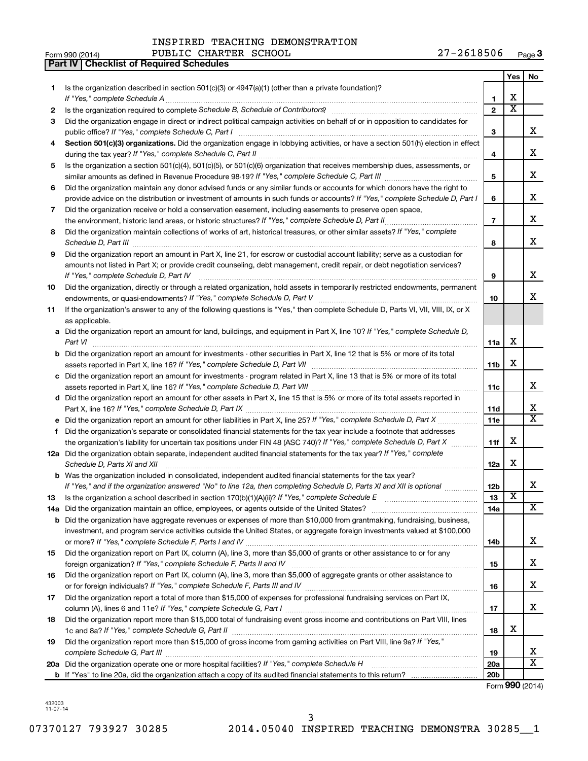|     | Part IV   Checklist of Required Schedules                                                                                            |                 |                         |                         |
|-----|--------------------------------------------------------------------------------------------------------------------------------------|-----------------|-------------------------|-------------------------|
|     |                                                                                                                                      |                 | Yes                     | No                      |
| 1.  | Is the organization described in section $501(c)(3)$ or $4947(a)(1)$ (other than a private foundation)?                              |                 |                         |                         |
|     | If "Yes," complete Schedule A                                                                                                        | 1               | х                       |                         |
| 2   |                                                                                                                                      | $\mathbf{2}$    | $\overline{\mathbf{x}}$ |                         |
| 3   | Did the organization engage in direct or indirect political campaign activities on behalf of or in opposition to candidates for      |                 |                         |                         |
|     |                                                                                                                                      | 3               |                         | x                       |
| 4   | Section 501(c)(3) organizations. Did the organization engage in lobbying activities, or have a section 501(h) election in effect     |                 |                         |                         |
|     |                                                                                                                                      | 4               |                         | x                       |
| 5   | Is the organization a section 501(c)(4), 501(c)(5), or 501(c)(6) organization that receives membership dues, assessments, or         |                 |                         |                         |
|     |                                                                                                                                      | 5               |                         | x                       |
| 6   | Did the organization maintain any donor advised funds or any similar funds or accounts for which donors have the right to            |                 |                         |                         |
|     | provide advice on the distribution or investment of amounts in such funds or accounts? If "Yes," complete Schedule D, Part I         | 6               |                         | x                       |
| 7   | Did the organization receive or hold a conservation easement, including easements to preserve open space,                            |                 |                         |                         |
|     |                                                                                                                                      | $\overline{7}$  |                         | х                       |
| 8   | Did the organization maintain collections of works of art, historical treasures, or other similar assets? If "Yes," complete         |                 |                         |                         |
|     |                                                                                                                                      | 8               |                         | x.                      |
| 9   | Did the organization report an amount in Part X, line 21, for escrow or custodial account liability; serve as a custodian for        |                 |                         |                         |
|     | amounts not listed in Part X; or provide credit counseling, debt management, credit repair, or debt negotiation services?            |                 |                         |                         |
|     | If "Yes," complete Schedule D, Part IV                                                                                               | 9               |                         | х                       |
| 10  | Did the organization, directly or through a related organization, hold assets in temporarily restricted endowments, permanent        |                 |                         |                         |
|     |                                                                                                                                      | 10              |                         | x                       |
| 11  | If the organization's answer to any of the following questions is "Yes," then complete Schedule D, Parts VI, VII, VIII, IX, or X     |                 |                         |                         |
|     | as applicable.                                                                                                                       |                 |                         |                         |
|     | a Did the organization report an amount for land, buildings, and equipment in Part X, line 10? If "Yes," complete Schedule D,        |                 |                         |                         |
|     | Part VI                                                                                                                              | 11a             | х                       |                         |
|     | <b>b</b> Did the organization report an amount for investments - other securities in Part X, line 12 that is 5% or more of its total |                 |                         |                         |
|     |                                                                                                                                      | 11b             | х                       |                         |
|     | c Did the organization report an amount for investments - program related in Part X, line 13 that is 5% or more of its total         |                 |                         |                         |
|     |                                                                                                                                      | 11c             |                         | х                       |
|     | d Did the organization report an amount for other assets in Part X, line 15 that is 5% or more of its total assets reported in       |                 |                         |                         |
|     |                                                                                                                                      | 11d             |                         | х                       |
|     | e Did the organization report an amount for other liabilities in Part X, line 25? If "Yes," complete Schedule D, Part X              | 11e             |                         | $\overline{\mathbf{x}}$ |
|     | f Did the organization's separate or consolidated financial statements for the tax year include a footnote that addresses            |                 |                         |                         |
|     | the organization's liability for uncertain tax positions under FIN 48 (ASC 740)? If "Yes," complete Schedule D, Part X               | 11f             | х                       |                         |
|     | 12a Did the organization obtain separate, independent audited financial statements for the tax year? If "Yes," complete              |                 |                         |                         |
|     | Schedule D, Parts XI and XII                                                                                                         | 12a             | х                       |                         |
|     | <b>b</b> Was the organization included in consolidated, independent audited financial statements for the tax year?                   |                 |                         |                         |
|     | If "Yes," and if the organization answered "No" to line 12a, then completing Schedule D, Parts XI and XII is optional                | 12 <sub>b</sub> |                         | х                       |
| 13  |                                                                                                                                      | 13              | х                       |                         |
| 14a |                                                                                                                                      | 14a             |                         | x                       |
| b   | Did the organization have aggregate revenues or expenses of more than \$10,000 from grantmaking, fundraising, business,              |                 |                         |                         |
|     | investment, and program service activities outside the United States, or aggregate foreign investments valued at \$100,000           |                 |                         |                         |
|     |                                                                                                                                      | 14b             |                         | x                       |
| 15  | Did the organization report on Part IX, column (A), line 3, more than \$5,000 of grants or other assistance to or for any            |                 |                         |                         |
|     |                                                                                                                                      | 15              |                         | х                       |
| 16  | Did the organization report on Part IX, column (A), line 3, more than \$5,000 of aggregate grants or other assistance to             |                 |                         |                         |
|     |                                                                                                                                      | 16              |                         | x                       |
| 17  | Did the organization report a total of more than \$15,000 of expenses for professional fundraising services on Part IX,              |                 |                         |                         |
|     |                                                                                                                                      | 17              |                         | x                       |
| 18  | Did the organization report more than \$15,000 total of fundraising event gross income and contributions on Part VIII, lines         |                 |                         |                         |
|     |                                                                                                                                      | 18              | х                       |                         |
| 19  | Did the organization report more than \$15,000 of gross income from gaming activities on Part VIII, line 9a? If "Yes,"               |                 |                         |                         |
|     |                                                                                                                                      | 19              |                         | х                       |
|     |                                                                                                                                      | 20a             |                         | x                       |
|     |                                                                                                                                      | 20 <sub>b</sub> |                         |                         |

Form (2014) **990**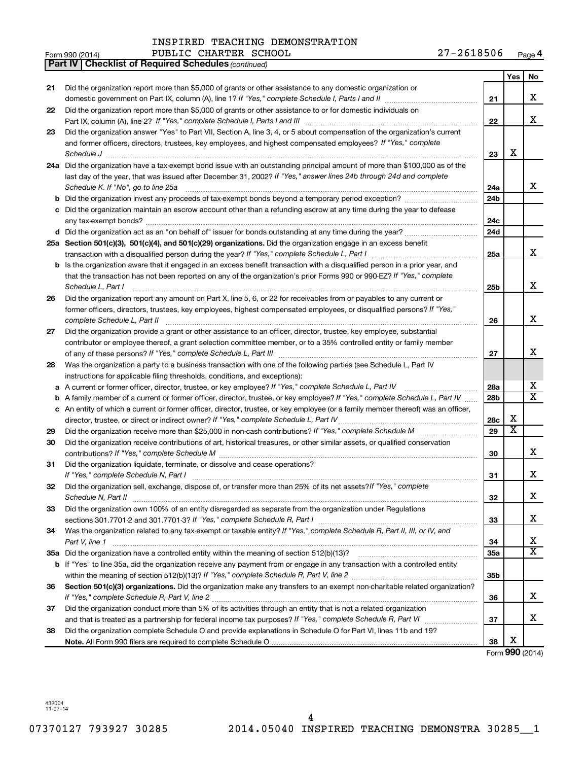|    | Part IV   Checklist of Required Schedules (continued)                                                                                                                                                                                                                                                                                                                                    |                 |                         |    |
|----|------------------------------------------------------------------------------------------------------------------------------------------------------------------------------------------------------------------------------------------------------------------------------------------------------------------------------------------------------------------------------------------|-----------------|-------------------------|----|
|    |                                                                                                                                                                                                                                                                                                                                                                                          |                 | Yes                     | No |
| 21 | Did the organization report more than \$5,000 of grants or other assistance to any domestic organization or                                                                                                                                                                                                                                                                              |                 |                         |    |
|    |                                                                                                                                                                                                                                                                                                                                                                                          | 21              |                         | х  |
| 22 | Did the organization report more than \$5,000 of grants or other assistance to or for domestic individuals on                                                                                                                                                                                                                                                                            |                 |                         |    |
|    | Part IX, column (A), line 2? If "Yes," complete Schedule I, Parts I and III                                                                                                                                                                                                                                                                                                              | 22              |                         | х  |
| 23 | Did the organization answer "Yes" to Part VII, Section A, line 3, 4, or 5 about compensation of the organization's current                                                                                                                                                                                                                                                               |                 |                         |    |
|    | and former officers, directors, trustees, key employees, and highest compensated employees? If "Yes," complete                                                                                                                                                                                                                                                                           |                 |                         |    |
|    | $\textit{Schedule J} \textit{ \textbf{} \textbf{} \textbf{} \textbf{} \textbf{} \textbf{} \textbf{} \textbf{} \textbf{} \textbf{} \textbf{} \textbf{} \textbf{} \textbf{} \textbf{} \textbf{} \textbf{} \textbf{} \textbf{} \textbf{} \textbf{} \textbf{} \textbf{} \textbf{} \textbf{} \textbf{} \textbf{} \textbf{} \textbf{} \textbf{} \textbf{} \textbf{} \textbf{} \textbf{} \text$ | 23              | x                       |    |
|    | 24a Did the organization have a tax-exempt bond issue with an outstanding principal amount of more than \$100,000 as of the                                                                                                                                                                                                                                                              |                 |                         |    |
|    | last day of the year, that was issued after December 31, 2002? If "Yes," answer lines 24b through 24d and complete                                                                                                                                                                                                                                                                       |                 |                         |    |
|    | Schedule K. If "No", go to line 25a                                                                                                                                                                                                                                                                                                                                                      | 24a             |                         | x  |
|    | <b>b</b> Did the organization invest any proceeds of tax-exempt bonds beyond a temporary period exception?                                                                                                                                                                                                                                                                               | 24b             |                         |    |
|    | c Did the organization maintain an escrow account other than a refunding escrow at any time during the year to defease                                                                                                                                                                                                                                                                   |                 |                         |    |
|    |                                                                                                                                                                                                                                                                                                                                                                                          | 24c             |                         |    |
|    |                                                                                                                                                                                                                                                                                                                                                                                          | 24d             |                         |    |
|    | 25a Section 501(c)(3), 501(c)(4), and 501(c)(29) organizations. Did the organization engage in an excess benefit                                                                                                                                                                                                                                                                         |                 |                         |    |
|    |                                                                                                                                                                                                                                                                                                                                                                                          | 25a             |                         | x  |
|    | <b>b</b> Is the organization aware that it engaged in an excess benefit transaction with a disqualified person in a prior year, and                                                                                                                                                                                                                                                      |                 |                         |    |
|    | that the transaction has not been reported on any of the organization's prior Forms 990 or 990-EZ? If "Yes," complete                                                                                                                                                                                                                                                                    |                 |                         |    |
|    | Schedule L, Part I                                                                                                                                                                                                                                                                                                                                                                       | 25b             |                         | x  |
| 26 | Did the organization report any amount on Part X, line 5, 6, or 22 for receivables from or payables to any current or                                                                                                                                                                                                                                                                    |                 |                         |    |
|    | former officers, directors, trustees, key employees, highest compensated employees, or disqualified persons? If "Yes,"                                                                                                                                                                                                                                                                   |                 |                         |    |
|    |                                                                                                                                                                                                                                                                                                                                                                                          | 26              |                         | x  |
| 27 | Did the organization provide a grant or other assistance to an officer, director, trustee, key employee, substantial                                                                                                                                                                                                                                                                     |                 |                         |    |
|    | contributor or employee thereof, a grant selection committee member, or to a 35% controlled entity or family member                                                                                                                                                                                                                                                                      |                 |                         |    |
|    |                                                                                                                                                                                                                                                                                                                                                                                          | 27              |                         | х  |
| 28 | Was the organization a party to a business transaction with one of the following parties (see Schedule L, Part IV                                                                                                                                                                                                                                                                        |                 |                         |    |
|    | instructions for applicable filing thresholds, conditions, and exceptions):                                                                                                                                                                                                                                                                                                              |                 |                         |    |
|    | a A current or former officer, director, trustee, or key employee? If "Yes," complete Schedule L, Part IV                                                                                                                                                                                                                                                                                | 28a             |                         | x  |
|    | <b>b</b> A family member of a current or former officer, director, trustee, or key employee? If "Yes," complete Schedule L, Part IV                                                                                                                                                                                                                                                      | 28 <sub>b</sub> |                         | X  |
|    | c An entity of which a current or former officer, director, trustee, or key employee (or a family member thereof) was an officer,                                                                                                                                                                                                                                                        |                 |                         |    |
|    | director, trustee, or direct or indirect owner? If "Yes," complete Schedule L, Part IV [[[[[[[[[[[[[[[[[[[[[[                                                                                                                                                                                                                                                                            | 28c             | х                       |    |
| 29 |                                                                                                                                                                                                                                                                                                                                                                                          | 29              | $\overline{\mathbf{x}}$ |    |
| 30 | Did the organization receive contributions of art, historical treasures, or other similar assets, or qualified conservation                                                                                                                                                                                                                                                              |                 |                         |    |
|    |                                                                                                                                                                                                                                                                                                                                                                                          | 30              |                         | x  |
| 31 | Did the organization liquidate, terminate, or dissolve and cease operations?                                                                                                                                                                                                                                                                                                             |                 |                         |    |
|    | If "Yes," complete Schedule N, Part I                                                                                                                                                                                                                                                                                                                                                    | 31              |                         | X  |
| 32 | Did the organization sell, exchange, dispose of, or transfer more than 25% of its net assets? If "Yes," complete                                                                                                                                                                                                                                                                         |                 |                         |    |
|    |                                                                                                                                                                                                                                                                                                                                                                                          | 32              |                         | x  |
| 33 | Did the organization own 100% of an entity disregarded as separate from the organization under Regulations                                                                                                                                                                                                                                                                               |                 |                         |    |
|    |                                                                                                                                                                                                                                                                                                                                                                                          | 33              |                         | X  |
| 34 | Was the organization related to any tax-exempt or taxable entity? If "Yes," complete Schedule R, Part II, III, or IV, and                                                                                                                                                                                                                                                                |                 |                         |    |
|    |                                                                                                                                                                                                                                                                                                                                                                                          | 34              |                         | х  |
|    |                                                                                                                                                                                                                                                                                                                                                                                          | 35a             |                         | x  |
|    | <b>b</b> If "Yes" to line 35a, did the organization receive any payment from or engage in any transaction with a controlled entity                                                                                                                                                                                                                                                       |                 |                         |    |
|    |                                                                                                                                                                                                                                                                                                                                                                                          | 35b             |                         |    |
| 36 | Section 501(c)(3) organizations. Did the organization make any transfers to an exempt non-charitable related organization?                                                                                                                                                                                                                                                               |                 |                         |    |
|    |                                                                                                                                                                                                                                                                                                                                                                                          | 36              |                         | х  |
| 37 | Did the organization conduct more than 5% of its activities through an entity that is not a related organization                                                                                                                                                                                                                                                                         |                 |                         |    |
|    |                                                                                                                                                                                                                                                                                                                                                                                          | 37              |                         | х  |
| 38 | Did the organization complete Schedule O and provide explanations in Schedule O for Part VI, lines 11b and 19?                                                                                                                                                                                                                                                                           |                 |                         |    |
|    |                                                                                                                                                                                                                                                                                                                                                                                          | 38              | х                       |    |

Form (2014) **990**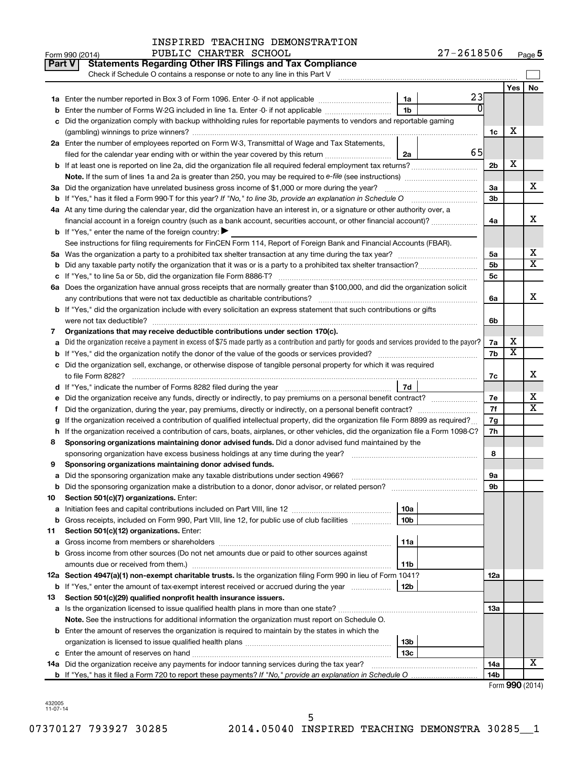| Part V  | <b>Statements Regarding Other IRS Filings and Tax Compliance</b><br>Check if Schedule O contains a response or note to any line in this Part V  |                 |    |                |     |    |
|---------|-------------------------------------------------------------------------------------------------------------------------------------------------|-----------------|----|----------------|-----|----|
|         |                                                                                                                                                 |                 |    |                | Yes | No |
| 1а      | Enter the number reported in Box 3 of Form 1096. Enter -0- if not applicable                                                                    | 1a              | 23 |                |     |    |
| b       |                                                                                                                                                 | 1 <sub>b</sub>  |    |                |     |    |
| с       | Did the organization comply with backup withholding rules for reportable payments to vendors and reportable gaming                              |                 |    |                |     |    |
|         |                                                                                                                                                 |                 |    | 1c             | х   |    |
|         | 2a Enter the number of employees reported on Form W-3, Transmittal of Wage and Tax Statements,                                                  |                 |    |                |     |    |
|         | filed for the calendar year ending with or within the year covered by this return                                                               | 2a              | 65 |                |     |    |
|         |                                                                                                                                                 |                 |    | 2 <sub>b</sub> | х   |    |
|         |                                                                                                                                                 |                 |    |                |     |    |
|         | 3a Did the organization have unrelated business gross income of \$1,000 or more during the year?                                                |                 |    | За             |     | х  |
|         | <b>b</b> If "Yes," has it filed a Form 990-T for this year? If "No," to line 3b, provide an explanation in Schedule O                           |                 |    | 3b             |     |    |
|         | 4a At any time during the calendar year, did the organization have an interest in, or a signature or other authority over, a                    |                 |    |                |     |    |
|         | financial account in a foreign country (such as a bank account, securities account, or other financial account)?                                |                 |    | 4a             |     | х  |
|         | <b>b</b> If "Yes," enter the name of the foreign country: $\blacktriangleright$                                                                 |                 |    |                |     |    |
|         | See instructions for filing requirements for FinCEN Form 114, Report of Foreign Bank and Financial Accounts (FBAR).                             |                 |    |                |     |    |
|         |                                                                                                                                                 |                 |    | 5a             |     | x  |
|         |                                                                                                                                                 |                 |    | 5 <sub>b</sub> |     | x  |
|         |                                                                                                                                                 |                 |    | 5c             |     |    |
|         | 6a Does the organization have annual gross receipts that are normally greater than \$100,000, and did the organization solicit                  |                 |    |                |     |    |
|         |                                                                                                                                                 |                 |    | 6a             |     | х  |
|         | b If "Yes," did the organization include with every solicitation an express statement that such contributions or gifts                          |                 |    |                |     |    |
|         | were not tax deductible?                                                                                                                        |                 |    | 6b             |     |    |
| 7       | Organizations that may receive deductible contributions under section 170(c).                                                                   |                 |    |                |     |    |
|         | Did the organization receive a payment in excess of \$75 made partly as a contribution and partly for goods and services provided to the payor? |                 |    | 7a             | х   |    |
| b       |                                                                                                                                                 |                 |    | 7b             | х   |    |
|         | c Did the organization sell, exchange, or otherwise dispose of tangible personal property for which it was required                             |                 |    |                |     |    |
|         |                                                                                                                                                 |                 |    | 7c             |     | х  |
|         | d If "Yes," indicate the number of Forms 8282 filed during the year [11, 11, 11, 11, 11, 11]                                                    | 7d              |    |                |     |    |
| е       | Did the organization receive any funds, directly or indirectly, to pay premiums on a personal benefit contract?                                 |                 |    | 7e             |     | x  |
| f       |                                                                                                                                                 |                 |    | 7f             |     | X  |
| g       | If the organization received a contribution of qualified intellectual property, did the organization file Form 8899 as required?                |                 |    | 7g             |     |    |
|         | h If the organization received a contribution of cars, boats, airplanes, or other vehicles, did the organization file a Form 1098-C?            |                 |    | 7h             |     |    |
| 8       | Sponsoring organizations maintaining donor advised funds. Did a donor advised fund maintained by the                                            |                 |    |                |     |    |
|         | sponsoring organization have excess business holdings at any time during the year?                                                              |                 |    | 8              |     |    |
| 9       | Sponsoring organizations maintaining donor advised funds.                                                                                       |                 |    |                |     |    |
|         | Did the sponsoring organization make any taxable distributions under section 4966?                                                              |                 |    | 9a             |     |    |
| b       | Did the sponsoring organization make a distribution to a donor, donor advisor, or related person?                                               |                 |    | 9b             |     |    |
| 10<br>a | Section 501(c)(7) organizations. Enter:                                                                                                         | 10a             |    |                |     |    |
|         | Gross receipts, included on Form 990, Part VIII, line 12, for public use of club facilities                                                     | 10b             |    |                |     |    |
| b<br>11 | Section 501(c)(12) organizations. Enter:                                                                                                        |                 |    |                |     |    |
| a       |                                                                                                                                                 | 11a             |    |                |     |    |
|         | b Gross income from other sources (Do not net amounts due or paid to other sources against                                                      |                 |    |                |     |    |
|         |                                                                                                                                                 | 11b             |    |                |     |    |
|         | 12a Section 4947(a)(1) non-exempt charitable trusts. Is the organization filing Form 990 in lieu of Form 1041?                                  |                 |    | 12a            |     |    |
|         | <b>b</b> If "Yes," enter the amount of tax-exempt interest received or accrued during the year                                                  | 12b             |    |                |     |    |
| 13      | Section 501(c)(29) qualified nonprofit health insurance issuers.                                                                                |                 |    |                |     |    |
|         |                                                                                                                                                 |                 |    | 13а            |     |    |
|         | Note. See the instructions for additional information the organization must report on Schedule O.                                               |                 |    |                |     |    |
|         | <b>b</b> Enter the amount of reserves the organization is required to maintain by the states in which the                                       |                 |    |                |     |    |
|         |                                                                                                                                                 | 13b             |    |                |     |    |
|         |                                                                                                                                                 | 13 <sub>c</sub> |    |                |     |    |
|         | 14a Did the organization receive any payments for indoor tanning services during the tax year?                                                  |                 |    | 14a            |     | x  |
|         |                                                                                                                                                 |                 |    | 14b            |     |    |

Form **990** (2014)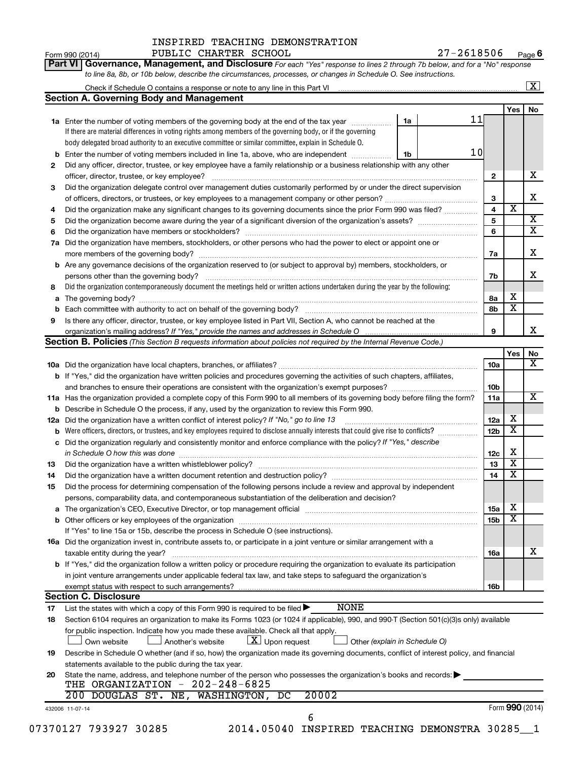### INSPIRED TEACHING DEMONSTRATION PUBLIC CHARTER SCHOOL 27-2618506

 $\frac{2014}{20140}$  PUBLIC CHARTER SCHOOL Page 27-2618506 Page **6**

*For each "Yes" response to lines 2 through 7b below, and for a "No" response to line 8a, 8b, or 10b below, describe the circumstances, processes, or changes in Schedule O. See instructions.* **Part VI Governance, Management, and Disclosure** 

| Check if Schedule O contains a response or note to any line in this Part VI |  |
|-----------------------------------------------------------------------------|--|
| <b>Section A Governing Body and Management</b>                              |  |

 $\boxed{\text{X}}$ 

|          | ouon A. Governing Douy and managem                                                                                                                                                                             |    |    |                        | Yes                          | No                      |  |  |
|----------|----------------------------------------------------------------------------------------------------------------------------------------------------------------------------------------------------------------|----|----|------------------------|------------------------------|-------------------------|--|--|
|          |                                                                                                                                                                                                                | 1a | 11 |                        |                              |                         |  |  |
|          | <b>1a</b> Enter the number of voting members of the governing body at the end of the tax year<br>If there are material differences in voting rights among members of the governing body, or if the governing   |    |    |                        |                              |                         |  |  |
|          | body delegated broad authority to an executive committee or similar committee, explain in Schedule O.                                                                                                          |    |    |                        |                              |                         |  |  |
| b        | Enter the number of voting members included in line 1a, above, who are independent <i>manumum</i>                                                                                                              | 1b | 10 |                        |                              |                         |  |  |
| 2        | Did any officer, director, trustee, or key employee have a family relationship or a business relationship with any other                                                                                       |    |    |                        |                              |                         |  |  |
|          | officer, director, trustee, or key employee?                                                                                                                                                                   |    |    | 2                      |                              | х                       |  |  |
| 3        | Did the organization delegate control over management duties customarily performed by or under the direct supervision                                                                                          |    |    |                        |                              |                         |  |  |
|          |                                                                                                                                                                                                                |    |    | 3                      |                              | x                       |  |  |
|          |                                                                                                                                                                                                                |    |    | $\overline{4}$         | $\overline{\mathbf{x}}$      |                         |  |  |
| 4        | Did the organization make any significant changes to its governing documents since the prior Form 990 was filed?                                                                                               |    |    | 5                      |                              | X                       |  |  |
| 5        |                                                                                                                                                                                                                |    |    | 6                      |                              | $\overline{\mathbf{x}}$ |  |  |
| 6        | Did the organization have members or stockholders?<br>Did the organization have members, stockholders, or other persons who had the power to elect or appoint one or                                           |    |    |                        |                              |                         |  |  |
| 7a       |                                                                                                                                                                                                                |    |    |                        |                              | x                       |  |  |
|          | more members of the governing body?<br><b>b</b> Are any governance decisions of the organization reserved to (or subject to approval by) members, stockholders, or                                             |    |    | 7a                     |                              |                         |  |  |
|          |                                                                                                                                                                                                                |    |    | 7b                     |                              | х                       |  |  |
|          | persons other than the governing body?<br>Did the organization contemporaneously document the meetings held or written actions undertaken during the year by the following:                                    |    |    |                        |                              |                         |  |  |
| 8        |                                                                                                                                                                                                                |    |    |                        | х                            |                         |  |  |
| а        |                                                                                                                                                                                                                |    |    | 8a                     | x                            |                         |  |  |
| b        | Each committee with authority to act on behalf of the governing body?                                                                                                                                          |    |    | 8b                     |                              |                         |  |  |
| 9        | Is there any officer, director, trustee, or key employee listed in Part VII, Section A, who cannot be reached at the                                                                                           |    |    | 9                      |                              | x                       |  |  |
|          | organization's mailing address? If "Yes," provide the names and addresses in Schedule O<br>Section B. Policies (This Section B requests information about policies not required by the Internal Revenue Code.) |    |    |                        |                              |                         |  |  |
|          |                                                                                                                                                                                                                |    |    |                        |                              |                         |  |  |
|          |                                                                                                                                                                                                                |    |    | 10a                    | Yes                          | No<br>x                 |  |  |
|          |                                                                                                                                                                                                                |    |    |                        |                              |                         |  |  |
|          | <b>b</b> If "Yes," did the organization have written policies and procedures governing the activities of such chapters, affiliates,                                                                            |    |    |                        |                              |                         |  |  |
|          |                                                                                                                                                                                                                |    |    | 10b                    |                              | x                       |  |  |
|          | 11a Has the organization provided a complete copy of this Form 990 to all members of its governing body before filing the form?                                                                                |    |    | 11a                    |                              |                         |  |  |
|          | <b>b</b> Describe in Schedule O the process, if any, used by the organization to review this Form 990.                                                                                                         |    |    |                        |                              |                         |  |  |
| 12a      | Did the organization have a written conflict of interest policy? If "No," go to line 13                                                                                                                        |    |    | 12a<br>12 <sub>b</sub> | X<br>$\overline{\mathbf{x}}$ |                         |  |  |
|          | Were officers, directors, or trustees, and key employees required to disclose annually interests that could give rise to conflicts?<br>b                                                                       |    |    |                        |                              |                         |  |  |
|          | Did the organization regularly and consistently monitor and enforce compliance with the policy? If "Yes," describe<br>с                                                                                        |    |    |                        |                              |                         |  |  |
|          | in Schedule O how this was done manufactured and continuum and contact the was done manufactured and contact t                                                                                                 |    |    | 12c                    | X<br>X                       |                         |  |  |
| 13       | Did the organization have a written whistleblower policy?                                                                                                                                                      |    |    | 13<br>14               | X                            |                         |  |  |
| 14       | Did the process for determining compensation of the following persons include a review and approval by independent                                                                                             |    |    |                        |                              |                         |  |  |
| 15       |                                                                                                                                                                                                                |    |    |                        |                              |                         |  |  |
|          | persons, comparability data, and contemporaneous substantiation of the deliberation and decision?                                                                                                              |    |    | 15a                    | х                            |                         |  |  |
| а        |                                                                                                                                                                                                                |    |    |                        | х                            |                         |  |  |
|          | If "Yes" to line 15a or 15b, describe the process in Schedule O (see instructions).                                                                                                                            |    |    | 15 <sub>b</sub>        |                              |                         |  |  |
|          |                                                                                                                                                                                                                |    |    |                        |                              |                         |  |  |
|          | <b>16a</b> Did the organization invest in, contribute assets to, or participate in a joint venture or similar arrangement with a                                                                               |    |    |                        |                              | x                       |  |  |
|          | taxable entity during the year?<br>b If "Yes," did the organization follow a written policy or procedure requiring the organization to evaluate its participation                                              |    |    | 16a                    |                              |                         |  |  |
|          | in joint venture arrangements under applicable federal tax law, and take steps to safeguard the organization's                                                                                                 |    |    |                        |                              |                         |  |  |
|          | exempt status with respect to such arrangements?                                                                                                                                                               |    |    | 16b                    |                              |                         |  |  |
|          | <b>Section C. Disclosure</b>                                                                                                                                                                                   |    |    |                        |                              |                         |  |  |
|          | <b>NONE</b><br>List the states with which a copy of this Form 990 is required to be filed $\blacktriangleright$                                                                                                |    |    |                        |                              |                         |  |  |
| 17<br>18 | Section 6104 requires an organization to make its Forms 1023 (or 1024 if applicable), 990, and 990-T (Section 501(c)(3)s only) available                                                                       |    |    |                        |                              |                         |  |  |
|          | for public inspection. Indicate how you made these available. Check all that apply.                                                                                                                            |    |    |                        |                              |                         |  |  |
|          | $\lfloor x \rfloor$ Upon request<br>Another's website<br>Other (explain in Schedule O)<br>Own website                                                                                                          |    |    |                        |                              |                         |  |  |
|          |                                                                                                                                                                                                                |    |    |                        |                              |                         |  |  |
| 19       | Describe in Schedule O whether (and if so, how) the organization made its governing documents, conflict of interest policy, and financial                                                                      |    |    |                        |                              |                         |  |  |
|          | statements available to the public during the tax year.                                                                                                                                                        |    |    |                        |                              |                         |  |  |
| 20       | State the name, address, and telephone number of the person who possesses the organization's books and records:<br>THE ORGANIZATION - 202-248-6825                                                             |    |    |                        |                              |                         |  |  |
|          | 20002<br>200 DOUGLAS ST. NE, WASHINGTON, DC                                                                                                                                                                    |    |    |                        |                              |                         |  |  |
|          |                                                                                                                                                                                                                |    |    |                        |                              | Form 990 (2014)         |  |  |
|          | 432006 11-07-14<br>6                                                                                                                                                                                           |    |    |                        |                              |                         |  |  |
|          |                                                                                                                                                                                                                |    |    |                        |                              |                         |  |  |

07370127 793927 30285 2014.05040 INSPIRED TEACHING DEMONSTRA 30285\_1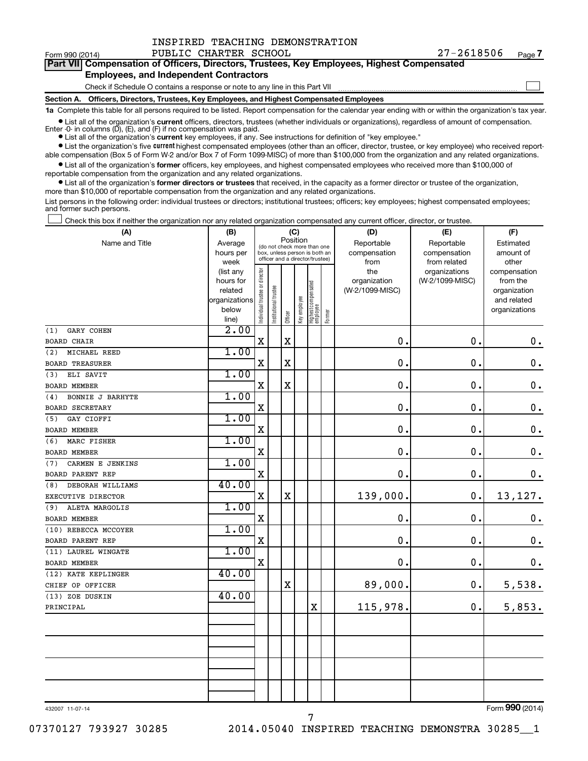$\frac{1}{27-2618506}$  PUBLIC CHARTER SCHOOL  $27-2618506$  Page **7**

 $\left| \begin{array}{c} \hline \hline \hline \hline \hline \hline \hline \hline \hline \hline \hline \end{array} \right|$ 

| Part VII Compensation of Officers, Directors, Trustees, Key Employees, Highest Compensated |  |  |
|--------------------------------------------------------------------------------------------|--|--|
| <b>Employees, and Independent Contractors</b>                                              |  |  |

Check if Schedule O contains a response or note to any line in this Part VII

#### **Section A. Officers, Directors, Trustees, Key Employees, and Highest Compensated Employees**

**1a**  Complete this table for all persons required to be listed. Report compensation for the calendar year ending with or within the organization's tax year.

• List all of the organization's current officers, directors, trustees (whether individuals or organizations), regardless of amount of compensation. Enter -0- in columns (D), (E), and (F) if no compensation was paid.

**•** List all of the organization's **current** key employees, if any. See instructions for definition of "key employee."

**•** List the organization's five *current* highest compensated employees (other than an officer, director, trustee, or key employee) who received report-• List all of the organization's former officers, key employees, and highest compensated employees who received more than \$100,000 of able compensation (Box 5 of Form W-2 and/or Box 7 of Form 1099-MISC) of more than \$100,000 from the organization and any related organizations.

reportable compensation from the organization and any related organizations.

**•** List all of the organization's former directors or trustees that received, in the capacity as a former director or trustee of the organization, more than \$10,000 of reportable compensation from the organization and any related organizations. List persons in the following order: individual trustees or directors; institutional trustees; officers; key employees; highest compensated employees;

and former such persons. Check this box if neither the organization nor any related organization compensated any current officer, director, or trustee. †

| (A)                     | (B)                    | (C)                            |                                                                                                 |          |                |                                 |        | (D)                 | (E)                              | (F)                      |
|-------------------------|------------------------|--------------------------------|-------------------------------------------------------------------------------------------------|----------|----------------|---------------------------------|--------|---------------------|----------------------------------|--------------------------|
| Name and Title          | Average                |                                |                                                                                                 | Position |                |                                 |        | Reportable          | Reportable                       | Estimated                |
|                         | hours per              |                                | (do not check more than one<br>box, unless person is both an<br>officer and a director/trustee) |          |                |                                 |        | compensation        | compensation                     | amount of                |
|                         | week                   |                                |                                                                                                 |          |                |                                 |        | from                | from related                     | other                    |
|                         | (list any<br>hours for |                                |                                                                                                 |          |                |                                 |        | the<br>organization | organizations<br>(W-2/1099-MISC) | compensation<br>from the |
|                         | related                |                                |                                                                                                 |          |                |                                 |        | (W-2/1099-MISC)     |                                  | organization             |
|                         | organizations          |                                |                                                                                                 |          |                |                                 |        |                     |                                  | and related              |
|                         | below                  | Individual trustee or director | Institutional trustee                                                                           |          | əə Kojd wə Aəy | Highestcompensated<br> employee |        |                     |                                  | organizations            |
|                         | line)                  |                                |                                                                                                 | Officer  |                |                                 | Former |                     |                                  |                          |
| GARY COHEN<br>(1)       | 2.00                   |                                |                                                                                                 |          |                |                                 |        |                     |                                  |                          |
| <b>BOARD CHAIR</b>      |                        | X                              |                                                                                                 | X        |                |                                 |        | $\mathbf 0$ .       | $\mathbf 0$ .                    | $\mathbf 0$ .            |
| MICHAEL REED<br>(2)     | 1.00                   |                                |                                                                                                 |          |                |                                 |        |                     |                                  |                          |
| <b>BOARD TREASURER</b>  |                        | X                              |                                                                                                 | X        |                |                                 |        | $\mathbf 0$ .       | $\mathbf 0$ .                    | $\mathbf 0$ .            |
| ELI SAVIT<br>(3)        | 1.00                   |                                |                                                                                                 |          |                |                                 |        |                     |                                  |                          |
| BOARD MEMBER            |                        | X                              |                                                                                                 | X        |                |                                 |        | $\mathbf 0$ .       | $\mathbf 0$ .                    | $\mathbf 0$ .            |
| BONNIE J BARHYTE<br>(4) | 1.00                   |                                |                                                                                                 |          |                |                                 |        |                     |                                  |                          |
| <b>BOARD SECRETARY</b>  |                        | Χ                              |                                                                                                 |          |                |                                 |        | $\mathbf 0$ .       | $\mathbf 0$ .                    | $\mathbf 0$ .            |
| GAY CIOFFI<br>(5)       | 1.00                   |                                |                                                                                                 |          |                |                                 |        |                     |                                  |                          |
| <b>BOARD MEMBER</b>     |                        | $\mathbf X$                    |                                                                                                 |          |                |                                 |        | $\mathbf 0$ .       | $\mathbf 0$ .                    | $\mathbf 0$ .            |
| MARC FISHER<br>(6)      | 1.00                   |                                |                                                                                                 |          |                |                                 |        |                     |                                  |                          |
| <b>BOARD MEMBER</b>     |                        | X                              |                                                                                                 |          |                |                                 |        | $\mathbf 0$ .       | $\mathbf 0$ .                    | $\mathbf 0$ .            |
| CARMEN E JENKINS<br>(7) | 1.00                   |                                |                                                                                                 |          |                |                                 |        |                     |                                  |                          |
| BOARD PARENT REP        |                        | $\mathbf X$                    |                                                                                                 |          |                |                                 |        | $\mathbf 0$ .       | $\mathbf 0$ .                    | $0$ .                    |
| DEBORAH WILLIAMS<br>(8) | 40.00                  |                                |                                                                                                 |          |                |                                 |        |                     |                                  |                          |
| EXECUTIVE DIRECTOR      |                        | $\mathbf x$                    |                                                                                                 | X        |                |                                 |        | 139,000.            | $\mathbf 0$ .                    | 13,127.                  |
| ALETA MARGOLIS<br>(9)   | 1.00                   |                                |                                                                                                 |          |                |                                 |        |                     |                                  |                          |
| BOARD MEMBER            |                        | X                              |                                                                                                 |          |                |                                 |        | $\mathbf 0$ .       | $\mathbf 0$ .                    | $\mathbf 0$ .            |
| (10) REBECCA MCCOYER    | 1.00                   |                                |                                                                                                 |          |                |                                 |        |                     |                                  |                          |
| BOARD PARENT REP        |                        | X                              |                                                                                                 |          |                |                                 |        | О.                  | $\mathbf 0$ .                    | $\mathbf 0$ .            |
| (11) LAUREL WINGATE     | 1.00                   |                                |                                                                                                 |          |                |                                 |        |                     |                                  |                          |
| BOARD MEMBER            |                        | $\mathbf x$                    |                                                                                                 |          |                |                                 |        | $\mathbf 0$ .       | $\mathbf 0$ .                    | $\mathbf 0$ .            |
| (12) KATE KEPLINGER     | 40.00                  |                                |                                                                                                 |          |                |                                 |        |                     |                                  |                          |
| CHIEF OP OFFICER        |                        |                                |                                                                                                 | X        |                |                                 |        | 89,000.             | $\mathbf 0$ .                    | 5,538.                   |
| (13) ZOE DUSKIN         | 40.00                  |                                |                                                                                                 |          |                |                                 |        |                     |                                  |                          |
| PRINCIPAL               |                        |                                |                                                                                                 |          |                | X                               |        | 115,978.            | $\mathbf 0$ .                    | 5,853.                   |
|                         |                        |                                |                                                                                                 |          |                |                                 |        |                     |                                  |                          |
|                         |                        |                                |                                                                                                 |          |                |                                 |        |                     |                                  |                          |
|                         |                        |                                |                                                                                                 |          |                |                                 |        |                     |                                  |                          |
|                         |                        |                                |                                                                                                 |          |                |                                 |        |                     |                                  |                          |
|                         |                        |                                |                                                                                                 |          |                |                                 |        |                     |                                  |                          |
|                         |                        |                                |                                                                                                 |          |                |                                 |        |                     |                                  |                          |
|                         |                        |                                |                                                                                                 |          |                |                                 |        |                     |                                  |                          |
|                         |                        |                                |                                                                                                 |          |                |                                 |        |                     |                                  |                          |

7

432007 11-07-14

Form (2014) **990**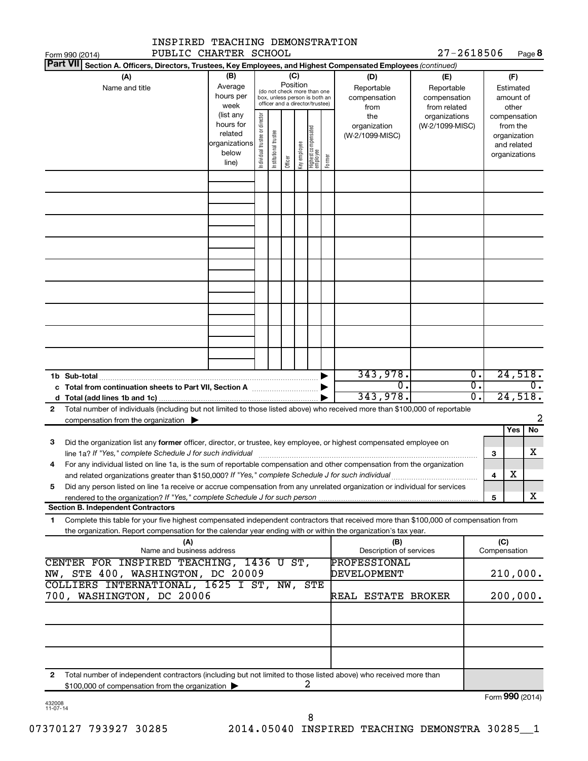|                 | INSPIRED TEACHING DEMONSTRATION |            |      |
|-----------------|---------------------------------|------------|------|
| Form 990 (2014) | PUBLIC CHARTER SCHOOL           | 27-2618506 | Page |

27-2618506 Page 8

|        | Part VII Section A. Officers, Directors, Trustees, Key Employees, and Highest Compensated Employees (continued)                      |                        |                               |                       |          |              |                                                                  |        |                         |                               |                                      |                         |          |                             |
|--------|--------------------------------------------------------------------------------------------------------------------------------------|------------------------|-------------------------------|-----------------------|----------|--------------|------------------------------------------------------------------|--------|-------------------------|-------------------------------|--------------------------------------|-------------------------|----------|-----------------------------|
|        | (A)                                                                                                                                  | (B)                    |                               |                       |          | (C)          |                                                                  |        | (D)                     | (E)                           |                                      |                         | (F)      |                             |
|        | Name and title                                                                                                                       | Average                |                               |                       | Position |              | (do not check more than one                                      |        | Reportable              | Reportable                    |                                      | Estimated               |          |                             |
|        |                                                                                                                                      | hours per<br>week      |                               |                       |          |              | box, unless person is both an<br>officer and a director/trustee) |        | compensation            | compensation                  |                                      | amount of               |          |                             |
|        |                                                                                                                                      | (list any              |                               |                       |          |              |                                                                  |        | from<br>the             | from related<br>organizations |                                      | compensation            | other    |                             |
|        |                                                                                                                                      | hours for              |                               |                       |          |              |                                                                  |        | organization            | (W-2/1099-MISC)               |                                      |                         | from the |                             |
|        |                                                                                                                                      | related                |                               |                       |          |              |                                                                  |        | (W-2/1099-MISC)         |                               |                                      | organization            |          |                             |
|        |                                                                                                                                      | organizations<br>below |                               |                       |          |              |                                                                  |        |                         |                               |                                      | and related             |          |                             |
|        |                                                                                                                                      | line)                  | ndividual trustee or director | Institutional trustee | Officer  | Key employee | Highest com pensated<br>employee                                 | Former |                         |                               |                                      | organizations           |          |                             |
|        |                                                                                                                                      |                        |                               |                       |          |              |                                                                  |        |                         |                               |                                      |                         |          |                             |
|        |                                                                                                                                      |                        |                               |                       |          |              |                                                                  |        |                         |                               |                                      |                         |          |                             |
|        |                                                                                                                                      |                        |                               |                       |          |              |                                                                  |        |                         |                               |                                      |                         |          |                             |
|        |                                                                                                                                      |                        |                               |                       |          |              |                                                                  |        |                         |                               |                                      |                         |          |                             |
|        |                                                                                                                                      |                        |                               |                       |          |              |                                                                  |        |                         |                               |                                      |                         |          |                             |
|        |                                                                                                                                      |                        |                               |                       |          |              |                                                                  |        |                         |                               |                                      |                         |          |                             |
|        |                                                                                                                                      |                        |                               |                       |          |              |                                                                  |        |                         |                               |                                      |                         |          |                             |
|        |                                                                                                                                      |                        |                               |                       |          |              |                                                                  |        |                         |                               |                                      |                         |          |                             |
|        |                                                                                                                                      |                        |                               |                       |          |              |                                                                  |        |                         |                               |                                      |                         |          |                             |
|        |                                                                                                                                      |                        |                               |                       |          |              |                                                                  |        |                         |                               |                                      |                         |          |                             |
|        |                                                                                                                                      |                        |                               |                       |          |              |                                                                  |        |                         |                               |                                      |                         |          |                             |
|        |                                                                                                                                      |                        |                               |                       |          |              |                                                                  |        |                         |                               |                                      |                         |          |                             |
|        |                                                                                                                                      |                        |                               |                       |          |              |                                                                  |        |                         |                               |                                      |                         |          |                             |
|        |                                                                                                                                      |                        |                               |                       |          |              |                                                                  |        |                         |                               |                                      |                         |          |                             |
|        |                                                                                                                                      |                        |                               |                       |          |              |                                                                  |        |                         |                               |                                      |                         |          |                             |
|        |                                                                                                                                      |                        |                               |                       |          |              |                                                                  |        |                         |                               |                                      |                         |          |                             |
|        |                                                                                                                                      |                        |                               |                       |          |              |                                                                  |        |                         |                               |                                      |                         |          |                             |
|        |                                                                                                                                      |                        |                               |                       |          |              |                                                                  |        | 343,978.<br>Ο.          |                               | $\overline{0}$ .<br>$\overline{0}$ . |                         |          | 24,518.<br>$\overline{0}$ . |
| c      |                                                                                                                                      |                        |                               |                       |          |              |                                                                  |        | 343,978.                |                               | $\overline{0}$ .                     |                         |          | 24,518.                     |
| d<br>2 | Total number of individuals (including but not limited to those listed above) who received more than \$100,000 of reportable         |                        |                               |                       |          |              |                                                                  | ▶      |                         |                               |                                      |                         |          |                             |
|        | compensation from the organization $\blacktriangleright$                                                                             |                        |                               |                       |          |              |                                                                  |        |                         |                               |                                      |                         |          |                             |
|        |                                                                                                                                      |                        |                               |                       |          |              |                                                                  |        |                         |                               |                                      |                         | Yes      | No                          |
| 3      | Did the organization list any former officer, director, or trustee, key employee, or highest compensated employee on                 |                        |                               |                       |          |              |                                                                  |        |                         |                               |                                      |                         |          |                             |
|        | line 1a? If "Yes," complete Schedule J for such individual                                                                           |                        |                               |                       |          |              |                                                                  |        |                         |                               |                                      | 3                       |          | X.                          |
| 4      | For any individual listed on line 1a, is the sum of reportable compensation and other compensation from the organization             |                        |                               |                       |          |              |                                                                  |        |                         |                               |                                      |                         |          |                             |
|        |                                                                                                                                      |                        |                               |                       |          |              |                                                                  |        |                         |                               |                                      | $\overline{\mathbf{4}}$ | х        |                             |
|        | Did any person listed on line 1a receive or accrue compensation from any unrelated organization or individual for services           |                        |                               |                       |          |              |                                                                  |        |                         |                               |                                      |                         |          |                             |
|        | <b>Section B. Independent Contractors</b>                                                                                            |                        |                               |                       |          |              |                                                                  |        |                         |                               |                                      | 5                       |          | x                           |
|        | Complete this table for your five highest compensated independent contractors that received more than \$100,000 of compensation from |                        |                               |                       |          |              |                                                                  |        |                         |                               |                                      |                         |          |                             |
| 1      | the organization. Report compensation for the calendar year ending with or within the organization's tax year.                       |                        |                               |                       |          |              |                                                                  |        |                         |                               |                                      |                         |          |                             |
|        | (A)                                                                                                                                  |                        |                               |                       |          |              |                                                                  |        | (B)                     |                               |                                      | (C)                     |          |                             |
|        | Name and business address                                                                                                            |                        |                               |                       |          |              |                                                                  |        | Description of services |                               |                                      | Compensation            |          |                             |
|        | CENTER FOR INSPIRED TEACHING, 1436 U ST,                                                                                             |                        |                               |                       |          |              |                                                                  |        | <b>PROFESSIONAL</b>     |                               |                                      |                         |          |                             |
|        | NW, STE 400, WASHINGTON, DC 20009                                                                                                    |                        |                               |                       |          |              |                                                                  |        | DEVELOPMENT             |                               |                                      | 210,000.                |          |                             |
|        | COLLIERS INTERNATIONAL, 1625 I ST, NW, STE                                                                                           |                        |                               |                       |          |              |                                                                  |        |                         |                               |                                      |                         |          |                             |
|        | 700, WASHINGTON, DC 20006                                                                                                            |                        |                               |                       |          |              |                                                                  |        | REAL ESTATE BROKER      |                               |                                      | 200,000.                |          |                             |
|        |                                                                                                                                      |                        |                               |                       |          |              |                                                                  |        |                         |                               |                                      |                         |          |                             |
|        |                                                                                                                                      |                        |                               |                       |          |              |                                                                  |        |                         |                               |                                      |                         |          |                             |
|        |                                                                                                                                      |                        |                               |                       |          |              |                                                                  |        |                         |                               |                                      |                         |          |                             |
|        |                                                                                                                                      |                        |                               |                       |          |              |                                                                  |        |                         |                               |                                      |                         |          |                             |
|        |                                                                                                                                      |                        |                               |                       |          |              |                                                                  |        |                         |                               |                                      |                         |          |                             |
| 2      | Total number of independent contractors (including but not limited to those listed above) who received more than                     |                        |                               |                       |          |              |                                                                  |        |                         |                               |                                      |                         |          |                             |
|        | \$100,000 of compensation from the organization                                                                                      |                        |                               |                       |          |              | 2                                                                |        |                         |                               |                                      |                         |          |                             |
|        |                                                                                                                                      |                        |                               |                       |          |              |                                                                  |        |                         |                               |                                      | Form 990 (2014)         |          |                             |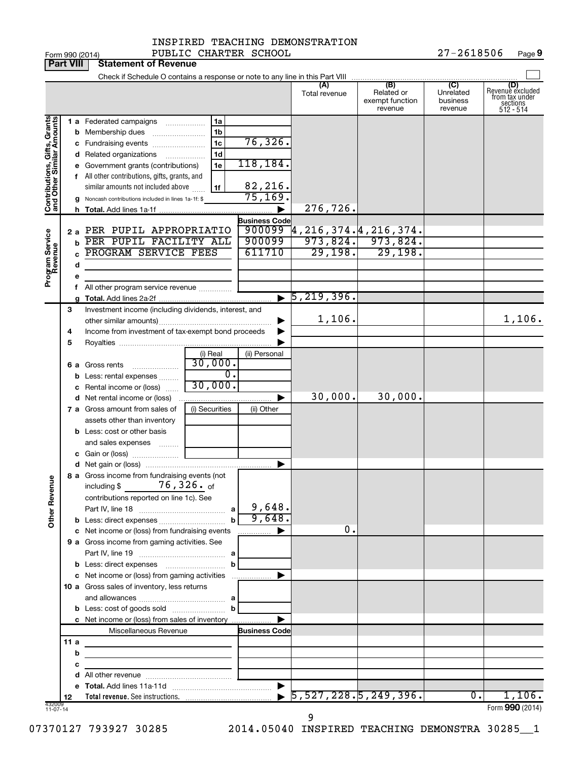## $\frac{1}{27-2618506}$  PUBLIC CHARTER SCHOOL  $27-2618506$  Page INSPIRED TEACHING DEMONSTRATION

27-2618506 Page 9

|                              | <b>Part VIII</b><br><b>Statement of Revenue</b> |                                                                                                                                                                                                                                                                                             |                                                          |                                            |                                              |                                                 |                                         |                                                             |
|------------------------------|-------------------------------------------------|---------------------------------------------------------------------------------------------------------------------------------------------------------------------------------------------------------------------------------------------------------------------------------------------|----------------------------------------------------------|--------------------------------------------|----------------------------------------------|-------------------------------------------------|-----------------------------------------|-------------------------------------------------------------|
|                              |                                                 | Check if Schedule O contains a response or note to any line in this Part VIII                                                                                                                                                                                                               |                                                          |                                            |                                              |                                                 |                                         |                                                             |
|                              |                                                 |                                                                                                                                                                                                                                                                                             |                                                          |                                            | (A)<br>Total revenue                         | (B)<br>Related or<br>exempt function<br>revenue | (C)<br>Unrelated<br>business<br>revenue | Revenue excluded<br>from tax under<br>sections<br>512 - 514 |
| Contributions, Gifts, Grants |                                                 | 1 a Federated campaigns<br><b>b</b> Membership dues<br>c Fundraising events<br>d Related organizations<br>e Government grants (contributions)<br>f All other contributions, gifts, grants, and<br>similar amounts not included above<br>g Noncash contributions included in lines 1a-1f: \$ | 1a<br>1 <sub>b</sub><br>1 <sub>c</sub><br>1d<br>1e<br>1f | 76,326.<br>118, 184.<br>82,216.<br>75,169. | 276,726.                                     |                                                 |                                         |                                                             |
|                              |                                                 | h Total. Add lines 1a-1f                                                                                                                                                                                                                                                                    |                                                          |                                            |                                              |                                                 |                                         |                                                             |
| Program Service<br>Revenue   | C.<br>d<br>е                                    | 2 a PER PUPIL APPROPRIATIO<br>b PER PUPIL FACILITY ALL<br>PROGRAM SERVICE FEES                                                                                                                                                                                                              |                                                          | <b>Business Code</b><br>900099<br>611710   | $900099$ 4, 216, 374.4, 216, 374.<br>29,198. | $973,824.$ 973,824.<br>29,198.                  |                                         |                                                             |
|                              |                                                 | f All other program service revenue                                                                                                                                                                                                                                                         |                                                          |                                            |                                              |                                                 |                                         |                                                             |
|                              |                                                 |                                                                                                                                                                                                                                                                                             |                                                          |                                            | $\blacktriangleright$ 5,219,396.             |                                                 |                                         |                                                             |
|                              | З<br>4<br>5                                     | Investment income (including dividends, interest, and<br>Income from investment of tax-exempt bond proceeds                                                                                                                                                                                 |                                                          |                                            | 1,106.                                       |                                                 |                                         | 1,106.                                                      |
|                              |                                                 |                                                                                                                                                                                                                                                                                             | (i) Real                                                 | (ii) Personal                              |                                              |                                                 |                                         |                                                             |
|                              |                                                 | 6 a Gross rents<br>$\ldots \ldots \ldots \ldots \ldots$<br><b>b</b> Less: rental expenses<br><b>c</b> Rental income or (loss)                                                                                                                                                               | 30,000.<br>σ.<br>30,000.                                 |                                            |                                              |                                                 |                                         |                                                             |
|                              |                                                 | d Net rental income or (loss)                                                                                                                                                                                                                                                               |                                                          |                                            | 30,000.                                      | 30,000.                                         |                                         |                                                             |
|                              |                                                 | 7 a Gross amount from sales of<br>assets other than inventory                                                                                                                                                                                                                               | (i) Securities                                           | (ii) Other                                 |                                              |                                                 |                                         |                                                             |
|                              |                                                 | <b>b</b> Less: cost or other basis<br>and sales expenses<br>8 a Gross income from fundraising events (not                                                                                                                                                                                   |                                                          |                                            |                                              |                                                 |                                         |                                                             |
| nue<br>Other Reve            |                                                 | including \$<br>contributions reported on line 1c). See                                                                                                                                                                                                                                     | $76,326.$ of<br>$\mathbf b$                              | 9,648.<br>9,648.                           |                                              |                                                 |                                         |                                                             |
|                              |                                                 |                                                                                                                                                                                                                                                                                             |                                                          |                                            | 0.                                           |                                                 |                                         |                                                             |
|                              |                                                 | 9 a Gross income from gaming activities. See                                                                                                                                                                                                                                                |                                                          |                                            |                                              |                                                 |                                         |                                                             |
|                              |                                                 | <b>b</b> Less: direct expenses <b>contained b</b> Less: direct expenses<br>c Net income or (loss) from gaming activities                                                                                                                                                                    | $\mathbf{b}$                                             | ▶                                          |                                              |                                                 |                                         |                                                             |
|                              |                                                 | 10 a Gross sales of inventory, less returns<br><b>b</b> Less: cost of goods sold $\ldots$ <b>b</b>                                                                                                                                                                                          |                                                          |                                            |                                              |                                                 |                                         |                                                             |
|                              |                                                 | c Net income or (loss) from sales of inventory                                                                                                                                                                                                                                              |                                                          |                                            |                                              |                                                 |                                         |                                                             |
|                              |                                                 | Miscellaneous Revenue                                                                                                                                                                                                                                                                       |                                                          | <b>Business Code</b>                       |                                              |                                                 |                                         |                                                             |
|                              | 11 a                                            |                                                                                                                                                                                                                                                                                             |                                                          |                                            |                                              |                                                 |                                         |                                                             |
|                              | b                                               | <u> 1980 - Jan Stein Berlin, amerikansk politiker (</u>                                                                                                                                                                                                                                     |                                                          |                                            |                                              |                                                 |                                         |                                                             |
|                              | с                                               | <u> 1980 - Jan Barbara Barbara, manazarta bash</u>                                                                                                                                                                                                                                          |                                                          |                                            |                                              |                                                 |                                         |                                                             |
|                              |                                                 |                                                                                                                                                                                                                                                                                             |                                                          |                                            |                                              |                                                 |                                         |                                                             |
|                              | 12                                              |                                                                                                                                                                                                                                                                                             |                                                          |                                            |                                              | $\blacktriangleright$ 5,527,228.5,249,396.      | $\overline{0}$ .                        | 1,106.                                                      |
| 432009<br>11-07-14           |                                                 |                                                                                                                                                                                                                                                                                             |                                                          |                                            |                                              |                                                 |                                         | Form 990 (2014)                                             |
|                              |                                                 |                                                                                                                                                                                                                                                                                             |                                                          |                                            | 9                                            |                                                 |                                         |                                                             |

07370127 793927 30285 2014.05040 INSPIRED TEACHING DEMONSTRA 30285\_1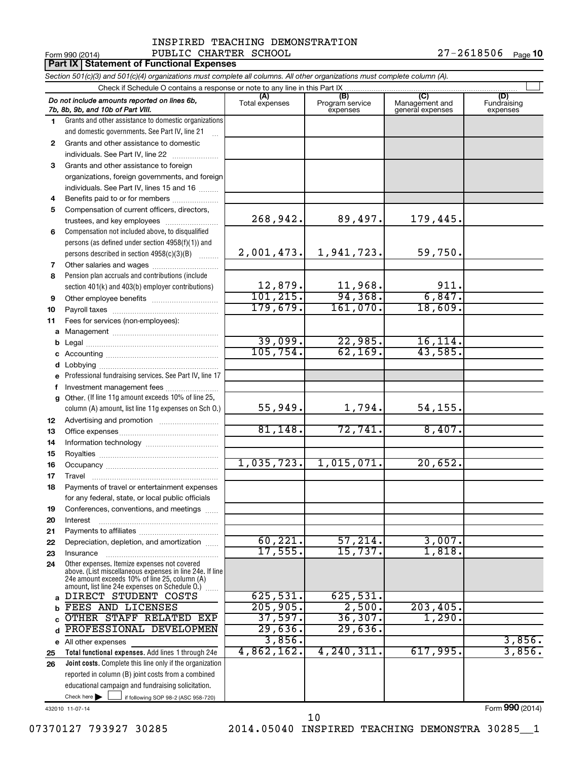#### $\frac{1}{2}$ Form 990 (2014) PUBLIC CHARTER SCHOOL Page 27-2618506 Page INSPIRED TEACHING DEMONSTRATION PUBLIC CHARTER SCHOOL

**Part IX | Statement of Functional Expenses** 

27-2618506 Page 10

| Section 501(c)(3) and 501(c)(4) organizations must complete all columns. All other organizations must complete column (A). |                                                                                                           |                            |                                    |                                           |                                |  |  |  |
|----------------------------------------------------------------------------------------------------------------------------|-----------------------------------------------------------------------------------------------------------|----------------------------|------------------------------------|-------------------------------------------|--------------------------------|--|--|--|
|                                                                                                                            | Check if Schedule O contains a response or note to any line in this Part IX                               |                            |                                    |                                           |                                |  |  |  |
|                                                                                                                            | Do not include amounts reported on lines 6b,<br>7b, 8b, 9b, and 10b of Part VIII.                         | (A)<br>Total expenses      | (B)<br>Program service<br>expenses | (C)<br>Management and<br>general expenses | (D)<br>Fundraising<br>expenses |  |  |  |
| 1.                                                                                                                         | Grants and other assistance to domestic organizations                                                     |                            |                                    |                                           |                                |  |  |  |
|                                                                                                                            | and domestic governments. See Part IV, line 21                                                            |                            |                                    |                                           |                                |  |  |  |
| $\mathbf{2}$                                                                                                               | Grants and other assistance to domestic                                                                   |                            |                                    |                                           |                                |  |  |  |
|                                                                                                                            | individuals. See Part IV, line 22                                                                         |                            |                                    |                                           |                                |  |  |  |
| 3                                                                                                                          | Grants and other assistance to foreign                                                                    |                            |                                    |                                           |                                |  |  |  |
|                                                                                                                            | organizations, foreign governments, and foreign                                                           |                            |                                    |                                           |                                |  |  |  |
|                                                                                                                            | individuals. See Part IV, lines 15 and 16                                                                 |                            |                                    |                                           |                                |  |  |  |
| 4                                                                                                                          |                                                                                                           |                            |                                    |                                           |                                |  |  |  |
| 5                                                                                                                          | Compensation of current officers, directors,                                                              |                            |                                    |                                           |                                |  |  |  |
|                                                                                                                            | trustees, and key employees                                                                               | 268,942.                   | 89,497.                            | 179,445.                                  |                                |  |  |  |
| 6                                                                                                                          | Compensation not included above, to disqualified                                                          |                            |                                    |                                           |                                |  |  |  |
|                                                                                                                            | persons (as defined under section 4958(f)(1)) and                                                         |                            |                                    |                                           |                                |  |  |  |
|                                                                                                                            | persons described in section 4958(c)(3)(B)                                                                | 2,001,473.                 | 1,941,723.                         | 59,750.                                   |                                |  |  |  |
| 7                                                                                                                          | Other salaries and wages                                                                                  |                            |                                    |                                           |                                |  |  |  |
| 8                                                                                                                          | Pension plan accruals and contributions (include                                                          |                            |                                    |                                           |                                |  |  |  |
|                                                                                                                            | section 401(k) and 403(b) employer contributions)                                                         | $\frac{12,879.}{101,215.}$ | $\frac{11,968}{94,368}$            | $\frac{911}{6,847}$                       |                                |  |  |  |
| 9<br>10                                                                                                                    |                                                                                                           | 179,679.                   | 161,070.                           | 18,609.                                   |                                |  |  |  |
| 11                                                                                                                         | Fees for services (non-employees):                                                                        |                            |                                    |                                           |                                |  |  |  |
| a                                                                                                                          |                                                                                                           |                            |                                    |                                           |                                |  |  |  |
| b                                                                                                                          |                                                                                                           | 39,099.                    | 22,985.                            | 16, 114.                                  |                                |  |  |  |
| С                                                                                                                          |                                                                                                           | 105, 754.                  | 62, 169.                           | 43,585.                                   |                                |  |  |  |
| d                                                                                                                          |                                                                                                           |                            |                                    |                                           |                                |  |  |  |
| е                                                                                                                          | Professional fundraising services. See Part IV, line 17                                                   |                            |                                    |                                           |                                |  |  |  |
| f                                                                                                                          | Investment management fees                                                                                |                            |                                    |                                           |                                |  |  |  |
| g                                                                                                                          | Other. (If line 11g amount exceeds 10% of line 25,                                                        |                            |                                    |                                           |                                |  |  |  |
|                                                                                                                            | column (A) amount, list line 11g expenses on Sch O.)                                                      | 55,949.                    | 1,794.                             | 54,155.                                   |                                |  |  |  |
| 12                                                                                                                         |                                                                                                           |                            |                                    |                                           |                                |  |  |  |
| 13                                                                                                                         |                                                                                                           | 81,148.                    | 72,741.                            | 8,407.                                    |                                |  |  |  |
| 14                                                                                                                         |                                                                                                           |                            |                                    |                                           |                                |  |  |  |
| 15                                                                                                                         |                                                                                                           |                            |                                    |                                           |                                |  |  |  |
| 16                                                                                                                         |                                                                                                           | 1,035,723.                 | 1,015,071.                         | 20,652.                                   |                                |  |  |  |
| 17                                                                                                                         | Travel                                                                                                    |                            |                                    |                                           |                                |  |  |  |
| 18                                                                                                                         | Payments of travel or entertainment expenses                                                              |                            |                                    |                                           |                                |  |  |  |
|                                                                                                                            | for any federal, state, or local public officials                                                         |                            |                                    |                                           |                                |  |  |  |
| 19                                                                                                                         | Conferences, conventions, and meetings                                                                    |                            |                                    |                                           |                                |  |  |  |
| 20                                                                                                                         | Interest                                                                                                  |                            |                                    |                                           |                                |  |  |  |
| 21                                                                                                                         | Depreciation, depletion, and amortization                                                                 | 60, 221.                   | 57, 214.                           | 3,007.                                    |                                |  |  |  |
| 22<br>23                                                                                                                   | Insurance                                                                                                 | 17,555.                    | 15,737.                            | 1,818.                                    |                                |  |  |  |
| 24                                                                                                                         | Other expenses. Itemize expenses not covered                                                              |                            |                                    |                                           |                                |  |  |  |
|                                                                                                                            | above. (List miscellaneous expenses in line 24e. If line<br>24e amount exceeds 10% of line 25, column (A) |                            |                                    |                                           |                                |  |  |  |
|                                                                                                                            | amount, list line 24e expenses on Schedule O.) $\ldots$                                                   |                            |                                    |                                           |                                |  |  |  |
| a                                                                                                                          | DIRECT STUDENT COSTS                                                                                      | 625,531.                   | 625,531.                           |                                           |                                |  |  |  |
| b                                                                                                                          | FEES AND LICENSES                                                                                         | 205,905.                   | 2,500.                             | 203, 405.                                 |                                |  |  |  |
| c                                                                                                                          | OTHER STAFF RELATED EXP                                                                                   | 37,597.                    | 36, 307.                           | 1,290.                                    |                                |  |  |  |
| d                                                                                                                          | PROFESSIONAL DEVELOPMEN                                                                                   | 29,636.                    | 29,636.                            |                                           |                                |  |  |  |
|                                                                                                                            | e All other expenses                                                                                      | 3,856.                     |                                    |                                           | 3,856.                         |  |  |  |
| 25                                                                                                                         | Total functional expenses. Add lines 1 through 24e                                                        | 4,862,162.                 | 4, 240, 311.                       | 617,995.                                  | 3,856.                         |  |  |  |
| 26                                                                                                                         | Joint costs. Complete this line only if the organization                                                  |                            |                                    |                                           |                                |  |  |  |
|                                                                                                                            | reported in column (B) joint costs from a combined                                                        |                            |                                    |                                           |                                |  |  |  |
|                                                                                                                            | educational campaign and fundraising solicitation.                                                        |                            |                                    |                                           |                                |  |  |  |
|                                                                                                                            | Check here $\blacktriangleright$<br>if following SOP 98-2 (ASC 958-720)                                   |                            |                                    |                                           |                                |  |  |  |

432010 11-07-14

07370127 793927 30285 2014.05040 INSPIRED TEACHING DEMONSTRA 30285\_1

Form (2014) **990**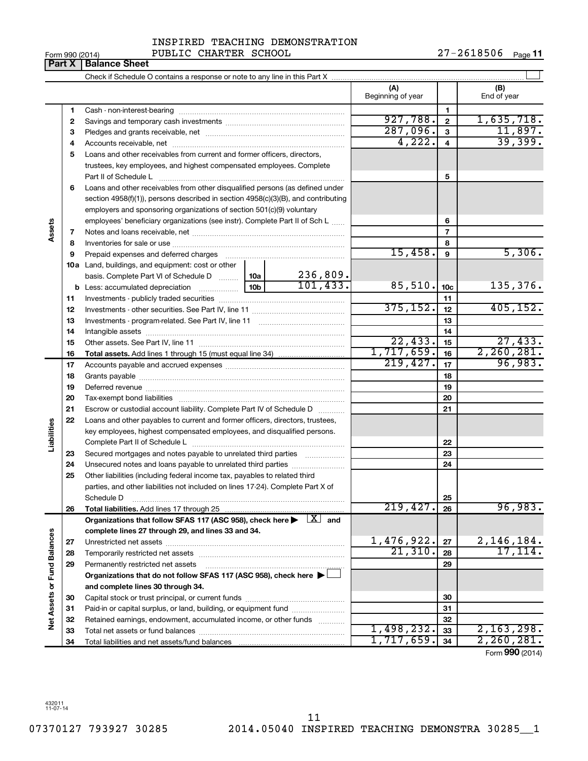## $\frac{1}{27-2618506}$  PUBLIC CHARTER SCHOOL  $\frac{27-2618506}{27-2618506}$ INSPIRED TEACHING DEMONSTRATION

27-2618506 Page 11

**Part X Balance Sheet**<br>**Part X Balance Sheet** 

|                             |          |                                                                                                                              |           |           | (A)<br>Beginning of year |                         | (B)<br>End of year |
|-----------------------------|----------|------------------------------------------------------------------------------------------------------------------------------|-----------|-----------|--------------------------|-------------------------|--------------------|
|                             | 1.       |                                                                                                                              |           |           |                          | 1                       |                    |
|                             | 2        |                                                                                                                              |           |           | 927,788.                 | $\mathbf{2}$            | 1,635,718.         |
|                             | з        |                                                                                                                              |           |           | 287,096.                 | 3                       | 11,897.            |
|                             | 4        |                                                                                                                              |           |           | 4,222.                   | $\overline{\mathbf{4}}$ | 39,399.            |
|                             | 5        | Loans and other receivables from current and former officers, directors,                                                     |           |           |                          |                         |                    |
|                             |          | trustees, key employees, and highest compensated employees. Complete                                                         |           |           |                          |                         |                    |
|                             |          | Part II of Schedule L                                                                                                        |           |           |                          | 5                       |                    |
|                             | 6        | Loans and other receivables from other disqualified persons (as defined under                                                |           |           |                          |                         |                    |
|                             |          | section $4958(f)(1)$ , persons described in section $4958(c)(3)(B)$ , and contributing                                       |           |           |                          |                         |                    |
|                             |          | employers and sponsoring organizations of section 501(c)(9) voluntary                                                        |           |           |                          |                         |                    |
|                             |          | employees' beneficiary organizations (see instr). Complete Part II of Sch L                                                  |           |           |                          | 6                       |                    |
| Assets                      | 7        |                                                                                                                              |           |           |                          | $\overline{7}$          |                    |
|                             | 8        |                                                                                                                              |           |           |                          | 8                       |                    |
|                             | 9        |                                                                                                                              |           |           | 15,458.                  | 9                       | 5,306.             |
|                             |          | <b>10a</b> Land, buildings, and equipment: cost or other                                                                     |           |           |                          |                         |                    |
|                             |          | basis. Complete Part VI of Schedule D  10a                                                                                   |           | 236,809.  |                          |                         |                    |
|                             |          |                                                                                                                              |           | 101, 433. | 85,510.                  | 10 <sub>c</sub>         | 135,376.           |
|                             | 11       |                                                                                                                              |           |           |                          | 11                      |                    |
|                             | 12       |                                                                                                                              | 375, 152. | 12        | 405, 152.                |                         |                    |
|                             | 13       |                                                                                                                              |           | 13        |                          |                         |                    |
|                             | 14       |                                                                                                                              | 22,433.   | 14        | 27,433.                  |                         |                    |
|                             | 15       |                                                                                                                              |           |           | 1,717,659.               | 15                      | 2, 260, 281.       |
|                             | 16       |                                                                                                                              |           |           | 219,427.                 | 16<br>17                | 96,983.            |
|                             | 17       |                                                                                                                              |           |           | 18                       |                         |                    |
|                             | 18<br>19 |                                                                                                                              |           | 19        |                          |                         |                    |
|                             | 20       |                                                                                                                              |           |           |                          | 20                      |                    |
|                             | 21       | Escrow or custodial account liability. Complete Part IV of Schedule D                                                        |           |           |                          | 21                      |                    |
|                             | 22       | Loans and other payables to current and former officers, directors, trustees,                                                |           |           |                          |                         |                    |
| Liabilities                 |          | key employees, highest compensated employees, and disqualified persons.                                                      |           |           |                          |                         |                    |
|                             |          |                                                                                                                              |           |           |                          | 22                      |                    |
|                             | 23       | Secured mortgages and notes payable to unrelated third parties <i>manumum</i>                                                |           |           |                          | 23                      |                    |
|                             | 24       |                                                                                                                              |           |           |                          | 24                      |                    |
|                             | 25       | Other liabilities (including federal income tax, payables to related third                                                   |           |           |                          |                         |                    |
|                             |          | parties, and other liabilities not included on lines 17-24). Complete Part X of                                              |           |           |                          |                         |                    |
|                             |          | Schedule D                                                                                                                   |           |           |                          | 25                      |                    |
|                             | 26       | Total liabilities. Add lines 17 through 25                                                                                   |           |           | 219,427.                 | 26                      | 96,983.            |
|                             |          | Organizations that follow SFAS 117 (ASC 958), check here $\blacktriangleright \begin{array}{c} \boxed{X} \\ \end{array}$ and |           |           |                          |                         |                    |
|                             |          | complete lines 27 through 29, and lines 33 and 34.                                                                           |           |           |                          |                         |                    |
|                             | 27       |                                                                                                                              |           |           | 1,476,922.               | 27                      | 2, 146, 184.       |
|                             | 28       |                                                                                                                              |           |           | 21,310.                  | 28                      | 17, 114.           |
|                             | 29       | Permanently restricted net assets                                                                                            |           |           |                          | 29                      |                    |
| Net Assets or Fund Balances |          | Organizations that do not follow SFAS 117 (ASC 958), check here $\blacktriangleright$                                        |           |           |                          |                         |                    |
|                             |          | and complete lines 30 through 34.                                                                                            |           |           |                          |                         |                    |
|                             | 30       |                                                                                                                              |           |           |                          | 30                      |                    |
|                             | 31       | Paid-in or capital surplus, or land, building, or equipment fund                                                             |           |           |                          | 31                      |                    |
|                             | 32       | Retained earnings, endowment, accumulated income, or other funds                                                             |           |           |                          | 32                      |                    |
|                             | 33       |                                                                                                                              |           |           | 1,498,232.               | 33                      | 2,163,298.         |
|                             | 34       | Total liabilities and net assets/fund balances                                                                               |           |           | 1,717,659.               | 34                      | 2, 260, 281.       |

Form (2014) **990**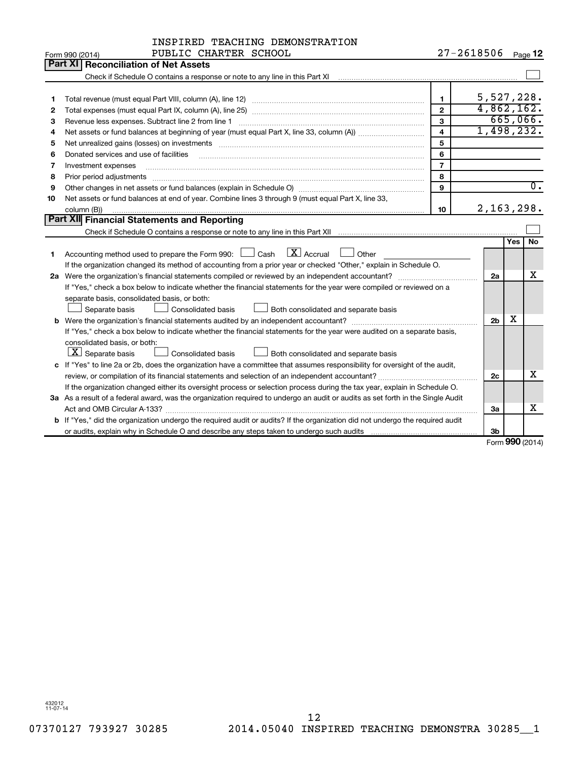|    | PUBLIC CHARTER SCHOOL<br>Form 990 (2014)                                                                                        |                         | 27-2618506     |     | Page 12          |
|----|---------------------------------------------------------------------------------------------------------------------------------|-------------------------|----------------|-----|------------------|
|    | <b>Part XI Reconciliation of Net Assets</b>                                                                                     |                         |                |     |                  |
|    |                                                                                                                                 |                         |                |     |                  |
|    |                                                                                                                                 |                         |                |     |                  |
| 1  |                                                                                                                                 | 1                       | 5,527,228.     |     |                  |
| 2  |                                                                                                                                 | $\mathbf{2}$            | 4,862,162.     |     |                  |
| з  | Revenue less expenses. Subtract line 2 from line 1                                                                              | 3                       |                |     | 665,066.         |
| 4  |                                                                                                                                 | $\overline{\mathbf{4}}$ | 1,498,232.     |     |                  |
| 5  |                                                                                                                                 | 5                       |                |     |                  |
| 6  | Donated services and use of facilities                                                                                          | 6                       |                |     |                  |
| 7  | Investment expenses                                                                                                             | $\overline{7}$          |                |     |                  |
| 8  | Prior period adjustments                                                                                                        | 8                       |                |     |                  |
| 9  |                                                                                                                                 | 9                       |                |     | $\overline{0}$ . |
| 10 | Net assets or fund balances at end of year. Combine lines 3 through 9 (must equal Part X, line 33,                              |                         |                |     |                  |
|    | column (B))                                                                                                                     | 10                      | 2,163,298.     |     |                  |
|    | Part XII Financial Statements and Reporting                                                                                     |                         |                |     |                  |
|    |                                                                                                                                 |                         |                |     |                  |
|    |                                                                                                                                 |                         |                | Yes | No               |
| 1  | Accounting method used to prepare the Form 990: $\Box$ Cash $\Box$ Accrual $\Box$ Other                                         |                         |                |     |                  |
|    | If the organization changed its method of accounting from a prior year or checked "Other," explain in Schedule O.               |                         |                |     |                  |
|    |                                                                                                                                 |                         | 2a             |     | х                |
|    | If "Yes," check a box below to indicate whether the financial statements for the year were compiled or reviewed on a            |                         |                |     |                  |
|    | separate basis, consolidated basis, or both:                                                                                    |                         |                |     |                  |
|    | Separate basis<br>Consolidated basis<br>Both consolidated and separate basis                                                    |                         |                |     |                  |
|    |                                                                                                                                 |                         | 2 <sub>b</sub> | х   |                  |
|    | If "Yes," check a box below to indicate whether the financial statements for the year were audited on a separate basis,         |                         |                |     |                  |
|    | consolidated basis, or both:                                                                                                    |                         |                |     |                  |
|    | $X$ Separate basis<br>Consolidated basis<br>Both consolidated and separate basis                                                |                         |                |     |                  |
|    | c If "Yes" to line 2a or 2b, does the organization have a committee that assumes responsibility for oversight of the audit,     |                         |                |     |                  |
|    |                                                                                                                                 |                         | 2c             |     | x                |
|    | If the organization changed either its oversight process or selection process during the tax year, explain in Schedule O.       |                         |                |     |                  |
|    | 3a As a result of a federal award, was the organization required to undergo an audit or audits as set forth in the Single Audit |                         |                |     |                  |
|    |                                                                                                                                 |                         | 3a             |     | x                |
|    | b If "Yes," did the organization undergo the required audit or audits? If the organization did not undergo the required audit   |                         |                |     |                  |
|    |                                                                                                                                 |                         | 3b             |     |                  |

Form (2014) **990**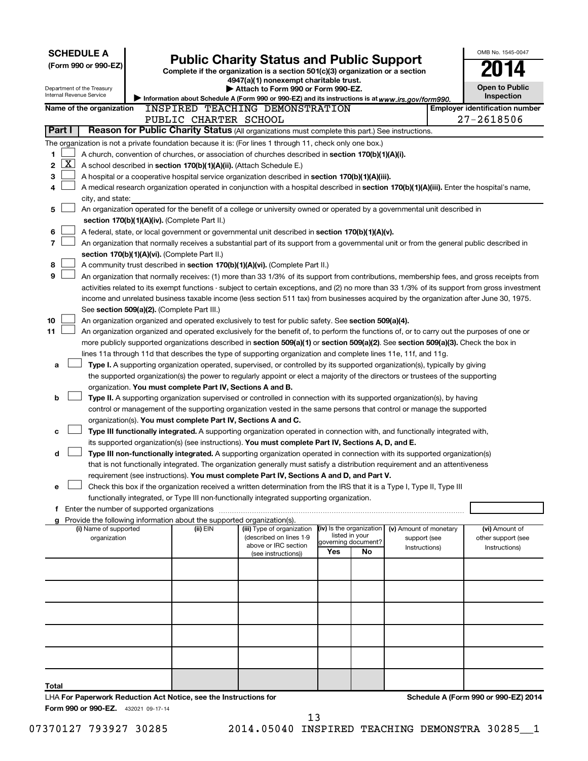| <b>SCHEDULE A</b><br>(Form 990 or 990-EZ)<br>Department of the Treasury<br>Internal Revenue Service |          |                          |  |                                                                                    | <b>Public Charity Status and Public Support</b><br>Complete if the organization is a section $501(c)(3)$ organization or a section<br>4947(a)(1) nonexempt charitable trust.<br>Attach to Form 990 or Form 990-EZ.<br>Information about Schedule A (Form 990 or 990-EZ) and its instructions is at www.irs.gov/form990. |                |                           |                        |  | OMB No. 1545-0047<br><b>Open to Public</b><br>Inspection                                                                                      |
|-----------------------------------------------------------------------------------------------------|----------|--------------------------|--|------------------------------------------------------------------------------------|-------------------------------------------------------------------------------------------------------------------------------------------------------------------------------------------------------------------------------------------------------------------------------------------------------------------------|----------------|---------------------------|------------------------|--|-----------------------------------------------------------------------------------------------------------------------------------------------|
|                                                                                                     |          | Name of the organization |  |                                                                                    | INSPIRED TEACHING DEMONSTRATION                                                                                                                                                                                                                                                                                         |                |                           |                        |  | <b>Employer identification number</b>                                                                                                         |
|                                                                                                     |          |                          |  | PUBLIC CHARTER SCHOOL                                                              |                                                                                                                                                                                                                                                                                                                         |                |                           |                        |  | 27-2618506                                                                                                                                    |
| Part I                                                                                              |          |                          |  |                                                                                    | Reason for Public Charity Status (All organizations must complete this part.) See instructions.                                                                                                                                                                                                                         |                |                           |                        |  |                                                                                                                                               |
|                                                                                                     |          |                          |  |                                                                                    | The organization is not a private foundation because it is: (For lines 1 through 11, check only one box.)                                                                                                                                                                                                               |                |                           |                        |  |                                                                                                                                               |
| 1                                                                                                   |          |                          |  |                                                                                    | A church, convention of churches, or association of churches described in section 170(b)(1)(A)(i).                                                                                                                                                                                                                      |                |                           |                        |  |                                                                                                                                               |
| 2                                                                                                   | <u>x</u> |                          |  | A school described in section 170(b)(1)(A)(ii). (Attach Schedule E.)               |                                                                                                                                                                                                                                                                                                                         |                |                           |                        |  |                                                                                                                                               |
| З                                                                                                   |          |                          |  |                                                                                    | A hospital or a cooperative hospital service organization described in <b>section 170(b)(1)(A)(iii).</b>                                                                                                                                                                                                                |                |                           |                        |  |                                                                                                                                               |
| 4                                                                                                   |          |                          |  |                                                                                    | A medical research organization operated in conjunction with a hospital described in section 170(b)(1)(A)(iii). Enter the hospital's name,                                                                                                                                                                              |                |                           |                        |  |                                                                                                                                               |
|                                                                                                     |          | city, and state:         |  |                                                                                    |                                                                                                                                                                                                                                                                                                                         |                |                           |                        |  |                                                                                                                                               |
| 5                                                                                                   |          |                          |  |                                                                                    | An organization operated for the benefit of a college or university owned or operated by a governmental unit described in                                                                                                                                                                                               |                |                           |                        |  |                                                                                                                                               |
|                                                                                                     |          |                          |  | section 170(b)(1)(A)(iv). (Complete Part II.)                                      |                                                                                                                                                                                                                                                                                                                         |                |                           |                        |  |                                                                                                                                               |
| 6                                                                                                   |          |                          |  |                                                                                    | A federal, state, or local government or governmental unit described in section 170(b)(1)(A)(v).                                                                                                                                                                                                                        |                |                           |                        |  |                                                                                                                                               |
| 7                                                                                                   |          |                          |  | section 170(b)(1)(A)(vi). (Complete Part II.)                                      | An organization that normally receives a substantial part of its support from a governmental unit or from the general public described in                                                                                                                                                                               |                |                           |                        |  |                                                                                                                                               |
| 8                                                                                                   |          |                          |  |                                                                                    | A community trust described in section 170(b)(1)(A)(vi). (Complete Part II.)                                                                                                                                                                                                                                            |                |                           |                        |  |                                                                                                                                               |
| 9                                                                                                   |          |                          |  |                                                                                    | An organization that normally receives: (1) more than 33 1/3% of its support from contributions, membership fees, and gross receipts from                                                                                                                                                                               |                |                           |                        |  |                                                                                                                                               |
|                                                                                                     |          |                          |  |                                                                                    |                                                                                                                                                                                                                                                                                                                         |                |                           |                        |  | activities related to its exempt functions - subject to certain exceptions, and (2) no more than 33 1/3% of its support from gross investment |
|                                                                                                     |          |                          |  |                                                                                    | income and unrelated business taxable income (less section 511 tax) from businesses acquired by the organization after June 30, 1975.                                                                                                                                                                                   |                |                           |                        |  |                                                                                                                                               |
|                                                                                                     |          |                          |  | See section 509(a)(2). (Complete Part III.)                                        |                                                                                                                                                                                                                                                                                                                         |                |                           |                        |  |                                                                                                                                               |
| 10                                                                                                  |          |                          |  |                                                                                    | An organization organized and operated exclusively to test for public safety. See section 509(a)(4).                                                                                                                                                                                                                    |                |                           |                        |  |                                                                                                                                               |
| 11                                                                                                  |          |                          |  |                                                                                    | An organization organized and operated exclusively for the benefit of, to perform the functions of, or to carry out the purposes of one or                                                                                                                                                                              |                |                           |                        |  |                                                                                                                                               |
|                                                                                                     |          |                          |  |                                                                                    | more publicly supported organizations described in section 509(a)(1) or section 509(a)(2). See section 509(a)(3). Check the box in                                                                                                                                                                                      |                |                           |                        |  |                                                                                                                                               |
|                                                                                                     |          |                          |  |                                                                                    | lines 11a through 11d that describes the type of supporting organization and complete lines 11e, 11f, and 11g.                                                                                                                                                                                                          |                |                           |                        |  |                                                                                                                                               |
| а                                                                                                   |          |                          |  |                                                                                    | Type I. A supporting organization operated, supervised, or controlled by its supported organization(s), typically by giving                                                                                                                                                                                             |                |                           |                        |  |                                                                                                                                               |
|                                                                                                     |          |                          |  |                                                                                    | the supported organization(s) the power to regularly appoint or elect a majority of the directors or trustees of the supporting                                                                                                                                                                                         |                |                           |                        |  |                                                                                                                                               |
|                                                                                                     |          |                          |  | organization. You must complete Part IV, Sections A and B.                         |                                                                                                                                                                                                                                                                                                                         |                |                           |                        |  |                                                                                                                                               |
| b                                                                                                   |          |                          |  |                                                                                    | Type II. A supporting organization supervised or controlled in connection with its supported organization(s), by having<br>control or management of the supporting organization vested in the same persons that control or manage the supported                                                                         |                |                           |                        |  |                                                                                                                                               |
|                                                                                                     |          |                          |  | organization(s). You must complete Part IV, Sections A and C.                      |                                                                                                                                                                                                                                                                                                                         |                |                           |                        |  |                                                                                                                                               |
| с                                                                                                   |          |                          |  |                                                                                    | Type III functionally integrated. A supporting organization operated in connection with, and functionally integrated with,                                                                                                                                                                                              |                |                           |                        |  |                                                                                                                                               |
|                                                                                                     |          |                          |  |                                                                                    | its supported organization(s) (see instructions). You must complete Part IV, Sections A, D, and E.                                                                                                                                                                                                                      |                |                           |                        |  |                                                                                                                                               |
| d                                                                                                   |          |                          |  |                                                                                    | Type III non-functionally integrated. A supporting organization operated in connection with its supported organization(s)                                                                                                                                                                                               |                |                           |                        |  |                                                                                                                                               |
|                                                                                                     |          |                          |  |                                                                                    | that is not functionally integrated. The organization generally must satisfy a distribution requirement and an attentiveness                                                                                                                                                                                            |                |                           |                        |  |                                                                                                                                               |
|                                                                                                     |          |                          |  |                                                                                    | requirement (see instructions). You must complete Part IV, Sections A and D, and Part V.                                                                                                                                                                                                                                |                |                           |                        |  |                                                                                                                                               |
| е                                                                                                   |          |                          |  |                                                                                    | Check this box if the organization received a written determination from the IRS that it is a Type I, Type II, Type III                                                                                                                                                                                                 |                |                           |                        |  |                                                                                                                                               |
|                                                                                                     |          |                          |  |                                                                                    | functionally integrated, or Type III non-functionally integrated supporting organization.                                                                                                                                                                                                                               |                |                           |                        |  |                                                                                                                                               |
|                                                                                                     |          |                          |  |                                                                                    |                                                                                                                                                                                                                                                                                                                         |                |                           |                        |  |                                                                                                                                               |
|                                                                                                     |          | (i) Name of supported    |  | Provide the following information about the supported organization(s).<br>(ii) EIN | (iii) Type of organization                                                                                                                                                                                                                                                                                              |                | (iv) Is the organization  | (v) Amount of monetary |  | (vi) Amount of                                                                                                                                |
|                                                                                                     |          | organization             |  |                                                                                    | (described on lines 1-9                                                                                                                                                                                                                                                                                                 | listed in your |                           | support (see           |  | other support (see                                                                                                                            |
|                                                                                                     |          |                          |  |                                                                                    | above or IRC section                                                                                                                                                                                                                                                                                                    | Yes            | governing document?<br>No | Instructions)          |  | Instructions)                                                                                                                                 |
|                                                                                                     |          |                          |  |                                                                                    | (see instructions))                                                                                                                                                                                                                                                                                                     |                |                           |                        |  |                                                                                                                                               |
|                                                                                                     |          |                          |  |                                                                                    |                                                                                                                                                                                                                                                                                                                         |                |                           |                        |  |                                                                                                                                               |
|                                                                                                     |          |                          |  |                                                                                    |                                                                                                                                                                                                                                                                                                                         |                |                           |                        |  |                                                                                                                                               |
|                                                                                                     |          |                          |  |                                                                                    |                                                                                                                                                                                                                                                                                                                         |                |                           |                        |  |                                                                                                                                               |
|                                                                                                     |          |                          |  |                                                                                    |                                                                                                                                                                                                                                                                                                                         |                |                           |                        |  |                                                                                                                                               |
|                                                                                                     |          |                          |  |                                                                                    |                                                                                                                                                                                                                                                                                                                         |                |                           |                        |  |                                                                                                                                               |
|                                                                                                     |          |                          |  |                                                                                    |                                                                                                                                                                                                                                                                                                                         |                |                           |                        |  |                                                                                                                                               |
|                                                                                                     |          |                          |  |                                                                                    |                                                                                                                                                                                                                                                                                                                         |                |                           |                        |  |                                                                                                                                               |
|                                                                                                     |          |                          |  |                                                                                    |                                                                                                                                                                                                                                                                                                                         |                |                           |                        |  |                                                                                                                                               |
|                                                                                                     |          |                          |  |                                                                                    |                                                                                                                                                                                                                                                                                                                         |                |                           |                        |  |                                                                                                                                               |
| Total                                                                                               |          |                          |  |                                                                                    |                                                                                                                                                                                                                                                                                                                         |                |                           |                        |  |                                                                                                                                               |
|                                                                                                     |          |                          |  | LHA For Paperwork Reduction Act Notice, see the Instructions for                   |                                                                                                                                                                                                                                                                                                                         |                |                           |                        |  | Schedule A (Form 990 or 990-EZ) 2014                                                                                                          |

432021 09-17-14 **Form 990 or 990-EZ.**

**Schedule A (Form 990 or 990-EZ) 2014**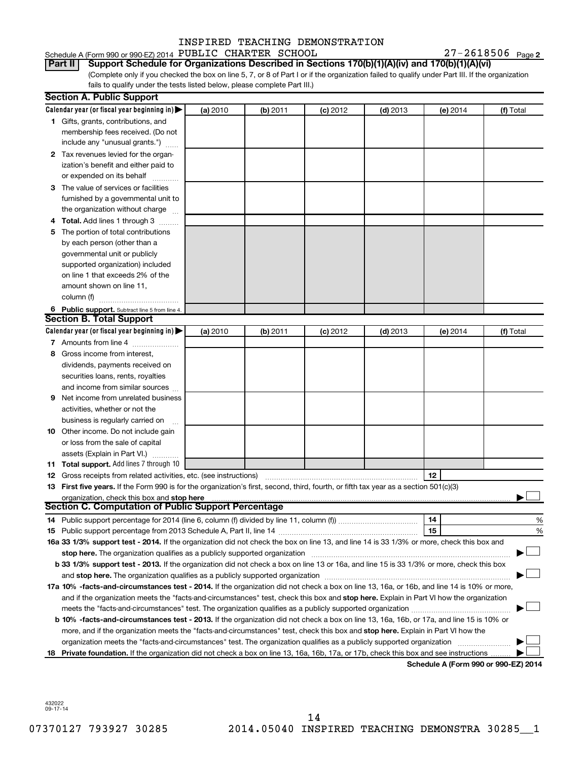27-2618506 Page 2

## Schedule A (Form 990 or 990-EZ) 2014 PUBLIC CHARTER SCHOOL  $27-2618506$  Page **Part II Support Schedule for Organizations Described in Sections 170(b)(1)(A)(iv) and 170(b)(1)(A)(vi)**

(Complete only if you checked the box on line 5, 7, or 8 of Part I or if the organization failed to qualify under Part III. If the organization fails to qualify under the tests listed below, please complete Part III.)

|   | <b>Section A. Public Support</b>                                                                                                                                                                                              |          |          |            |            |                 |           |
|---|-------------------------------------------------------------------------------------------------------------------------------------------------------------------------------------------------------------------------------|----------|----------|------------|------------|-----------------|-----------|
|   | Calendar year (or fiscal year beginning in)                                                                                                                                                                                   | (a) 2010 | (b) 2011 | (c) 2012   | $(d)$ 2013 | <b>(e)</b> 2014 | (f) Total |
|   | 1 Gifts, grants, contributions, and                                                                                                                                                                                           |          |          |            |            |                 |           |
|   | membership fees received. (Do not                                                                                                                                                                                             |          |          |            |            |                 |           |
|   | include any "unusual grants.")                                                                                                                                                                                                |          |          |            |            |                 |           |
|   | 2 Tax revenues levied for the organ-                                                                                                                                                                                          |          |          |            |            |                 |           |
|   | ization's benefit and either paid to                                                                                                                                                                                          |          |          |            |            |                 |           |
|   | or expended on its behalf                                                                                                                                                                                                     |          |          |            |            |                 |           |
|   | 3 The value of services or facilities                                                                                                                                                                                         |          |          |            |            |                 |           |
|   | furnished by a governmental unit to                                                                                                                                                                                           |          |          |            |            |                 |           |
|   | the organization without charge                                                                                                                                                                                               |          |          |            |            |                 |           |
|   | 4 Total. Add lines 1 through 3                                                                                                                                                                                                |          |          |            |            |                 |           |
|   | 5 The portion of total contributions                                                                                                                                                                                          |          |          |            |            |                 |           |
|   | by each person (other than a                                                                                                                                                                                                  |          |          |            |            |                 |           |
|   | governmental unit or publicly                                                                                                                                                                                                 |          |          |            |            |                 |           |
|   | supported organization) included                                                                                                                                                                                              |          |          |            |            |                 |           |
|   | on line 1 that exceeds 2% of the                                                                                                                                                                                              |          |          |            |            |                 |           |
|   | amount shown on line 11,                                                                                                                                                                                                      |          |          |            |            |                 |           |
|   | column (f)                                                                                                                                                                                                                    |          |          |            |            |                 |           |
|   | 6 Public support. Subtract line 5 from line 4.                                                                                                                                                                                |          |          |            |            |                 |           |
|   | <b>Section B. Total Support</b>                                                                                                                                                                                               |          |          |            |            |                 |           |
|   | Calendar year (or fiscal year beginning in)                                                                                                                                                                                   | (a) 2010 | (b) 2011 | $(c)$ 2012 | $(d)$ 2013 | $(e)$ 2014      | (f) Total |
|   | 7 Amounts from line 4                                                                                                                                                                                                         |          |          |            |            |                 |           |
|   | 8 Gross income from interest,                                                                                                                                                                                                 |          |          |            |            |                 |           |
|   | dividends, payments received on                                                                                                                                                                                               |          |          |            |            |                 |           |
|   | securities loans, rents, royalties                                                                                                                                                                                            |          |          |            |            |                 |           |
|   | and income from similar sources                                                                                                                                                                                               |          |          |            |            |                 |           |
| 9 | Net income from unrelated business                                                                                                                                                                                            |          |          |            |            |                 |           |
|   | activities, whether or not the                                                                                                                                                                                                |          |          |            |            |                 |           |
|   | business is regularly carried on                                                                                                                                                                                              |          |          |            |            |                 |           |
|   | <b>10</b> Other income. Do not include gain                                                                                                                                                                                   |          |          |            |            |                 |           |
|   | or loss from the sale of capital                                                                                                                                                                                              |          |          |            |            |                 |           |
|   | assets (Explain in Part VI.)                                                                                                                                                                                                  |          |          |            |            |                 |           |
|   | <b>11 Total support.</b> Add lines 7 through 10                                                                                                                                                                               |          |          |            |            |                 |           |
|   | <b>12</b> Gross receipts from related activities, etc. (see instructions)                                                                                                                                                     |          |          |            |            | 12              |           |
|   | 13 First five years. If the Form 990 is for the organization's first, second, third, fourth, or fifth tax year as a section 501(c)(3)                                                                                         |          |          |            |            |                 |           |
|   | organization, check this box and stop here                                                                                                                                                                                    |          |          |            |            |                 |           |
|   | Section C. Computation of Public Support Percentage                                                                                                                                                                           |          |          |            |            |                 |           |
|   | 14 Public support percentage for 2014 (line 6, column (f) divided by line 11, column (f))                                                                                                                                     |          |          |            |            | 14              | %         |
|   |                                                                                                                                                                                                                               |          |          |            |            | 15              | %         |
|   | 16a 33 1/3% support test - 2014. If the organization did not check the box on line 13, and line 14 is 33 1/3% or more, check this box and                                                                                     |          |          |            |            |                 |           |
|   | stop here. The organization qualifies as a publicly supported organization manufaction manufacture or manufacture or manufacture or manufacture or manufacture or manufacture or manufacture or manufacture or manufacture or |          |          |            |            |                 |           |
|   | <b>b 33 1/3% support test - 2013.</b> If the organization did not check a box on line 13 or 16a, and line 15 is 33 1/3% or more, check this box                                                                               |          |          |            |            |                 |           |
|   |                                                                                                                                                                                                                               |          |          |            |            |                 |           |
|   | 17a 10% -facts-and-circumstances test - 2014. If the organization did not check a box on line 13, 16a, or 16b, and line 14 is 10% or more,                                                                                    |          |          |            |            |                 |           |
|   | and if the organization meets the "facts-and-circumstances" test, check this box and <b>stop here.</b> Explain in Part VI how the organization                                                                                |          |          |            |            |                 |           |
|   |                                                                                                                                                                                                                               |          |          |            |            |                 |           |
|   | b 10% -facts-and-circumstances test - 2013. If the organization did not check a box on line 13, 16a, 16b, or 17a, and line 15 is 10% or                                                                                       |          |          |            |            |                 |           |
|   | more, and if the organization meets the "facts-and-circumstances" test, check this box and stop here. Explain in Part VI how the                                                                                              |          |          |            |            |                 |           |
|   |                                                                                                                                                                                                                               |          |          |            |            |                 |           |
|   | 18 Private foundation. If the organization did not check a box on line 13, 16a, 16b, 17a, or 17b, check this box and see instructions                                                                                         |          |          |            |            |                 |           |
|   |                                                                                                                                                                                                                               |          |          |            |            |                 |           |

**Schedule A (Form 990 or 990-EZ) 2014**

432022 09-17-14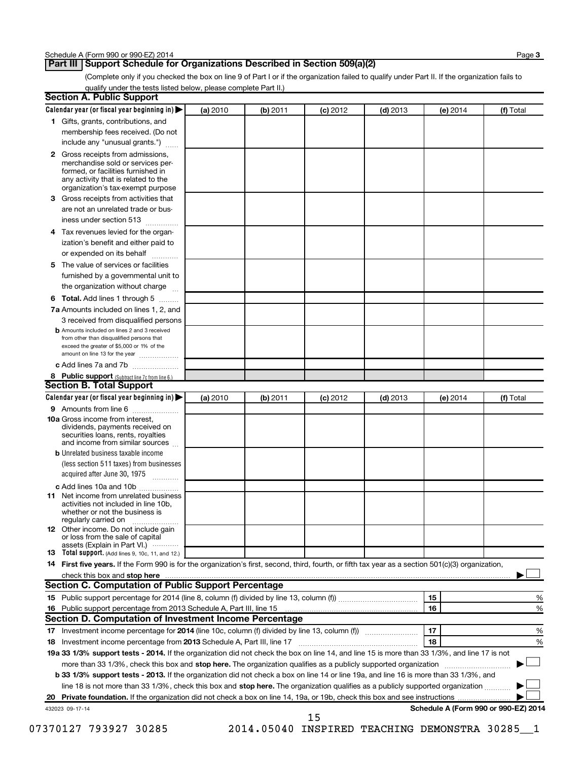|    | (Complete only if you checked the box on line 9 of Part I or if the organization failed to qualify under Part II. If the organization fails to      |          |          |            |            |            |                                      |
|----|-----------------------------------------------------------------------------------------------------------------------------------------------------|----------|----------|------------|------------|------------|--------------------------------------|
|    | qualify under the tests listed below, please complete Part II.)                                                                                     |          |          |            |            |            |                                      |
|    | <b>Section A. Public Support</b>                                                                                                                    |          |          |            |            |            |                                      |
|    | Calendar year (or fiscal year beginning in) $\blacktriangleright$                                                                                   | (a) 2010 | (b) 2011 | $(c)$ 2012 | $(d)$ 2013 | (e) $2014$ | (f) Total                            |
|    | 1 Gifts, grants, contributions, and                                                                                                                 |          |          |            |            |            |                                      |
|    | membership fees received. (Do not                                                                                                                   |          |          |            |            |            |                                      |
|    | include any "unusual grants.")                                                                                                                      |          |          |            |            |            |                                      |
|    | 2 Gross receipts from admissions,                                                                                                                   |          |          |            |            |            |                                      |
|    | merchandise sold or services per-                                                                                                                   |          |          |            |            |            |                                      |
|    | formed, or facilities furnished in<br>any activity that is related to the                                                                           |          |          |            |            |            |                                      |
|    | organization's tax-exempt purpose                                                                                                                   |          |          |            |            |            |                                      |
|    | 3 Gross receipts from activities that                                                                                                               |          |          |            |            |            |                                      |
|    | are not an unrelated trade or bus-                                                                                                                  |          |          |            |            |            |                                      |
|    | iness under section 513                                                                                                                             |          |          |            |            |            |                                      |
|    | 4 Tax revenues levied for the organ-                                                                                                                |          |          |            |            |            |                                      |
|    | ization's benefit and either paid to                                                                                                                |          |          |            |            |            |                                      |
|    | or expended on its behalf                                                                                                                           |          |          |            |            |            |                                      |
|    | .<br>5 The value of services or facilities                                                                                                          |          |          |            |            |            |                                      |
|    | furnished by a governmental unit to                                                                                                                 |          |          |            |            |            |                                      |
|    | the organization without charge                                                                                                                     |          |          |            |            |            |                                      |
|    |                                                                                                                                                     |          |          |            |            |            |                                      |
|    | 6 Total. Add lines 1 through 5                                                                                                                      |          |          |            |            |            |                                      |
|    | 7a Amounts included on lines 1, 2, and                                                                                                              |          |          |            |            |            |                                      |
|    | 3 received from disqualified persons                                                                                                                |          |          |            |            |            |                                      |
|    | <b>b</b> Amounts included on lines 2 and 3 received<br>from other than disqualified persons that                                                    |          |          |            |            |            |                                      |
|    | exceed the greater of \$5,000 or 1% of the                                                                                                          |          |          |            |            |            |                                      |
|    | amount on line 13 for the year                                                                                                                      |          |          |            |            |            |                                      |
|    | c Add lines 7a and 7b                                                                                                                               |          |          |            |            |            |                                      |
|    | 8 Public support (Subtract line 7c from line 6.)                                                                                                    |          |          |            |            |            |                                      |
|    | <b>Section B. Total Support</b>                                                                                                                     |          |          |            |            |            |                                      |
|    | Calendar year (or fiscal year beginning in)                                                                                                         | (a) 2010 | (b) 2011 | $(c)$ 2012 | $(d)$ 2013 | $(e)$ 2014 | (f) Total                            |
|    | 9 Amounts from line 6                                                                                                                               |          |          |            |            |            |                                      |
|    | <b>10a</b> Gross income from interest,<br>dividends, payments received on                                                                           |          |          |            |            |            |                                      |
|    | securities loans, rents, royalties                                                                                                                  |          |          |            |            |            |                                      |
|    | and income from similar sources                                                                                                                     |          |          |            |            |            |                                      |
|    | <b>b</b> Unrelated business taxable income                                                                                                          |          |          |            |            |            |                                      |
|    | (less section 511 taxes) from businesses                                                                                                            |          |          |            |            |            |                                      |
|    | acquired after June 30, 1975<br>.                                                                                                                   |          |          |            |            |            |                                      |
|    | c Add lines 10a and 10b                                                                                                                             |          |          |            |            |            |                                      |
|    | 11 Net income from unrelated business                                                                                                               |          |          |            |            |            |                                      |
|    | activities not included in line 10b,<br>whether or not the business is                                                                              |          |          |            |            |            |                                      |
|    | regularly carried on                                                                                                                                |          |          |            |            |            |                                      |
|    | <b>12</b> Other income. Do not include gain                                                                                                         |          |          |            |            |            |                                      |
|    | or loss from the sale of capital                                                                                                                    |          |          |            |            |            |                                      |
|    | assets (Explain in Part VI.)<br>13 Total support. (Add lines 9, 10c, 11, and 12.)                                                                   |          |          |            |            |            |                                      |
|    | 14 First five years. If the Form 990 is for the organization's first, second, third, fourth, or fifth tax year as a section 501(c)(3) organization, |          |          |            |            |            |                                      |
|    | check this box and stop here                                                                                                                        |          |          |            |            |            |                                      |
|    | <b>Section C. Computation of Public Support Percentage</b>                                                                                          |          |          |            |            |            |                                      |
|    |                                                                                                                                                     |          |          |            |            | 15         | %                                    |
| 16 | Public support percentage from 2013 Schedule A, Part III, line 15                                                                                   |          |          |            |            | 16         | $\%$                                 |
|    | Section D. Computation of Investment Income Percentage                                                                                              |          |          |            |            |            |                                      |
| 17 |                                                                                                                                                     |          |          |            |            | 17         | %                                    |
|    |                                                                                                                                                     |          |          |            |            | 18         | %                                    |
| 18 |                                                                                                                                                     |          |          |            |            |            |                                      |
|    | 19a 33 1/3% support tests - 2014. If the organization did not check the box on line 14, and line 15 is more than 33 1/3%, and line 17 is not        |          |          |            |            |            |                                      |
|    | more than 33 1/3%, check this box and stop here. The organization qualifies as a publicly supported organization <i>manamerroum</i>                 |          |          |            |            |            |                                      |
|    | b 33 1/3% support tests - 2013. If the organization did not check a box on line 14 or line 19a, and line 16 is more than 33 1/3%, and               |          |          |            |            |            |                                      |
|    | line 18 is not more than 33 1/3%, check this box and stop here. The organization qualifies as a publicly supported organization                     |          |          |            |            |            |                                      |
|    | 20 Private foundation. If the organization did not check a box on line 14, 19a, or 19b, check this box and see instructions                         |          |          |            |            |            |                                      |
|    | 432023 09-17-14                                                                                                                                     |          |          |            |            |            | Schedule A (Form 990 or 990-EZ) 2014 |

#### Schedule A (Form 990 or 990-EZ) 2014 Page 2014 Page 2014 Page 2014 Page 2014 Page 2014 Page 2015 Page 2016 Page **Part III Support Schedule for Organizations Described in Section 509(a)(2)**

 <sup>15</sup>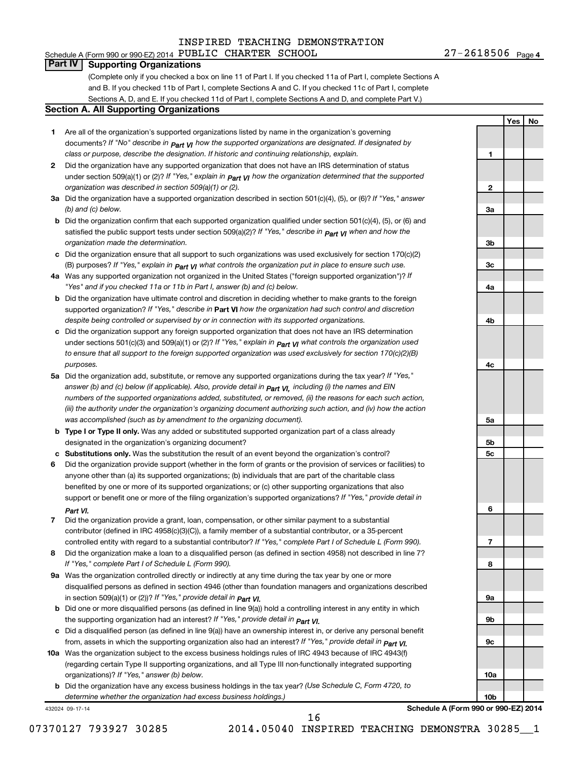**1**

**2**

**3a**

**3b**

**3c**

**4a**

**4b**

**4c**

**5a**

**5b 5c**

**6**

**7**

**8**

**9a**

**9b**

**9c**

**10a**

**10b**

**Yes No**

#### **Part IV** Supporting Organizations

(Complete only if you checked a box on line 11 of Part I. If you checked 11a of Part I, complete Sections A and B. If you checked 11b of Part I, complete Sections A and C. If you checked 11c of Part I, complete Sections A, D, and E. If you checked 11d of Part I, complete Sections A and D, and complete Part V.)

#### **Section A. All Supporting Organizations**

- **1** Are all of the organization's supported organizations listed by name in the organization's governing documents? If "No" describe in  $_{\mathsf{Part}}$   $_{\mathsf{V}}$  how the supported organizations are designated. If designated by *class or purpose, describe the designation. If historic and continuing relationship, explain.*
- **2** Did the organization have any supported organization that does not have an IRS determination of status under section 509(a)(1) or (2)? If "Yes," explain in  $_{\sf Part}$   $_{\sf VI}$  how the organization determined that the supported *organization was described in section 509(a)(1) or (2).*
- **3a** Did the organization have a supported organization described in section 501(c)(4), (5), or (6)? If "Yes," answer *(b) and (c) below.*
- **b** Did the organization confirm that each supported organization qualified under section 501(c)(4), (5), or (6) and satisfied the public support tests under section 509(a)(2)? If "Yes," describe in  $_{\rm Part}$   $_{\rm VI}$  when and how the *organization made the determination.*
- **c** Did the organization ensure that all support to such organizations was used exclusively for section 170(c)(2) (B) purposes? If "Yes," explain in  $_{\rm Part}$   $_{\rm VI}$  what controls the organization put in place to ensure such use.
- **4 a** *If* Was any supported organization not organized in the United States ("foreign supported organization")? *"Yes" and if you checked 11a or 11b in Part I, answer (b) and (c) below.*
- **b** Did the organization have ultimate control and discretion in deciding whether to make grants to the foreign supported organization? If "Yes," describe in Part VI how the organization had such control and discretion *despite being controlled or supervised by or in connection with its supported organizations.*
- **c** Did the organization support any foreign supported organization that does not have an IRS determination under sections 501(c)(3) and 509(a)(1) or (2)? If "Yes," ex*plain in*  $_{\sf Part}$  *v*J what controls the organization used *to ensure that all support to the foreign supported organization was used exclusively for section 170(c)(2)(B) purposes.*
- **5a** Did the organization add, substitute, or remove any supported organizations during the tax year? If "Yes," answer (b) and (c) below (if applicable). Also, provide detail in  $_{\sf Part}$   $_{\sf VI,}$  including (i) the names and EIN *numbers of the supported organizations added, substituted, or removed, (ii) the reasons for each such action, (iii) the authority under the organization's organizing document authorizing such action, and (iv) how the action was accomplished (such as by amendment to the organizing document).*
- **b** Type I or Type II only. Was any added or substituted supported organization part of a class already designated in the organization's organizing document?
- **c Substitutions only.**  Was the substitution the result of an event beyond the organization's control?
- **6** Did the organization provide support (whether in the form of grants or the provision of services or facilities) to support or benefit one or more of the filing organization's supported organizations? If "Yes," provide detail in anyone other than (a) its supported organizations; (b) individuals that are part of the charitable class benefited by one or more of its supported organizations; or (c) other supporting organizations that also *Part VI.*
- **7** Did the organization provide a grant, loan, compensation, or other similar payment to a substantial controlled entity with regard to a substantial contributor? If "Yes," complete Part I of Schedule L (Form 990). contributor (defined in IRC 4958(c)(3)(C)), a family member of a substantial contributor, or a 35-percent
- **8** Did the organization make a loan to a disqualified person (as defined in section 4958) not described in line 7? *If "Yes," complete Part I of Schedule L (Form 990).*
- **9 a** Was the organization controlled directly or indirectly at any time during the tax year by one or more *If "Yes," provide detail in*  in section 509(a)(1) or (2))? *Part VI.* disqualified persons as defined in section 4946 (other than foundation managers and organizations described
- **b** Did one or more disqualified persons (as defined in line 9(a)) hold a controlling interest in any entity in which  *If "Yes," provide detail in*  the supporting organization had an interest? *Part VI.*
- **c** Did a disqualified person (as defined in line 9(a)) have an ownership interest in, or derive any personal benefit from, assets in which the supporting organization also had an interest? If "Yes," *provide detail in Part VI.*
- **10 a** Was the organization subject to the excess business holdings rules of IRC 4943 because of IRC 4943(f)  *If "Yes," answer (b) below.* organizations)? (regarding certain Type II supporting organizations, and all Type III non-functionally integrated supporting
- **b** Did the organization have any excess business holdings in the tax year? (Use Schedule C, Form 4720, to *determine whether the organization had excess business holdings.)*

432024 09-17-14

**Schedule A (Form 990 or 990-EZ) 2014**

07370127 793927 30285 2014.05040 INSPIRED TEACHING DEMONSTRA 30285 1 16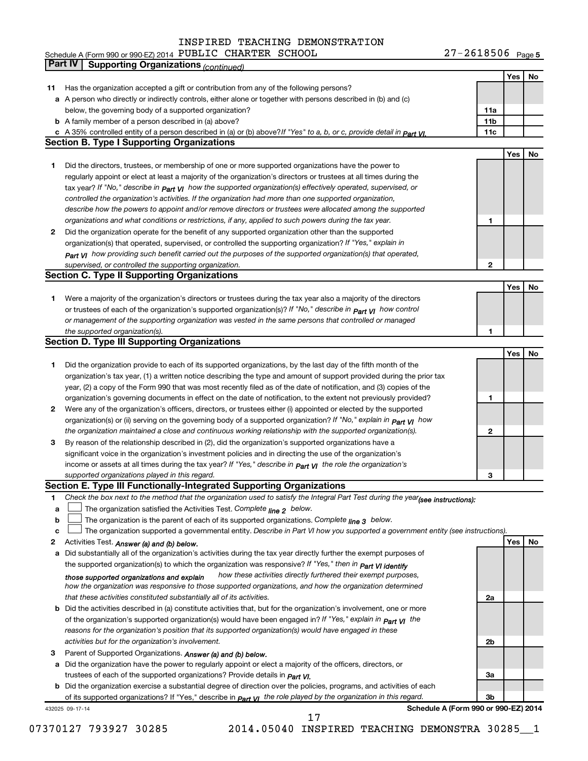**5** Schedule A (Form 990 or 990-EZ) 2014 Page PUBLIC CHARTER SCHOOL 27-2618506

|    | Part IV<br><b>Supporting Organizations (continued)</b>                                                                             |                 |     |    |
|----|------------------------------------------------------------------------------------------------------------------------------------|-----------------|-----|----|
|    |                                                                                                                                    |                 | Yes | No |
| 11 | Has the organization accepted a gift or contribution from any of the following persons?                                            |                 |     |    |
|    | a A person who directly or indirectly controls, either alone or together with persons described in (b) and (c)                     |                 |     |    |
|    | below, the governing body of a supported organization?                                                                             | 11a             |     |    |
|    | <b>b</b> A family member of a person described in (a) above?                                                                       | 11 <sub>b</sub> |     |    |
|    | c A 35% controlled entity of a person described in (a) or (b) above? If "Yes" to a, b, or c, provide detail in $P_{\text{art VI}}$ | 11c             |     |    |
|    | <b>Section B. Type I Supporting Organizations</b>                                                                                  |                 |     |    |
|    |                                                                                                                                    |                 | Yes | No |
|    | Did the directors, trustees, or membership of one or more supported organizations have the power to                                |                 |     |    |
| 1  |                                                                                                                                    |                 |     |    |
|    | regularly appoint or elect at least a majority of the organization's directors or trustees at all times during the                 |                 |     |    |
|    | tax year? If "No," describe in $P_{art}$ $V$ how the supported organization(s) effectively operated, supervised, or                |                 |     |    |
|    | controlled the organization's activities. If the organization had more than one supported organization,                            |                 |     |    |
|    | describe how the powers to appoint and/or remove directors or trustees were allocated among the supported                          |                 |     |    |
|    | organizations and what conditions or restrictions, if any, applied to such powers during the tax year.                             | 1               |     |    |
| 2  | Did the organization operate for the benefit of any supported organization other than the supported                                |                 |     |    |
|    | organization(s) that operated, supervised, or controlled the supporting organization? If "Yes," explain in                         |                 |     |    |
|    | Part VI how providing such benefit carried out the purposes of the supported organization(s) that operated,                        |                 |     |    |
|    | supervised, or controlled the supporting organization.                                                                             | 2               |     |    |
|    | <b>Section C. Type II Supporting Organizations</b>                                                                                 |                 |     |    |
|    |                                                                                                                                    |                 | Yes | No |
| 1  | Were a majority of the organization's directors or trustees during the tax year also a majority of the directors                   |                 |     |    |
|    | or trustees of each of the organization's supported organization(s)? If "No," describe in Part VI how control                      |                 |     |    |
|    | or management of the supporting organization was vested in the same persons that controlled or managed                             |                 |     |    |
|    | the supported organization(s).                                                                                                     | 1               |     |    |
|    | <b>Section D. Type III Supporting Organizations</b>                                                                                |                 |     |    |
|    |                                                                                                                                    |                 | Yes | No |
| 1  | Did the organization provide to each of its supported organizations, by the last day of the fifth month of the                     |                 |     |    |
|    | organization's tax year, (1) a written notice describing the type and amount of support provided during the prior tax              |                 |     |    |
|    | year, (2) a copy of the Form 990 that was most recently filed as of the date of notification, and (3) copies of the                |                 |     |    |
|    | organization's governing documents in effect on the date of notification, to the extent not previously provided?                   | 1               |     |    |
| 2  | Were any of the organization's officers, directors, or trustees either (i) appointed or elected by the supported                   |                 |     |    |
|    | organization(s) or (ii) serving on the governing body of a supported organization? If "No," explain in part VI how                 |                 |     |    |
|    | the organization maintained a close and continuous working relationship with the supported organization(s).                        | 2               |     |    |
| 3  | By reason of the relationship described in (2), did the organization's supported organizations have a                              |                 |     |    |
|    | significant voice in the organization's investment policies and in directing the use of the organization's                         |                 |     |    |
|    | income or assets at all times during the tax year? If "Yes," describe in $_{Part}$ $_{VI}$ the role the organization's             |                 |     |    |
|    | supported organizations played in this regard.                                                                                     | 3               |     |    |
|    | Section E. Type III Functionally-Integrated Supporting Organizations                                                               |                 |     |    |
| 1  | Check the box next to the method that the organization used to satisfy the Integral Part Test during the year(see instructions):   |                 |     |    |
| a  | The organization satisfied the Activities Test. Complete line 2 below.                                                             |                 |     |    |
| b  | The organization is the parent of each of its supported organizations. Complete $_{\text{line 3}}$ below.                          |                 |     |    |
| с  | The organization supported a governmental entity. Describe in Part VI how you supported a government entity (see instructions).    |                 |     |    |
| 2  | Activities Test. Answer (a) and (b) below.                                                                                         |                 | Yes | No |
| а  | Did substantially all of the organization's activities during the tax year directly further the exempt purposes of                 |                 |     |    |
|    | the supported organization(s) to which the organization was responsive? If "Yes," then in Part VI identify                         |                 |     |    |
|    | how these activities directly furthered their exempt purposes,<br>those supported organizations and explain                        |                 |     |    |
|    | how the organization was responsive to those supported organizations, and how the organization determined                          |                 |     |    |
|    | that these activities constituted substantially all of its activities.                                                             | 2a              |     |    |
|    | <b>b</b> Did the activities described in (a) constitute activities that, but for the organization's involvement, one or more       |                 |     |    |
|    | of the organization's supported organization(s) would have been engaged in? If "Yes," explain in $P_{\text{art}}$ $V_I$ the        |                 |     |    |
|    | reasons for the organization's position that its supported organization(s) would have engaged in these                             |                 |     |    |
|    | activities but for the organization's involvement.                                                                                 | 2b              |     |    |
| 3  | Parent of Supported Organizations. Answer (a) and (b) below.                                                                       |                 |     |    |
| a  | Did the organization have the power to regularly appoint or elect a majority of the officers, directors, or                        |                 |     |    |
|    | trustees of each of the supported organizations? Provide details in <i>Part VI.</i>                                                | 3a              |     |    |
|    | <b>b</b> Did the organization exercise a substantial degree of direction over the policies, programs, and activities of each       |                 |     |    |
|    | of its supported organizations? If "Yes," describe in $P_{\text{diff}}$ $y_1$ the role played by the organization in this regard.  | Зb              |     |    |
|    | Schedule A (Form 990 or 990-EZ) 2014<br>432025 09-17-14                                                                            |                 |     |    |

07370127 793927 30285 2014.05040 INSPIRED TEACHING DEMONSTRA 30285\_1

17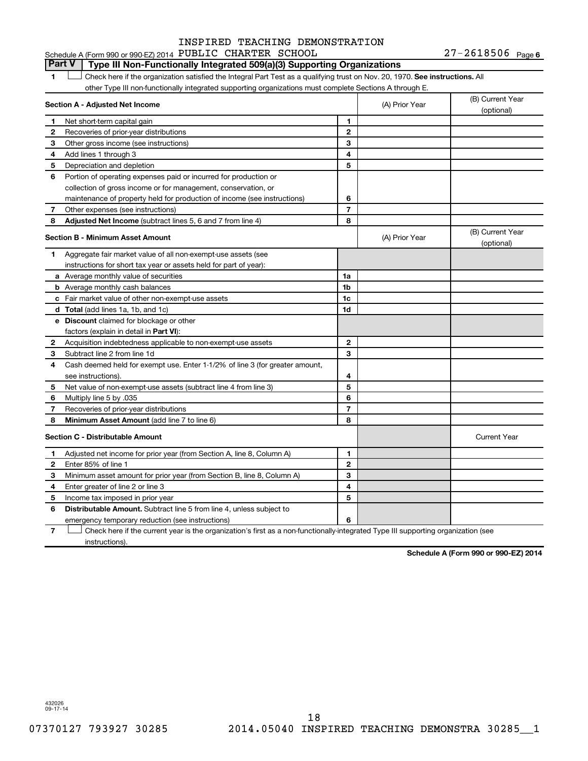27-2618506 Page 6 Schedule A (Form 990 or 990-EZ) 2014 PUBLIC CHARTER SCHOOL  $27-2618506$  Page

|                | <b>Part V</b><br>Type III Non-Functionally Integrated 509(a)(3) Supporting Organizations                                          |                |                |                     |
|----------------|-----------------------------------------------------------------------------------------------------------------------------------|----------------|----------------|---------------------|
| 1.             | Check here if the organization satisfied the Integral Part Test as a qualifying trust on Nov. 20, 1970. See instructions. All     |                |                |                     |
|                | other Type III non-functionally integrated supporting organizations must complete Sections A through E.                           |                |                |                     |
|                |                                                                                                                                   |                |                | (B) Current Year    |
|                | Section A - Adjusted Net Income                                                                                                   |                | (A) Prior Year | (optional)          |
| 1              | Net short-term capital gain                                                                                                       | 1              |                |                     |
| 2              | Recoveries of prior-year distributions                                                                                            | $\mathbf{2}$   |                |                     |
| 3              | Other gross income (see instructions)                                                                                             | 3              |                |                     |
| 4              | Add lines 1 through 3                                                                                                             | 4              |                |                     |
| 5              | Depreciation and depletion                                                                                                        | 5              |                |                     |
| 6              | Portion of operating expenses paid or incurred for production or                                                                  |                |                |                     |
|                | collection of gross income or for management, conservation, or                                                                    |                |                |                     |
|                | maintenance of property held for production of income (see instructions)                                                          | 6              |                |                     |
| 7              | Other expenses (see instructions)                                                                                                 | $\overline{7}$ |                |                     |
| 8              | Adjusted Net Income (subtract lines 5, 6 and 7 from line 4)                                                                       | 8              |                |                     |
|                | <b>Section B - Minimum Asset Amount</b>                                                                                           |                | (A) Prior Year | (B) Current Year    |
|                |                                                                                                                                   |                |                | (optional)          |
| 1.             | Aggregate fair market value of all non-exempt-use assets (see                                                                     |                |                |                     |
|                | instructions for short tax year or assets held for part of year):                                                                 | 1a             |                |                     |
|                | a Average monthly value of securities                                                                                             | 1b             |                |                     |
|                | <b>b</b> Average monthly cash balances                                                                                            |                |                |                     |
|                | c Fair market value of other non-exempt-use assets                                                                                | 1c             |                |                     |
|                | d Total (add lines 1a, 1b, and 1c)                                                                                                | 1d             |                |                     |
|                | <b>e</b> Discount claimed for blockage or other                                                                                   |                |                |                     |
|                | factors (explain in detail in Part VI):                                                                                           | $\mathbf{2}$   |                |                     |
| 2              | Acquisition indebtedness applicable to non-exempt-use assets                                                                      |                |                |                     |
| 3              | Subtract line 2 from line 1d                                                                                                      | 3              |                |                     |
| 4              | Cash deemed held for exempt use. Enter 1-1/2% of line 3 (for greater amount,                                                      |                |                |                     |
|                | see instructions).                                                                                                                | 4              |                |                     |
| 5              | Net value of non-exempt-use assets (subtract line 4 from line 3)                                                                  | 5<br>6         |                |                     |
| 6              | 035. Multiply line 5 by                                                                                                           | $\overline{7}$ |                |                     |
| $\overline{7}$ | Recoveries of prior-year distributions                                                                                            |                |                |                     |
| 8              | Minimum Asset Amount (add line 7 to line 6)                                                                                       | 8              |                |                     |
|                | <b>Section C - Distributable Amount</b>                                                                                           |                |                | <b>Current Year</b> |
| 1              | Adjusted net income for prior year (from Section A, line 8, Column A)                                                             | 1              |                |                     |
| $\mathbf{2}$   | Enter 85% of line 1                                                                                                               | $\mathbf{2}$   |                |                     |
| 3              | Minimum asset amount for prior year (from Section B, line 8, Column A)                                                            | 3              |                |                     |
| 4              | Enter greater of line 2 or line 3                                                                                                 | 4              |                |                     |
| 5              | Income tax imposed in prior year                                                                                                  | 5              |                |                     |
| 6              | <b>Distributable Amount.</b> Subtract line 5 from line 4, unless subject to                                                       |                |                |                     |
|                | emergency temporary reduction (see instructions)                                                                                  | 6              |                |                     |
| $\overline{7}$ | Check here if the current year is the organization's first as a non-functionally-integrated Type III supporting organization (see |                |                |                     |
|                | instructions).                                                                                                                    |                |                |                     |

**Schedule A (Form 990 or 990-EZ) 2014**

432026 09-17-14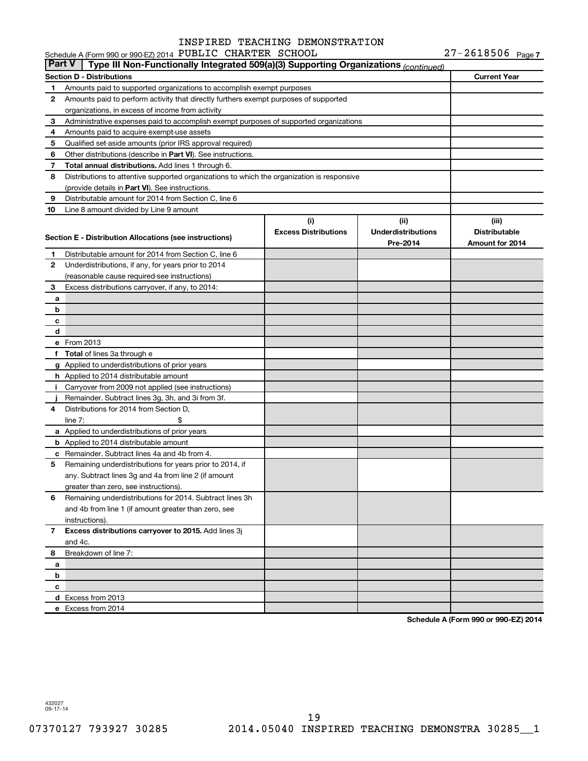27-2618506 Page 7 Schedule A (Form 990 or 990-EZ) 2014 PUBLIC CHARTER SCHOOL  $27-2618506$  Page

|    | <b>Part V</b><br>Type III Non-Functionally Integrated 509(a)(3) Supporting Organizations (continued) |                             |                           |                      |  |  |  |  |  |
|----|------------------------------------------------------------------------------------------------------|-----------------------------|---------------------------|----------------------|--|--|--|--|--|
|    | <b>Section D - Distributions</b>                                                                     |                             |                           | <b>Current Year</b>  |  |  |  |  |  |
| 1  | Amounts paid to supported organizations to accomplish exempt purposes                                |                             |                           |                      |  |  |  |  |  |
| 2  | Amounts paid to perform activity that directly furthers exempt purposes of supported                 |                             |                           |                      |  |  |  |  |  |
|    | organizations, in excess of income from activity                                                     |                             |                           |                      |  |  |  |  |  |
| 3  | Administrative expenses paid to accomplish exempt purposes of supported organizations                |                             |                           |                      |  |  |  |  |  |
| 4  | Amounts paid to acquire exempt-use assets                                                            |                             |                           |                      |  |  |  |  |  |
| 5  | Qualified set-aside amounts (prior IRS approval required)                                            |                             |                           |                      |  |  |  |  |  |
| 6  | Other distributions (describe in Part VI). See instructions.                                         |                             |                           |                      |  |  |  |  |  |
| 7  | Total annual distributions. Add lines 1 through 6.                                                   |                             |                           |                      |  |  |  |  |  |
| 8  | Distributions to attentive supported organizations to which the organization is responsive           |                             |                           |                      |  |  |  |  |  |
|    | (provide details in Part VI). See instructions.                                                      |                             |                           |                      |  |  |  |  |  |
| 9  | Distributable amount for 2014 from Section C, line 6                                                 |                             |                           |                      |  |  |  |  |  |
| 10 | Line 8 amount divided by Line 9 amount                                                               |                             |                           |                      |  |  |  |  |  |
|    |                                                                                                      | (i)                         | (ii)                      | (iii)                |  |  |  |  |  |
|    |                                                                                                      | <b>Excess Distributions</b> | <b>Underdistributions</b> | <b>Distributable</b> |  |  |  |  |  |
|    | Section E - Distribution Allocations (see instructions)                                              |                             | Pre-2014                  | Amount for 2014      |  |  |  |  |  |
| 1. | Distributable amount for 2014 from Section C, line 6                                                 |                             |                           |                      |  |  |  |  |  |
| 2  | Underdistributions, if any, for years prior to 2014                                                  |                             |                           |                      |  |  |  |  |  |
|    | (reasonable cause required-see instructions)                                                         |                             |                           |                      |  |  |  |  |  |
| 3  | Excess distributions carryover, if any, to 2014:                                                     |                             |                           |                      |  |  |  |  |  |
| а  |                                                                                                      |                             |                           |                      |  |  |  |  |  |
| b  |                                                                                                      |                             |                           |                      |  |  |  |  |  |
| c  |                                                                                                      |                             |                           |                      |  |  |  |  |  |
| d  |                                                                                                      |                             |                           |                      |  |  |  |  |  |
|    | e From 2013                                                                                          |                             |                           |                      |  |  |  |  |  |
|    | f Total of lines 3a through e                                                                        |                             |                           |                      |  |  |  |  |  |
|    | g Applied to underdistributions of prior years                                                       |                             |                           |                      |  |  |  |  |  |
|    | <b>h</b> Applied to 2014 distributable amount                                                        |                             |                           |                      |  |  |  |  |  |
| i. | Carryover from 2009 not applied (see instructions)                                                   |                             |                           |                      |  |  |  |  |  |
|    | Remainder. Subtract lines 3g, 3h, and 3i from 3f.                                                    |                             |                           |                      |  |  |  |  |  |
| 4  | Distributions for 2014 from Section D,                                                               |                             |                           |                      |  |  |  |  |  |
|    | \$<br>line $7:$                                                                                      |                             |                           |                      |  |  |  |  |  |
|    | <b>a</b> Applied to underdistributions of prior years                                                |                             |                           |                      |  |  |  |  |  |
|    | <b>b</b> Applied to 2014 distributable amount                                                        |                             |                           |                      |  |  |  |  |  |
|    | c Remainder. Subtract lines 4a and 4b from 4.                                                        |                             |                           |                      |  |  |  |  |  |
| 5  | Remaining underdistributions for years prior to 2014, if                                             |                             |                           |                      |  |  |  |  |  |
|    | any. Subtract lines 3g and 4a from line 2 (if amount                                                 |                             |                           |                      |  |  |  |  |  |
|    | greater than zero, see instructions).                                                                |                             |                           |                      |  |  |  |  |  |
| 6  | Remaining underdistributions for 2014. Subtract lines 3h                                             |                             |                           |                      |  |  |  |  |  |
|    | and 4b from line 1 (if amount greater than zero, see                                                 |                             |                           |                      |  |  |  |  |  |
|    | instructions).                                                                                       |                             |                           |                      |  |  |  |  |  |
| 7  | Excess distributions carryover to 2015. Add lines 3j                                                 |                             |                           |                      |  |  |  |  |  |
|    | and 4c.                                                                                              |                             |                           |                      |  |  |  |  |  |
| 8  | Breakdown of line 7:                                                                                 |                             |                           |                      |  |  |  |  |  |
| a  |                                                                                                      |                             |                           |                      |  |  |  |  |  |
| b  |                                                                                                      |                             |                           |                      |  |  |  |  |  |
| c  |                                                                                                      |                             |                           |                      |  |  |  |  |  |
|    | d Excess from 2013                                                                                   |                             |                           |                      |  |  |  |  |  |
|    | e Excess from 2014                                                                                   |                             |                           |                      |  |  |  |  |  |

**Schedule A (Form 990 or 990-EZ) 2014**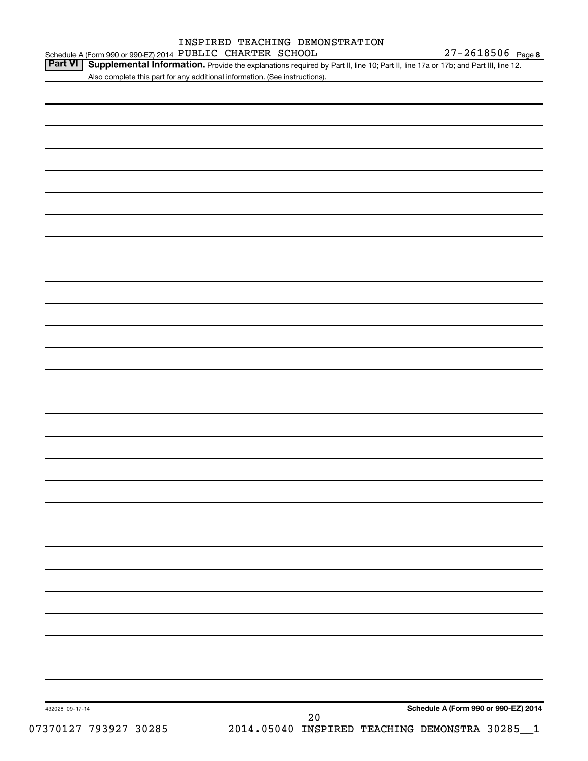27-2618506 Page 8 Schedule A (Form 990 or 990-EZ) 2014 Page PUBLIC CHARTER SCHOOL 27-2618506

Part VI | Supplemental Information. Provide the explanations required by Part II, line 10; Part II, line 17a or 17b; and Part III, line 12. Also complete this part for any additional information. (See instructions).

| 432028 09-17-14<br>07370127 793927 30285 | Schedule A (Form 990 or 990-EZ) 2014<br>$2\,0$<br>2014.05040 INSPIRED TEACHING DEMONSTRA 30285_1 |
|------------------------------------------|--------------------------------------------------------------------------------------------------|
|                                          |                                                                                                  |
|                                          |                                                                                                  |
|                                          |                                                                                                  |
|                                          |                                                                                                  |
|                                          |                                                                                                  |
|                                          |                                                                                                  |
|                                          |                                                                                                  |
|                                          |                                                                                                  |
|                                          |                                                                                                  |
|                                          |                                                                                                  |
|                                          |                                                                                                  |
|                                          |                                                                                                  |
|                                          |                                                                                                  |
|                                          |                                                                                                  |
|                                          |                                                                                                  |
|                                          |                                                                                                  |
|                                          |                                                                                                  |
|                                          |                                                                                                  |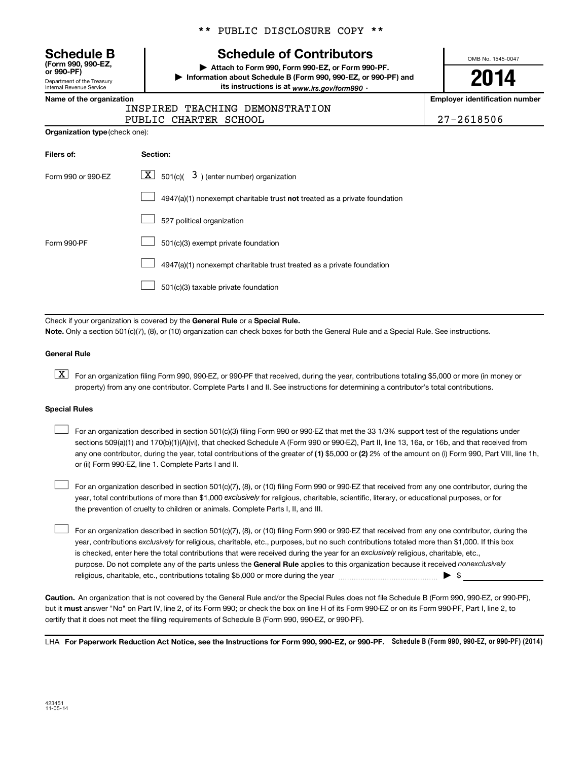#### \*\* PUBLIC DISCLOSURE COPY \*\*

| <b>Schedule B</b><br>(Form 990, 990-EZ,<br>or 990-PF)<br>Department of the Treasury<br>Internal Revenue Service | <b>Schedule of Contributors</b><br>Attach to Form 990, Form 990-EZ, or Form 990-PF.<br>Information about Schedule B (Form 990, 990-EZ, or 990-PF) and<br>its instructions is at www.irs.gov/form990 . | OMB No. 1545-0047<br>2014             |
|-----------------------------------------------------------------------------------------------------------------|-------------------------------------------------------------------------------------------------------------------------------------------------------------------------------------------------------|---------------------------------------|
| Name of the organization                                                                                        |                                                                                                                                                                                                       | <b>Employer identification number</b> |
|                                                                                                                 | TEACHING DEMONSTRATION<br>INSPIRED                                                                                                                                                                    |                                       |
|                                                                                                                 | PUBLIC CHARTER SCHOOL                                                                                                                                                                                 | $27 - 2618506$                        |
| <b>Organization type (check one):</b>                                                                           |                                                                                                                                                                                                       |                                       |
| Filers of:                                                                                                      | Section:                                                                                                                                                                                              |                                       |
| Form 990 or 990-EZ                                                                                              | 501(c)( $3$ ) (enter number) organization<br>$\mathbf{X}$                                                                                                                                             |                                       |
|                                                                                                                 | $4947(a)(1)$ nonexempt charitable trust not treated as a private foundation                                                                                                                           |                                       |
|                                                                                                                 | 527 political organization                                                                                                                                                                            |                                       |
| Form 990-PF                                                                                                     | 501(c)(3) exempt private foundation                                                                                                                                                                   |                                       |
|                                                                                                                 | 4947(a)(1) nonexempt charitable trust treated as a private foundation                                                                                                                                 |                                       |
|                                                                                                                 | 501(c)(3) taxable private foundation                                                                                                                                                                  |                                       |

Check if your organization is covered by the General Rule or a Special Rule.

**Note.**  Only a section 501(c)(7), (8), or (10) organization can check boxes for both the General Rule and a Special Rule. See instructions.

### **General Rule**

 $\boxed{\textbf{X}}$  For an organization filing Form 990, 990-EZ, or 990-PF that received, during the year, contributions totaling \$5,000 or more (in money or property) from any one contributor. Complete Parts I and II. See instructions for determining a contributor's total contributions.

#### **Special Rules**

|  | For an organization described in section 501(c)(3) filing Form 990 or 990-EZ that met the 33 1/3% support test of the regulations under              |
|--|------------------------------------------------------------------------------------------------------------------------------------------------------|
|  | sections 509(a)(1) and 170(b)(1)(A)(vi), that checked Schedule A (Form 990 or 990-EZ), Part II, line 13, 16a, or 16b, and that received from         |
|  | any one contributor, during the year, total contributions of the greater of (1) \$5,000 or (2) 2% of the amount on (i) Form 990, Part VIII, line 1h, |
|  | or (ii) Form 990-EZ, line 1. Complete Parts I and II.                                                                                                |

year, total contributions of more than \$1,000 *exclusively* for religious, charitable, scientific, literary, or educational purposes, or for For an organization described in section 501(c)(7), (8), or (10) filing Form 990 or 990-EZ that received from any one contributor, during the the prevention of cruelty to children or animals. Complete Parts I, II, and III.

purpose. Do not complete any of the parts unless the General Rule applies to this organization because it received nonexclusively year, contributions *exclusively* for religious, charitable, etc., purposes, but no such contributions totaled more than \$1,000. If this box is checked, enter here the total contributions that were received during the year for an exclusively religious, charitable, etc., For an organization described in section 501(c)(7), (8), or (10) filing Form 990 or 990-EZ that received from any one contributor, during the religious, charitable, etc., contributions totaling \$5,000 or more during the year  $\ldots$  $\ldots$  $\ldots$  $\ldots$  $\ldots$  $\ldots$  $\ldots$ 

**Caution.** An organization that is not covered by the General Rule and/or the Special Rules does not file Schedule B (Form 990, 990-EZ, or 990-PF), but it **must** answer "No" on Part IV, line 2, of its Form 990; or check the box on line H of its Form 990-EZ or on its Form 990-PF, Part I, line 2, to certify that it does not meet the filing requirements of Schedule B (Form 990, 990-EZ, or 990-PF).

LHA For Paperwork Reduction Act Notice, see the Instructions for Form 990, 990-EZ, or 990-PF. Schedule B (Form 990, 990-EZ, or 990-PF) (2014)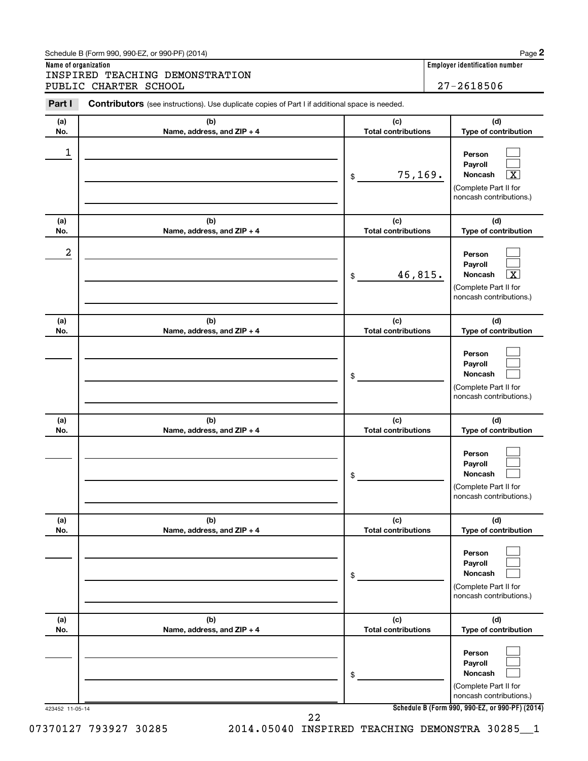|            | INSPIRED TEACHING DEMONSTRATION<br>PUBLIC CHARTER SCHOOL                                       |                                   | 27-2618506                                                                                                                          |
|------------|------------------------------------------------------------------------------------------------|-----------------------------------|-------------------------------------------------------------------------------------------------------------------------------------|
| Part I     | Contributors (see instructions). Use duplicate copies of Part I if additional space is needed. |                                   |                                                                                                                                     |
|            |                                                                                                |                                   | (d)                                                                                                                                 |
| (a)<br>No. | (b)<br>Name, address, and ZIP + 4                                                              | (c)<br><b>Total contributions</b> | Type of contribution                                                                                                                |
| 1          |                                                                                                | 75, 169.<br>$$\tilde$$            | Person<br>Payroll<br>$\overline{\mathbf{x}}$<br>Noncash<br>(Complete Part II for<br>noncash contributions.)                         |
| (a)<br>No. | (b)<br>Name, address, and ZIP + 4                                                              | (c)<br><b>Total contributions</b> | (d)<br>Type of contribution                                                                                                         |
| 2          |                                                                                                | 46,815.<br>\$                     | Person<br>Payroll<br>Noncash<br>$\boxed{\text{X}}$<br>(Complete Part II for<br>noncash contributions.)                              |
| (a)<br>No. | (b)<br>Name, address, and ZIP + 4                                                              | (c)<br><b>Total contributions</b> | (d)<br>Type of contribution                                                                                                         |
|            |                                                                                                | \$                                | Person<br>Payroll<br>Noncash<br>(Complete Part II for<br>noncash contributions.)                                                    |
| (a)<br>No. | (b)<br>Name, address, and ZIP + 4                                                              | (c)<br><b>Total contributions</b> | (d)<br>Type of contribution                                                                                                         |
|            |                                                                                                | \$                                | Person<br>Payroll<br>Noncash<br>(Complete Part II for<br>noncash contributions.)                                                    |
| (a)<br>No. | (b)<br>Name, address, and ZIP + 4                                                              | (c)<br><b>Total contributions</b> | (d)<br>Type of contribution                                                                                                         |
|            |                                                                                                | \$                                | Person<br>Payroll<br>Noncash<br>(Complete Part II for<br>noncash contributions.)                                                    |
| (a)<br>No. | (b)<br>Name, address, and ZIP + 4                                                              | (c)<br><b>Total contributions</b> | (d)<br>Type of contribution                                                                                                         |
|            | 423452 11-05-14                                                                                | \$                                | Person<br>Payroll<br>Noncash<br>(Complete Part II for<br>noncash contributions.)<br>Schedule B (Form 990, 990-EZ, or 990-PF) (2014) |

**Name of organization** 

Schedule B (Form 990, 990-EZ, or 990-PF) (2014)

07370127 793927 30285 2014.05040 INSPIRED TEACHING DEMONSTRA 30285...1

**2**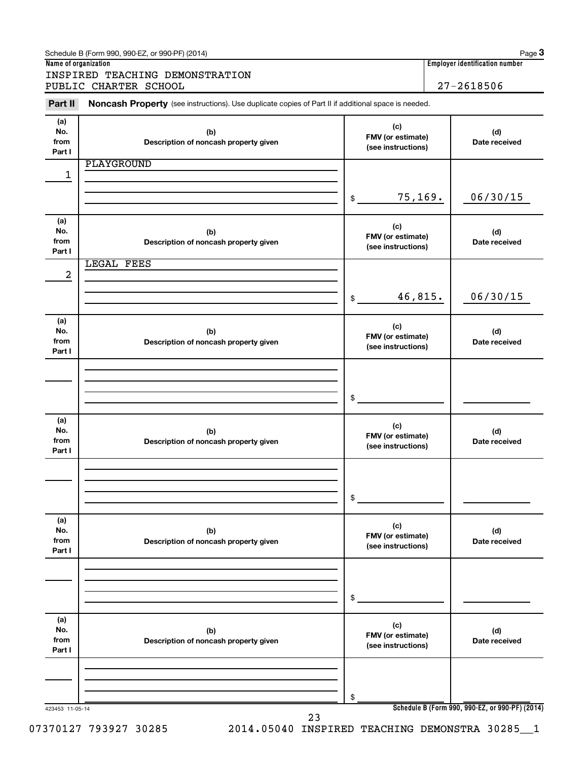|                      | Schedule B (Form 990, 990-EZ, or 990-PF) (2014)                                                     |                          | Page 3                                |
|----------------------|-----------------------------------------------------------------------------------------------------|--------------------------|---------------------------------------|
| Name of organization |                                                                                                     |                          | <b>Employer identification number</b> |
|                      | INSPIRED TEACHING DEMONSTRATION<br>PUBLIC CHARTER SCHOOL                                            |                          | $27 - 2618506$                        |
|                      |                                                                                                     |                          |                                       |
| Part II              | Noncash Property (see instructions). Use duplicate copies of Part II if additional space is needed. |                          |                                       |
| (a)                  |                                                                                                     | (c)                      |                                       |
| No.<br>from          | (b)                                                                                                 | FMV (or estimate)        | (d)                                   |
| Part I               | Description of noncash property given                                                               | (see instructions)       | Date received                         |
|                      | PLAYGROUND                                                                                          |                          |                                       |
| 1                    |                                                                                                     |                          |                                       |
|                      |                                                                                                     |                          |                                       |
|                      |                                                                                                     | 75,169.<br>\$            | 06/30/15                              |
|                      |                                                                                                     |                          |                                       |
| (a)<br>No.           | (b)                                                                                                 | (c)                      | (d)                                   |
| from                 | Description of noncash property given                                                               | FMV (or estimate)        | Date received                         |
| Part I               |                                                                                                     | (see instructions)       |                                       |
|                      | LEGAL FEES                                                                                          |                          |                                       |
| 2                    |                                                                                                     |                          |                                       |
|                      |                                                                                                     | 46,815.                  | 06/30/15                              |
|                      |                                                                                                     | \$                       |                                       |
| (a)                  |                                                                                                     |                          |                                       |
| No.                  | (b)                                                                                                 | (c)<br>FMV (or estimate) | (d)                                   |
| from<br>Part I       | Description of noncash property given                                                               | (see instructions)       | Date received                         |
|                      |                                                                                                     |                          |                                       |
|                      |                                                                                                     |                          |                                       |
|                      |                                                                                                     |                          |                                       |
|                      |                                                                                                     | \$                       |                                       |
|                      |                                                                                                     |                          |                                       |
| (a)<br>No.           | (b)                                                                                                 | (c)                      | (d)                                   |
| from                 | Description of noncash property given                                                               | FMV (or estimate)        | Date received                         |
| Part I               |                                                                                                     | (see instructions)       |                                       |
|                      |                                                                                                     |                          |                                       |
|                      |                                                                                                     |                          |                                       |
|                      |                                                                                                     |                          |                                       |
|                      |                                                                                                     | \$                       |                                       |
| (a)                  |                                                                                                     |                          |                                       |
| No.                  | (b)                                                                                                 | (c)<br>FMV (or estimate) | (d)                                   |
| from<br>Part I       | Description of noncash property given                                                               | (see instructions)       | Date received                         |
|                      |                                                                                                     |                          |                                       |
|                      |                                                                                                     |                          |                                       |
|                      |                                                                                                     |                          |                                       |
|                      |                                                                                                     | \$                       |                                       |
|                      |                                                                                                     |                          |                                       |
| (a)<br>No.           |                                                                                                     | (c)                      |                                       |
| from                 | (b)<br>Description of noncash property given                                                        | FMV (or estimate)        | (d)<br>Date received                  |
| Part I               |                                                                                                     | (see instructions)       |                                       |
|                      |                                                                                                     |                          |                                       |
|                      |                                                                                                     |                          |                                       |
|                      |                                                                                                     | \$                       |                                       |
|                      |                                                                                                     |                          |                                       |

423453 11-05-14

23

07370127 793927 30285 2014.05040 INSPIRED TEACHING DEMONSTRA 30285\_1

**Schedule B (Form 990, 990-EZ, or 990-PF) (2014)**

**3**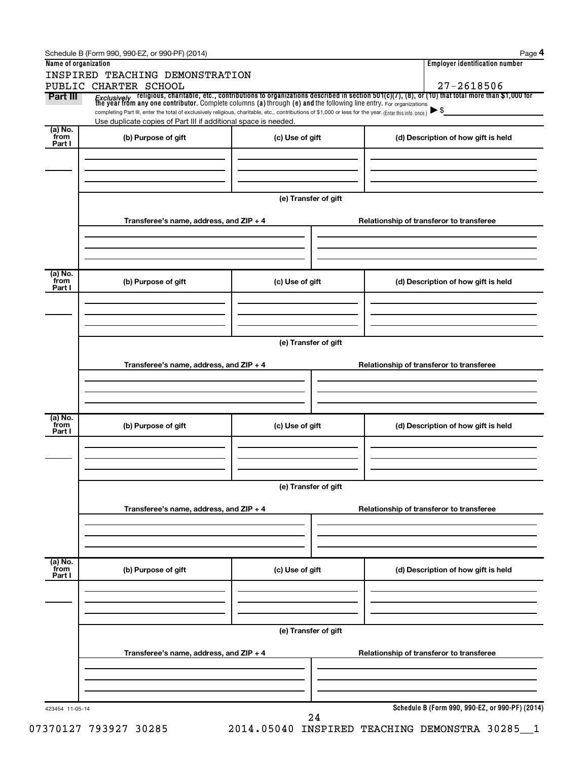|                      | Schedule B (Form 990, 990-EZ, or 990-PF) (2014)                                                                                                          |                      | Page 4                                                                                                                                                                                                                                  |
|----------------------|----------------------------------------------------------------------------------------------------------------------------------------------------------|----------------------|-----------------------------------------------------------------------------------------------------------------------------------------------------------------------------------------------------------------------------------------|
| Name of organization |                                                                                                                                                          |                      | <b>Employer identification number</b>                                                                                                                                                                                                   |
|                      | INSPIRED TEACHING DEMONSTRATION                                                                                                                          |                      |                                                                                                                                                                                                                                         |
|                      | PUBLIC CHARTER SCHOOL                                                                                                                                    |                      | 27-2618506                                                                                                                                                                                                                              |
| Part III             |                                                                                                                                                          |                      | <i>Exclusively</i> religious, charitable, etc., contributions to organizations described in section 501(c)(7), (8), or (10) that total more than \$1,000 for<br>the year from any one contributor. Complete columns (a) through (e) and |
|                      | completing Part III, enter the total of exclusively religious, charitable, etc., contributions of \$1,000 or less for the year. (Enter this info. once.) |                      |                                                                                                                                                                                                                                         |
| (a) No.              | Use duplicate copies of Part III if additional space is needed.                                                                                          |                      |                                                                                                                                                                                                                                         |
| from<br>Part I       | (b) Purpose of gift                                                                                                                                      | (c) Use of gift      | (d) Description of how gift is held                                                                                                                                                                                                     |
|                      |                                                                                                                                                          |                      |                                                                                                                                                                                                                                         |
|                      |                                                                                                                                                          |                      |                                                                                                                                                                                                                                         |
|                      |                                                                                                                                                          |                      |                                                                                                                                                                                                                                         |
|                      |                                                                                                                                                          |                      |                                                                                                                                                                                                                                         |
|                      |                                                                                                                                                          | (e) Transfer of gift |                                                                                                                                                                                                                                         |
|                      |                                                                                                                                                          |                      |                                                                                                                                                                                                                                         |
|                      | Transferee's name, address, and ZIP + 4                                                                                                                  |                      | Relationship of transferor to transferee                                                                                                                                                                                                |
|                      |                                                                                                                                                          |                      |                                                                                                                                                                                                                                         |
|                      |                                                                                                                                                          |                      |                                                                                                                                                                                                                                         |
|                      |                                                                                                                                                          |                      |                                                                                                                                                                                                                                         |
| (a) No.              |                                                                                                                                                          |                      |                                                                                                                                                                                                                                         |
| from<br>Part I       | (b) Purpose of gift                                                                                                                                      | (c) Use of gift      | (d) Description of how gift is held                                                                                                                                                                                                     |
|                      |                                                                                                                                                          |                      |                                                                                                                                                                                                                                         |
|                      |                                                                                                                                                          |                      |                                                                                                                                                                                                                                         |
|                      |                                                                                                                                                          |                      |                                                                                                                                                                                                                                         |
|                      |                                                                                                                                                          |                      |                                                                                                                                                                                                                                         |
|                      |                                                                                                                                                          | (e) Transfer of gift |                                                                                                                                                                                                                                         |
|                      | Transferee's name, address, and ZIP + 4                                                                                                                  |                      | Relationship of transferor to transferee                                                                                                                                                                                                |
|                      |                                                                                                                                                          |                      |                                                                                                                                                                                                                                         |
|                      |                                                                                                                                                          |                      |                                                                                                                                                                                                                                         |
|                      |                                                                                                                                                          |                      |                                                                                                                                                                                                                                         |
|                      |                                                                                                                                                          |                      |                                                                                                                                                                                                                                         |
| (a) No.<br>from      | (b) Purpose of gift                                                                                                                                      | (c) Use of gift      | (d) Description of how gift is held                                                                                                                                                                                                     |
| Part I               |                                                                                                                                                          |                      |                                                                                                                                                                                                                                         |
|                      |                                                                                                                                                          |                      |                                                                                                                                                                                                                                         |
|                      |                                                                                                                                                          |                      |                                                                                                                                                                                                                                         |
|                      |                                                                                                                                                          |                      |                                                                                                                                                                                                                                         |
|                      |                                                                                                                                                          | (e) Transfer of gift |                                                                                                                                                                                                                                         |
|                      |                                                                                                                                                          |                      |                                                                                                                                                                                                                                         |
|                      | Transferee's name, address, and ZIP + 4                                                                                                                  |                      | Relationship of transferor to transferee                                                                                                                                                                                                |
|                      |                                                                                                                                                          |                      |                                                                                                                                                                                                                                         |
|                      |                                                                                                                                                          |                      |                                                                                                                                                                                                                                         |
|                      |                                                                                                                                                          |                      |                                                                                                                                                                                                                                         |
| (a) No.<br>from      |                                                                                                                                                          |                      |                                                                                                                                                                                                                                         |
| Part I               | (b) Purpose of gift                                                                                                                                      | (c) Use of gift      | (d) Description of how gift is held                                                                                                                                                                                                     |
|                      |                                                                                                                                                          |                      |                                                                                                                                                                                                                                         |
|                      |                                                                                                                                                          |                      |                                                                                                                                                                                                                                         |
|                      |                                                                                                                                                          |                      |                                                                                                                                                                                                                                         |
|                      |                                                                                                                                                          |                      |                                                                                                                                                                                                                                         |
|                      |                                                                                                                                                          | (e) Transfer of gift |                                                                                                                                                                                                                                         |
|                      | Transferee's name, address, and ZIP + 4                                                                                                                  |                      | Relationship of transferor to transferee                                                                                                                                                                                                |
|                      |                                                                                                                                                          |                      |                                                                                                                                                                                                                                         |
|                      |                                                                                                                                                          |                      |                                                                                                                                                                                                                                         |
|                      |                                                                                                                                                          |                      |                                                                                                                                                                                                                                         |
|                      |                                                                                                                                                          |                      |                                                                                                                                                                                                                                         |
| 423454 11-05-14      |                                                                                                                                                          |                      | Schedule B (Form 990, 990-EZ, or 990-PF) (2014)                                                                                                                                                                                         |
|                      |                                                                                                                                                          | 24                   |                                                                                                                                                                                                                                         |

07370127 793927 30285 2014.05040 INSPIRED TEACHING DEMONSTRA 30285...1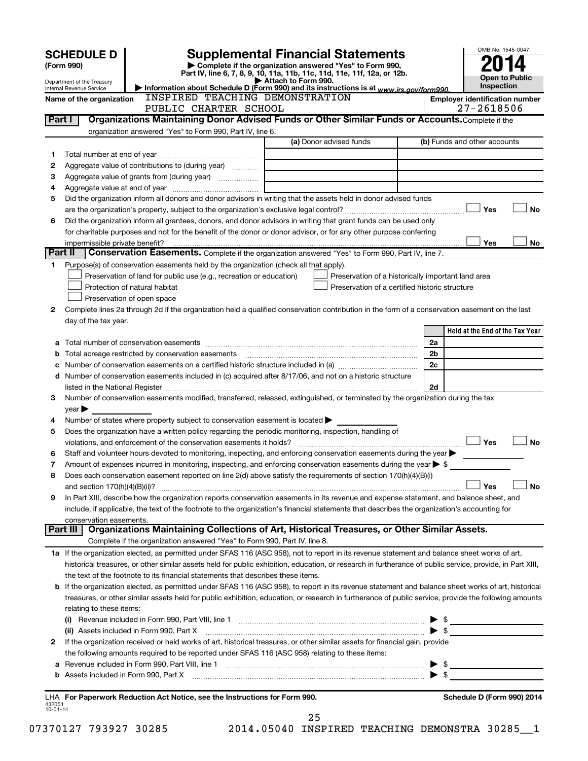| <b>Supplemental Financial Statements</b><br>Complete if the organization answered "Yes" to Form 990,<br>(Form 990)<br>Part IV, line 6, 7, 8, 9, 10, 11a, 11b, 11c, 11d, 11e, 11f, 12a, or 12b.<br><b>Open to Public</b><br>Attach to Form 990.<br>Department of the Treasury<br><b>Inspection</b><br>Information about Schedule D (Form 990) and its instructions is at www.irs.gov/form990.<br>Internal Revenue Service<br>INSPIRED TEACHING DEMONSTRATION<br><b>Employer identification number</b><br>Name of the organization<br>27-2618506<br>PUBLIC CHARTER SCHOOL<br>Organizations Maintaining Donor Advised Funds or Other Similar Funds or Accounts. Complete if the<br>Part I<br>organization answered "Yes" to Form 990, Part IV, line 6.<br>(a) Donor advised funds<br>(b) Funds and other accounts<br>1<br>Aggregate value of contributions to (during year)<br>2<br>з<br>4<br>Did the organization inform all donors and donor advisors in writing that the assets held in donor advised funds<br>5<br>Yes<br>No<br>are the organization's property, subject to the organization's exclusive legal control?<br>Did the organization inform all grantees, donors, and donor advisors in writing that grant funds can be used only<br>6<br>for charitable purposes and not for the benefit of the donor or donor advisor, or for any other purpose conferring<br>Yes<br>No<br>Part II<br>Conservation Easements. Complete if the organization answered "Yes" to Form 990, Part IV, line 7.<br>Purpose(s) of conservation easements held by the organization (check all that apply).<br>1.<br>Preservation of land for public use (e.g., recreation or education)<br>Preservation of a historically important land area<br>Protection of natural habitat<br>Preservation of a certified historic structure<br>Preservation of open space<br>Complete lines 2a through 2d if the organization held a qualified conservation contribution in the form of a conservation easement on the last<br>2<br>day of the tax year.<br>Held at the End of the Tax Year<br>2a<br>2 <sub>b</sub><br>2c<br>c<br>d Number of conservation easements included in (c) acquired after 8/17/06, and not on a historic structure<br>2d<br>Number of conservation easements modified, transferred, released, extinguished, or terminated by the organization during the tax<br>3<br>$year \blacktriangleright$<br>Number of states where property subject to conservation easement is located $\blacktriangleright$<br>4<br>Does the organization have a written policy regarding the periodic monitoring, inspection, handling of<br>5<br>Yes<br>No<br>violations, and enforcement of the conservation easements it holds?<br>Staff and volunteer hours devoted to monitoring, inspecting, and enforcing conservation easements during the year $\blacktriangleright$<br>Amount of expenses incurred in monitoring, inspecting, and enforcing conservation easements during the year $\triangleright$ \$<br>7<br>Does each conservation easement reported on line 2(d) above satisfy the requirements of section 170(h)(4)(B)(i)<br>8<br>No<br>Yes<br>and section $170(h)(4)(B)(ii)?$<br>In Part XIII, describe how the organization reports conservation easements in its revenue and expense statement, and balance sheet, and<br>9<br>include, if applicable, the text of the footnote to the organization's financial statements that describes the organization's accounting for<br>conservation easements.<br>Organizations Maintaining Collections of Art, Historical Treasures, or Other Similar Assets.<br>Part III<br>Complete if the organization answered "Yes" to Form 990, Part IV, line 8.<br>1a If the organization elected, as permitted under SFAS 116 (ASC 958), not to report in its revenue statement and balance sheet works of art,<br>historical treasures, or other similar assets held for public exhibition, education, or research in furtherance of public service, provide, in Part XIII,<br>the text of the footnote to its financial statements that describes these items.<br><b>b</b> If the organization elected, as permitted under SFAS 116 (ASC 958), to report in its revenue statement and balance sheet works of art, historical<br>treasures, or other similar assets held for public exhibition, education, or research in furtherance of public service, provide the following amounts<br>relating to these items:<br>\$<br>▶<br>$\mathcal{L}(\mathcal{L}(\mathcal{L}))$ and $\mathcal{L}(\mathcal{L}(\mathcal{L}))$ and $\mathcal{L}(\mathcal{L}(\mathcal{L}))$ . Then the contribution of<br>$\blacktriangleright$ \$<br>(ii) Assets included in Form 990, Part X<br>If the organization received or held works of art, historical treasures, or other similar assets for financial gain, provide<br>2<br>the following amounts required to be reported under SFAS 116 (ASC 958) relating to these items:<br>$\frac{1}{2}$<br>а<br>$\blacktriangleright$ \$<br>b Assets included in Form 990, Part X [1, 1, 2000] [2010] [2010] [2010] [30] Assets included in Form 990, Part X<br>LHA For Paperwork Reduction Act Notice, see the Instructions for Form 990.<br>Schedule D (Form 990) 2014<br>432051<br>10-01-14 | <b>SCHEDULE D</b> |  |  |  | OMB No. 1545-0047 |  |
|------------------------------------------------------------------------------------------------------------------------------------------------------------------------------------------------------------------------------------------------------------------------------------------------------------------------------------------------------------------------------------------------------------------------------------------------------------------------------------------------------------------------------------------------------------------------------------------------------------------------------------------------------------------------------------------------------------------------------------------------------------------------------------------------------------------------------------------------------------------------------------------------------------------------------------------------------------------------------------------------------------------------------------------------------------------------------------------------------------------------------------------------------------------------------------------------------------------------------------------------------------------------------------------------------------------------------------------------------------------------------------------------------------------------------------------------------------------------------------------------------------------------------------------------------------------------------------------------------------------------------------------------------------------------------------------------------------------------------------------------------------------------------------------------------------------------------------------------------------------------------------------------------------------------------------------------------------------------------------------------------------------------------------------------------------------------------------------------------------------------------------------------------------------------------------------------------------------------------------------------------------------------------------------------------------------------------------------------------------------------------------------------------------------------------------------------------------------------------------------------------------------------------------------------------------------------------------------------------------------------------------------------------------------------------------------------------------------------------------------------------------------------------------------------------------------------------------------------------------------------------------------------------------------------------------------------------------------------------------------------------------------------------------------------------------------------------------------------------------------------------------------------------------------------------------------------------------------------------------------------------------------------------------------------------------------------------------------------------------------------------------------------------------------------------------------------------------------------------------------------------------------------------------------------------------------------------------------------------------------------------------------------------------------------------------------------------------------------------------------------------------------------------------------------------------------------------------------------------------------------------------------------------------------------------------------------------------------------------------------------------------------------------------------------------------------------------------------------------------------------------------------------------------------------------------------------------------------------------------------------------------------------------------------------------------------------------------------------------------------------------------------------------------------------------------------------------------------------------------------------------------------------------------------------------------------------------------------------------------------------------------------------------------------------------------------------------------------------------------------------------------------------------------------------------------------------------------------------------------------------------------------------------------------------------------------------------------------------------------------------------------------------------------------------------------------------------------------------------------------------------------------------------------------------------------------------------------------------------------------------------|-------------------|--|--|--|-------------------|--|
|                                                                                                                                                                                                                                                                                                                                                                                                                                                                                                                                                                                                                                                                                                                                                                                                                                                                                                                                                                                                                                                                                                                                                                                                                                                                                                                                                                                                                                                                                                                                                                                                                                                                                                                                                                                                                                                                                                                                                                                                                                                                                                                                                                                                                                                                                                                                                                                                                                                                                                                                                                                                                                                                                                                                                                                                                                                                                                                                                                                                                                                                                                                                                                                                                                                                                                                                                                                                                                                                                                                                                                                                                                                                                                                                                                                                                                                                                                                                                                                                                                                                                                                                                                                                                                                                                                                                                                                                                                                                                                                                                                                                                                                                                                                                                                                                                                                                                                                                                                                                                                                                                                                                                                                                                                                      |                   |  |  |  |                   |  |
|                                                                                                                                                                                                                                                                                                                                                                                                                                                                                                                                                                                                                                                                                                                                                                                                                                                                                                                                                                                                                                                                                                                                                                                                                                                                                                                                                                                                                                                                                                                                                                                                                                                                                                                                                                                                                                                                                                                                                                                                                                                                                                                                                                                                                                                                                                                                                                                                                                                                                                                                                                                                                                                                                                                                                                                                                                                                                                                                                                                                                                                                                                                                                                                                                                                                                                                                                                                                                                                                                                                                                                                                                                                                                                                                                                                                                                                                                                                                                                                                                                                                                                                                                                                                                                                                                                                                                                                                                                                                                                                                                                                                                                                                                                                                                                                                                                                                                                                                                                                                                                                                                                                                                                                                                                                      |                   |  |  |  |                   |  |
|                                                                                                                                                                                                                                                                                                                                                                                                                                                                                                                                                                                                                                                                                                                                                                                                                                                                                                                                                                                                                                                                                                                                                                                                                                                                                                                                                                                                                                                                                                                                                                                                                                                                                                                                                                                                                                                                                                                                                                                                                                                                                                                                                                                                                                                                                                                                                                                                                                                                                                                                                                                                                                                                                                                                                                                                                                                                                                                                                                                                                                                                                                                                                                                                                                                                                                                                                                                                                                                                                                                                                                                                                                                                                                                                                                                                                                                                                                                                                                                                                                                                                                                                                                                                                                                                                                                                                                                                                                                                                                                                                                                                                                                                                                                                                                                                                                                                                                                                                                                                                                                                                                                                                                                                                                                      |                   |  |  |  |                   |  |
|                                                                                                                                                                                                                                                                                                                                                                                                                                                                                                                                                                                                                                                                                                                                                                                                                                                                                                                                                                                                                                                                                                                                                                                                                                                                                                                                                                                                                                                                                                                                                                                                                                                                                                                                                                                                                                                                                                                                                                                                                                                                                                                                                                                                                                                                                                                                                                                                                                                                                                                                                                                                                                                                                                                                                                                                                                                                                                                                                                                                                                                                                                                                                                                                                                                                                                                                                                                                                                                                                                                                                                                                                                                                                                                                                                                                                                                                                                                                                                                                                                                                                                                                                                                                                                                                                                                                                                                                                                                                                                                                                                                                                                                                                                                                                                                                                                                                                                                                                                                                                                                                                                                                                                                                                                                      |                   |  |  |  |                   |  |
|                                                                                                                                                                                                                                                                                                                                                                                                                                                                                                                                                                                                                                                                                                                                                                                                                                                                                                                                                                                                                                                                                                                                                                                                                                                                                                                                                                                                                                                                                                                                                                                                                                                                                                                                                                                                                                                                                                                                                                                                                                                                                                                                                                                                                                                                                                                                                                                                                                                                                                                                                                                                                                                                                                                                                                                                                                                                                                                                                                                                                                                                                                                                                                                                                                                                                                                                                                                                                                                                                                                                                                                                                                                                                                                                                                                                                                                                                                                                                                                                                                                                                                                                                                                                                                                                                                                                                                                                                                                                                                                                                                                                                                                                                                                                                                                                                                                                                                                                                                                                                                                                                                                                                                                                                                                      |                   |  |  |  |                   |  |
|                                                                                                                                                                                                                                                                                                                                                                                                                                                                                                                                                                                                                                                                                                                                                                                                                                                                                                                                                                                                                                                                                                                                                                                                                                                                                                                                                                                                                                                                                                                                                                                                                                                                                                                                                                                                                                                                                                                                                                                                                                                                                                                                                                                                                                                                                                                                                                                                                                                                                                                                                                                                                                                                                                                                                                                                                                                                                                                                                                                                                                                                                                                                                                                                                                                                                                                                                                                                                                                                                                                                                                                                                                                                                                                                                                                                                                                                                                                                                                                                                                                                                                                                                                                                                                                                                                                                                                                                                                                                                                                                                                                                                                                                                                                                                                                                                                                                                                                                                                                                                                                                                                                                                                                                                                                      |                   |  |  |  |                   |  |
|                                                                                                                                                                                                                                                                                                                                                                                                                                                                                                                                                                                                                                                                                                                                                                                                                                                                                                                                                                                                                                                                                                                                                                                                                                                                                                                                                                                                                                                                                                                                                                                                                                                                                                                                                                                                                                                                                                                                                                                                                                                                                                                                                                                                                                                                                                                                                                                                                                                                                                                                                                                                                                                                                                                                                                                                                                                                                                                                                                                                                                                                                                                                                                                                                                                                                                                                                                                                                                                                                                                                                                                                                                                                                                                                                                                                                                                                                                                                                                                                                                                                                                                                                                                                                                                                                                                                                                                                                                                                                                                                                                                                                                                                                                                                                                                                                                                                                                                                                                                                                                                                                                                                                                                                                                                      |                   |  |  |  |                   |  |
|                                                                                                                                                                                                                                                                                                                                                                                                                                                                                                                                                                                                                                                                                                                                                                                                                                                                                                                                                                                                                                                                                                                                                                                                                                                                                                                                                                                                                                                                                                                                                                                                                                                                                                                                                                                                                                                                                                                                                                                                                                                                                                                                                                                                                                                                                                                                                                                                                                                                                                                                                                                                                                                                                                                                                                                                                                                                                                                                                                                                                                                                                                                                                                                                                                                                                                                                                                                                                                                                                                                                                                                                                                                                                                                                                                                                                                                                                                                                                                                                                                                                                                                                                                                                                                                                                                                                                                                                                                                                                                                                                                                                                                                                                                                                                                                                                                                                                                                                                                                                                                                                                                                                                                                                                                                      |                   |  |  |  |                   |  |
|                                                                                                                                                                                                                                                                                                                                                                                                                                                                                                                                                                                                                                                                                                                                                                                                                                                                                                                                                                                                                                                                                                                                                                                                                                                                                                                                                                                                                                                                                                                                                                                                                                                                                                                                                                                                                                                                                                                                                                                                                                                                                                                                                                                                                                                                                                                                                                                                                                                                                                                                                                                                                                                                                                                                                                                                                                                                                                                                                                                                                                                                                                                                                                                                                                                                                                                                                                                                                                                                                                                                                                                                                                                                                                                                                                                                                                                                                                                                                                                                                                                                                                                                                                                                                                                                                                                                                                                                                                                                                                                                                                                                                                                                                                                                                                                                                                                                                                                                                                                                                                                                                                                                                                                                                                                      |                   |  |  |  |                   |  |
|                                                                                                                                                                                                                                                                                                                                                                                                                                                                                                                                                                                                                                                                                                                                                                                                                                                                                                                                                                                                                                                                                                                                                                                                                                                                                                                                                                                                                                                                                                                                                                                                                                                                                                                                                                                                                                                                                                                                                                                                                                                                                                                                                                                                                                                                                                                                                                                                                                                                                                                                                                                                                                                                                                                                                                                                                                                                                                                                                                                                                                                                                                                                                                                                                                                                                                                                                                                                                                                                                                                                                                                                                                                                                                                                                                                                                                                                                                                                                                                                                                                                                                                                                                                                                                                                                                                                                                                                                                                                                                                                                                                                                                                                                                                                                                                                                                                                                                                                                                                                                                                                                                                                                                                                                                                      |                   |  |  |  |                   |  |
|                                                                                                                                                                                                                                                                                                                                                                                                                                                                                                                                                                                                                                                                                                                                                                                                                                                                                                                                                                                                                                                                                                                                                                                                                                                                                                                                                                                                                                                                                                                                                                                                                                                                                                                                                                                                                                                                                                                                                                                                                                                                                                                                                                                                                                                                                                                                                                                                                                                                                                                                                                                                                                                                                                                                                                                                                                                                                                                                                                                                                                                                                                                                                                                                                                                                                                                                                                                                                                                                                                                                                                                                                                                                                                                                                                                                                                                                                                                                                                                                                                                                                                                                                                                                                                                                                                                                                                                                                                                                                                                                                                                                                                                                                                                                                                                                                                                                                                                                                                                                                                                                                                                                                                                                                                                      |                   |  |  |  |                   |  |
|                                                                                                                                                                                                                                                                                                                                                                                                                                                                                                                                                                                                                                                                                                                                                                                                                                                                                                                                                                                                                                                                                                                                                                                                                                                                                                                                                                                                                                                                                                                                                                                                                                                                                                                                                                                                                                                                                                                                                                                                                                                                                                                                                                                                                                                                                                                                                                                                                                                                                                                                                                                                                                                                                                                                                                                                                                                                                                                                                                                                                                                                                                                                                                                                                                                                                                                                                                                                                                                                                                                                                                                                                                                                                                                                                                                                                                                                                                                                                                                                                                                                                                                                                                                                                                                                                                                                                                                                                                                                                                                                                                                                                                                                                                                                                                                                                                                                                                                                                                                                                                                                                                                                                                                                                                                      |                   |  |  |  |                   |  |
|                                                                                                                                                                                                                                                                                                                                                                                                                                                                                                                                                                                                                                                                                                                                                                                                                                                                                                                                                                                                                                                                                                                                                                                                                                                                                                                                                                                                                                                                                                                                                                                                                                                                                                                                                                                                                                                                                                                                                                                                                                                                                                                                                                                                                                                                                                                                                                                                                                                                                                                                                                                                                                                                                                                                                                                                                                                                                                                                                                                                                                                                                                                                                                                                                                                                                                                                                                                                                                                                                                                                                                                                                                                                                                                                                                                                                                                                                                                                                                                                                                                                                                                                                                                                                                                                                                                                                                                                                                                                                                                                                                                                                                                                                                                                                                                                                                                                                                                                                                                                                                                                                                                                                                                                                                                      |                   |  |  |  |                   |  |
|                                                                                                                                                                                                                                                                                                                                                                                                                                                                                                                                                                                                                                                                                                                                                                                                                                                                                                                                                                                                                                                                                                                                                                                                                                                                                                                                                                                                                                                                                                                                                                                                                                                                                                                                                                                                                                                                                                                                                                                                                                                                                                                                                                                                                                                                                                                                                                                                                                                                                                                                                                                                                                                                                                                                                                                                                                                                                                                                                                                                                                                                                                                                                                                                                                                                                                                                                                                                                                                                                                                                                                                                                                                                                                                                                                                                                                                                                                                                                                                                                                                                                                                                                                                                                                                                                                                                                                                                                                                                                                                                                                                                                                                                                                                                                                                                                                                                                                                                                                                                                                                                                                                                                                                                                                                      |                   |  |  |  |                   |  |
|                                                                                                                                                                                                                                                                                                                                                                                                                                                                                                                                                                                                                                                                                                                                                                                                                                                                                                                                                                                                                                                                                                                                                                                                                                                                                                                                                                                                                                                                                                                                                                                                                                                                                                                                                                                                                                                                                                                                                                                                                                                                                                                                                                                                                                                                                                                                                                                                                                                                                                                                                                                                                                                                                                                                                                                                                                                                                                                                                                                                                                                                                                                                                                                                                                                                                                                                                                                                                                                                                                                                                                                                                                                                                                                                                                                                                                                                                                                                                                                                                                                                                                                                                                                                                                                                                                                                                                                                                                                                                                                                                                                                                                                                                                                                                                                                                                                                                                                                                                                                                                                                                                                                                                                                                                                      |                   |  |  |  |                   |  |
|                                                                                                                                                                                                                                                                                                                                                                                                                                                                                                                                                                                                                                                                                                                                                                                                                                                                                                                                                                                                                                                                                                                                                                                                                                                                                                                                                                                                                                                                                                                                                                                                                                                                                                                                                                                                                                                                                                                                                                                                                                                                                                                                                                                                                                                                                                                                                                                                                                                                                                                                                                                                                                                                                                                                                                                                                                                                                                                                                                                                                                                                                                                                                                                                                                                                                                                                                                                                                                                                                                                                                                                                                                                                                                                                                                                                                                                                                                                                                                                                                                                                                                                                                                                                                                                                                                                                                                                                                                                                                                                                                                                                                                                                                                                                                                                                                                                                                                                                                                                                                                                                                                                                                                                                                                                      |                   |  |  |  |                   |  |
|                                                                                                                                                                                                                                                                                                                                                                                                                                                                                                                                                                                                                                                                                                                                                                                                                                                                                                                                                                                                                                                                                                                                                                                                                                                                                                                                                                                                                                                                                                                                                                                                                                                                                                                                                                                                                                                                                                                                                                                                                                                                                                                                                                                                                                                                                                                                                                                                                                                                                                                                                                                                                                                                                                                                                                                                                                                                                                                                                                                                                                                                                                                                                                                                                                                                                                                                                                                                                                                                                                                                                                                                                                                                                                                                                                                                                                                                                                                                                                                                                                                                                                                                                                                                                                                                                                                                                                                                                                                                                                                                                                                                                                                                                                                                                                                                                                                                                                                                                                                                                                                                                                                                                                                                                                                      |                   |  |  |  |                   |  |
|                                                                                                                                                                                                                                                                                                                                                                                                                                                                                                                                                                                                                                                                                                                                                                                                                                                                                                                                                                                                                                                                                                                                                                                                                                                                                                                                                                                                                                                                                                                                                                                                                                                                                                                                                                                                                                                                                                                                                                                                                                                                                                                                                                                                                                                                                                                                                                                                                                                                                                                                                                                                                                                                                                                                                                                                                                                                                                                                                                                                                                                                                                                                                                                                                                                                                                                                                                                                                                                                                                                                                                                                                                                                                                                                                                                                                                                                                                                                                                                                                                                                                                                                                                                                                                                                                                                                                                                                                                                                                                                                                                                                                                                                                                                                                                                                                                                                                                                                                                                                                                                                                                                                                                                                                                                      |                   |  |  |  |                   |  |
|                                                                                                                                                                                                                                                                                                                                                                                                                                                                                                                                                                                                                                                                                                                                                                                                                                                                                                                                                                                                                                                                                                                                                                                                                                                                                                                                                                                                                                                                                                                                                                                                                                                                                                                                                                                                                                                                                                                                                                                                                                                                                                                                                                                                                                                                                                                                                                                                                                                                                                                                                                                                                                                                                                                                                                                                                                                                                                                                                                                                                                                                                                                                                                                                                                                                                                                                                                                                                                                                                                                                                                                                                                                                                                                                                                                                                                                                                                                                                                                                                                                                                                                                                                                                                                                                                                                                                                                                                                                                                                                                                                                                                                                                                                                                                                                                                                                                                                                                                                                                                                                                                                                                                                                                                                                      |                   |  |  |  |                   |  |
|                                                                                                                                                                                                                                                                                                                                                                                                                                                                                                                                                                                                                                                                                                                                                                                                                                                                                                                                                                                                                                                                                                                                                                                                                                                                                                                                                                                                                                                                                                                                                                                                                                                                                                                                                                                                                                                                                                                                                                                                                                                                                                                                                                                                                                                                                                                                                                                                                                                                                                                                                                                                                                                                                                                                                                                                                                                                                                                                                                                                                                                                                                                                                                                                                                                                                                                                                                                                                                                                                                                                                                                                                                                                                                                                                                                                                                                                                                                                                                                                                                                                                                                                                                                                                                                                                                                                                                                                                                                                                                                                                                                                                                                                                                                                                                                                                                                                                                                                                                                                                                                                                                                                                                                                                                                      |                   |  |  |  |                   |  |
|                                                                                                                                                                                                                                                                                                                                                                                                                                                                                                                                                                                                                                                                                                                                                                                                                                                                                                                                                                                                                                                                                                                                                                                                                                                                                                                                                                                                                                                                                                                                                                                                                                                                                                                                                                                                                                                                                                                                                                                                                                                                                                                                                                                                                                                                                                                                                                                                                                                                                                                                                                                                                                                                                                                                                                                                                                                                                                                                                                                                                                                                                                                                                                                                                                                                                                                                                                                                                                                                                                                                                                                                                                                                                                                                                                                                                                                                                                                                                                                                                                                                                                                                                                                                                                                                                                                                                                                                                                                                                                                                                                                                                                                                                                                                                                                                                                                                                                                                                                                                                                                                                                                                                                                                                                                      |                   |  |  |  |                   |  |
|                                                                                                                                                                                                                                                                                                                                                                                                                                                                                                                                                                                                                                                                                                                                                                                                                                                                                                                                                                                                                                                                                                                                                                                                                                                                                                                                                                                                                                                                                                                                                                                                                                                                                                                                                                                                                                                                                                                                                                                                                                                                                                                                                                                                                                                                                                                                                                                                                                                                                                                                                                                                                                                                                                                                                                                                                                                                                                                                                                                                                                                                                                                                                                                                                                                                                                                                                                                                                                                                                                                                                                                                                                                                                                                                                                                                                                                                                                                                                                                                                                                                                                                                                                                                                                                                                                                                                                                                                                                                                                                                                                                                                                                                                                                                                                                                                                                                                                                                                                                                                                                                                                                                                                                                                                                      |                   |  |  |  |                   |  |
|                                                                                                                                                                                                                                                                                                                                                                                                                                                                                                                                                                                                                                                                                                                                                                                                                                                                                                                                                                                                                                                                                                                                                                                                                                                                                                                                                                                                                                                                                                                                                                                                                                                                                                                                                                                                                                                                                                                                                                                                                                                                                                                                                                                                                                                                                                                                                                                                                                                                                                                                                                                                                                                                                                                                                                                                                                                                                                                                                                                                                                                                                                                                                                                                                                                                                                                                                                                                                                                                                                                                                                                                                                                                                                                                                                                                                                                                                                                                                                                                                                                                                                                                                                                                                                                                                                                                                                                                                                                                                                                                                                                                                                                                                                                                                                                                                                                                                                                                                                                                                                                                                                                                                                                                                                                      |                   |  |  |  |                   |  |
|                                                                                                                                                                                                                                                                                                                                                                                                                                                                                                                                                                                                                                                                                                                                                                                                                                                                                                                                                                                                                                                                                                                                                                                                                                                                                                                                                                                                                                                                                                                                                                                                                                                                                                                                                                                                                                                                                                                                                                                                                                                                                                                                                                                                                                                                                                                                                                                                                                                                                                                                                                                                                                                                                                                                                                                                                                                                                                                                                                                                                                                                                                                                                                                                                                                                                                                                                                                                                                                                                                                                                                                                                                                                                                                                                                                                                                                                                                                                                                                                                                                                                                                                                                                                                                                                                                                                                                                                                                                                                                                                                                                                                                                                                                                                                                                                                                                                                                                                                                                                                                                                                                                                                                                                                                                      |                   |  |  |  |                   |  |
|                                                                                                                                                                                                                                                                                                                                                                                                                                                                                                                                                                                                                                                                                                                                                                                                                                                                                                                                                                                                                                                                                                                                                                                                                                                                                                                                                                                                                                                                                                                                                                                                                                                                                                                                                                                                                                                                                                                                                                                                                                                                                                                                                                                                                                                                                                                                                                                                                                                                                                                                                                                                                                                                                                                                                                                                                                                                                                                                                                                                                                                                                                                                                                                                                                                                                                                                                                                                                                                                                                                                                                                                                                                                                                                                                                                                                                                                                                                                                                                                                                                                                                                                                                                                                                                                                                                                                                                                                                                                                                                                                                                                                                                                                                                                                                                                                                                                                                                                                                                                                                                                                                                                                                                                                                                      |                   |  |  |  |                   |  |
|                                                                                                                                                                                                                                                                                                                                                                                                                                                                                                                                                                                                                                                                                                                                                                                                                                                                                                                                                                                                                                                                                                                                                                                                                                                                                                                                                                                                                                                                                                                                                                                                                                                                                                                                                                                                                                                                                                                                                                                                                                                                                                                                                                                                                                                                                                                                                                                                                                                                                                                                                                                                                                                                                                                                                                                                                                                                                                                                                                                                                                                                                                                                                                                                                                                                                                                                                                                                                                                                                                                                                                                                                                                                                                                                                                                                                                                                                                                                                                                                                                                                                                                                                                                                                                                                                                                                                                                                                                                                                                                                                                                                                                                                                                                                                                                                                                                                                                                                                                                                                                                                                                                                                                                                                                                      |                   |  |  |  |                   |  |
|                                                                                                                                                                                                                                                                                                                                                                                                                                                                                                                                                                                                                                                                                                                                                                                                                                                                                                                                                                                                                                                                                                                                                                                                                                                                                                                                                                                                                                                                                                                                                                                                                                                                                                                                                                                                                                                                                                                                                                                                                                                                                                                                                                                                                                                                                                                                                                                                                                                                                                                                                                                                                                                                                                                                                                                                                                                                                                                                                                                                                                                                                                                                                                                                                                                                                                                                                                                                                                                                                                                                                                                                                                                                                                                                                                                                                                                                                                                                                                                                                                                                                                                                                                                                                                                                                                                                                                                                                                                                                                                                                                                                                                                                                                                                                                                                                                                                                                                                                                                                                                                                                                                                                                                                                                                      |                   |  |  |  |                   |  |
|                                                                                                                                                                                                                                                                                                                                                                                                                                                                                                                                                                                                                                                                                                                                                                                                                                                                                                                                                                                                                                                                                                                                                                                                                                                                                                                                                                                                                                                                                                                                                                                                                                                                                                                                                                                                                                                                                                                                                                                                                                                                                                                                                                                                                                                                                                                                                                                                                                                                                                                                                                                                                                                                                                                                                                                                                                                                                                                                                                                                                                                                                                                                                                                                                                                                                                                                                                                                                                                                                                                                                                                                                                                                                                                                                                                                                                                                                                                                                                                                                                                                                                                                                                                                                                                                                                                                                                                                                                                                                                                                                                                                                                                                                                                                                                                                                                                                                                                                                                                                                                                                                                                                                                                                                                                      |                   |  |  |  |                   |  |
|                                                                                                                                                                                                                                                                                                                                                                                                                                                                                                                                                                                                                                                                                                                                                                                                                                                                                                                                                                                                                                                                                                                                                                                                                                                                                                                                                                                                                                                                                                                                                                                                                                                                                                                                                                                                                                                                                                                                                                                                                                                                                                                                                                                                                                                                                                                                                                                                                                                                                                                                                                                                                                                                                                                                                                                                                                                                                                                                                                                                                                                                                                                                                                                                                                                                                                                                                                                                                                                                                                                                                                                                                                                                                                                                                                                                                                                                                                                                                                                                                                                                                                                                                                                                                                                                                                                                                                                                                                                                                                                                                                                                                                                                                                                                                                                                                                                                                                                                                                                                                                                                                                                                                                                                                                                      |                   |  |  |  |                   |  |
|                                                                                                                                                                                                                                                                                                                                                                                                                                                                                                                                                                                                                                                                                                                                                                                                                                                                                                                                                                                                                                                                                                                                                                                                                                                                                                                                                                                                                                                                                                                                                                                                                                                                                                                                                                                                                                                                                                                                                                                                                                                                                                                                                                                                                                                                                                                                                                                                                                                                                                                                                                                                                                                                                                                                                                                                                                                                                                                                                                                                                                                                                                                                                                                                                                                                                                                                                                                                                                                                                                                                                                                                                                                                                                                                                                                                                                                                                                                                                                                                                                                                                                                                                                                                                                                                                                                                                                                                                                                                                                                                                                                                                                                                                                                                                                                                                                                                                                                                                                                                                                                                                                                                                                                                                                                      |                   |  |  |  |                   |  |
|                                                                                                                                                                                                                                                                                                                                                                                                                                                                                                                                                                                                                                                                                                                                                                                                                                                                                                                                                                                                                                                                                                                                                                                                                                                                                                                                                                                                                                                                                                                                                                                                                                                                                                                                                                                                                                                                                                                                                                                                                                                                                                                                                                                                                                                                                                                                                                                                                                                                                                                                                                                                                                                                                                                                                                                                                                                                                                                                                                                                                                                                                                                                                                                                                                                                                                                                                                                                                                                                                                                                                                                                                                                                                                                                                                                                                                                                                                                                                                                                                                                                                                                                                                                                                                                                                                                                                                                                                                                                                                                                                                                                                                                                                                                                                                                                                                                                                                                                                                                                                                                                                                                                                                                                                                                      |                   |  |  |  |                   |  |
|                                                                                                                                                                                                                                                                                                                                                                                                                                                                                                                                                                                                                                                                                                                                                                                                                                                                                                                                                                                                                                                                                                                                                                                                                                                                                                                                                                                                                                                                                                                                                                                                                                                                                                                                                                                                                                                                                                                                                                                                                                                                                                                                                                                                                                                                                                                                                                                                                                                                                                                                                                                                                                                                                                                                                                                                                                                                                                                                                                                                                                                                                                                                                                                                                                                                                                                                                                                                                                                                                                                                                                                                                                                                                                                                                                                                                                                                                                                                                                                                                                                                                                                                                                                                                                                                                                                                                                                                                                                                                                                                                                                                                                                                                                                                                                                                                                                                                                                                                                                                                                                                                                                                                                                                                                                      |                   |  |  |  |                   |  |
|                                                                                                                                                                                                                                                                                                                                                                                                                                                                                                                                                                                                                                                                                                                                                                                                                                                                                                                                                                                                                                                                                                                                                                                                                                                                                                                                                                                                                                                                                                                                                                                                                                                                                                                                                                                                                                                                                                                                                                                                                                                                                                                                                                                                                                                                                                                                                                                                                                                                                                                                                                                                                                                                                                                                                                                                                                                                                                                                                                                                                                                                                                                                                                                                                                                                                                                                                                                                                                                                                                                                                                                                                                                                                                                                                                                                                                                                                                                                                                                                                                                                                                                                                                                                                                                                                                                                                                                                                                                                                                                                                                                                                                                                                                                                                                                                                                                                                                                                                                                                                                                                                                                                                                                                                                                      |                   |  |  |  |                   |  |
|                                                                                                                                                                                                                                                                                                                                                                                                                                                                                                                                                                                                                                                                                                                                                                                                                                                                                                                                                                                                                                                                                                                                                                                                                                                                                                                                                                                                                                                                                                                                                                                                                                                                                                                                                                                                                                                                                                                                                                                                                                                                                                                                                                                                                                                                                                                                                                                                                                                                                                                                                                                                                                                                                                                                                                                                                                                                                                                                                                                                                                                                                                                                                                                                                                                                                                                                                                                                                                                                                                                                                                                                                                                                                                                                                                                                                                                                                                                                                                                                                                                                                                                                                                                                                                                                                                                                                                                                                                                                                                                                                                                                                                                                                                                                                                                                                                                                                                                                                                                                                                                                                                                                                                                                                                                      |                   |  |  |  |                   |  |
|                                                                                                                                                                                                                                                                                                                                                                                                                                                                                                                                                                                                                                                                                                                                                                                                                                                                                                                                                                                                                                                                                                                                                                                                                                                                                                                                                                                                                                                                                                                                                                                                                                                                                                                                                                                                                                                                                                                                                                                                                                                                                                                                                                                                                                                                                                                                                                                                                                                                                                                                                                                                                                                                                                                                                                                                                                                                                                                                                                                                                                                                                                                                                                                                                                                                                                                                                                                                                                                                                                                                                                                                                                                                                                                                                                                                                                                                                                                                                                                                                                                                                                                                                                                                                                                                                                                                                                                                                                                                                                                                                                                                                                                                                                                                                                                                                                                                                                                                                                                                                                                                                                                                                                                                                                                      |                   |  |  |  |                   |  |
|                                                                                                                                                                                                                                                                                                                                                                                                                                                                                                                                                                                                                                                                                                                                                                                                                                                                                                                                                                                                                                                                                                                                                                                                                                                                                                                                                                                                                                                                                                                                                                                                                                                                                                                                                                                                                                                                                                                                                                                                                                                                                                                                                                                                                                                                                                                                                                                                                                                                                                                                                                                                                                                                                                                                                                                                                                                                                                                                                                                                                                                                                                                                                                                                                                                                                                                                                                                                                                                                                                                                                                                                                                                                                                                                                                                                                                                                                                                                                                                                                                                                                                                                                                                                                                                                                                                                                                                                                                                                                                                                                                                                                                                                                                                                                                                                                                                                                                                                                                                                                                                                                                                                                                                                                                                      |                   |  |  |  |                   |  |
|                                                                                                                                                                                                                                                                                                                                                                                                                                                                                                                                                                                                                                                                                                                                                                                                                                                                                                                                                                                                                                                                                                                                                                                                                                                                                                                                                                                                                                                                                                                                                                                                                                                                                                                                                                                                                                                                                                                                                                                                                                                                                                                                                                                                                                                                                                                                                                                                                                                                                                                                                                                                                                                                                                                                                                                                                                                                                                                                                                                                                                                                                                                                                                                                                                                                                                                                                                                                                                                                                                                                                                                                                                                                                                                                                                                                                                                                                                                                                                                                                                                                                                                                                                                                                                                                                                                                                                                                                                                                                                                                                                                                                                                                                                                                                                                                                                                                                                                                                                                                                                                                                                                                                                                                                                                      |                   |  |  |  |                   |  |
|                                                                                                                                                                                                                                                                                                                                                                                                                                                                                                                                                                                                                                                                                                                                                                                                                                                                                                                                                                                                                                                                                                                                                                                                                                                                                                                                                                                                                                                                                                                                                                                                                                                                                                                                                                                                                                                                                                                                                                                                                                                                                                                                                                                                                                                                                                                                                                                                                                                                                                                                                                                                                                                                                                                                                                                                                                                                                                                                                                                                                                                                                                                                                                                                                                                                                                                                                                                                                                                                                                                                                                                                                                                                                                                                                                                                                                                                                                                                                                                                                                                                                                                                                                                                                                                                                                                                                                                                                                                                                                                                                                                                                                                                                                                                                                                                                                                                                                                                                                                                                                                                                                                                                                                                                                                      |                   |  |  |  |                   |  |
|                                                                                                                                                                                                                                                                                                                                                                                                                                                                                                                                                                                                                                                                                                                                                                                                                                                                                                                                                                                                                                                                                                                                                                                                                                                                                                                                                                                                                                                                                                                                                                                                                                                                                                                                                                                                                                                                                                                                                                                                                                                                                                                                                                                                                                                                                                                                                                                                                                                                                                                                                                                                                                                                                                                                                                                                                                                                                                                                                                                                                                                                                                                                                                                                                                                                                                                                                                                                                                                                                                                                                                                                                                                                                                                                                                                                                                                                                                                                                                                                                                                                                                                                                                                                                                                                                                                                                                                                                                                                                                                                                                                                                                                                                                                                                                                                                                                                                                                                                                                                                                                                                                                                                                                                                                                      |                   |  |  |  |                   |  |
|                                                                                                                                                                                                                                                                                                                                                                                                                                                                                                                                                                                                                                                                                                                                                                                                                                                                                                                                                                                                                                                                                                                                                                                                                                                                                                                                                                                                                                                                                                                                                                                                                                                                                                                                                                                                                                                                                                                                                                                                                                                                                                                                                                                                                                                                                                                                                                                                                                                                                                                                                                                                                                                                                                                                                                                                                                                                                                                                                                                                                                                                                                                                                                                                                                                                                                                                                                                                                                                                                                                                                                                                                                                                                                                                                                                                                                                                                                                                                                                                                                                                                                                                                                                                                                                                                                                                                                                                                                                                                                                                                                                                                                                                                                                                                                                                                                                                                                                                                                                                                                                                                                                                                                                                                                                      |                   |  |  |  |                   |  |
|                                                                                                                                                                                                                                                                                                                                                                                                                                                                                                                                                                                                                                                                                                                                                                                                                                                                                                                                                                                                                                                                                                                                                                                                                                                                                                                                                                                                                                                                                                                                                                                                                                                                                                                                                                                                                                                                                                                                                                                                                                                                                                                                                                                                                                                                                                                                                                                                                                                                                                                                                                                                                                                                                                                                                                                                                                                                                                                                                                                                                                                                                                                                                                                                                                                                                                                                                                                                                                                                                                                                                                                                                                                                                                                                                                                                                                                                                                                                                                                                                                                                                                                                                                                                                                                                                                                                                                                                                                                                                                                                                                                                                                                                                                                                                                                                                                                                                                                                                                                                                                                                                                                                                                                                                                                      |                   |  |  |  |                   |  |
|                                                                                                                                                                                                                                                                                                                                                                                                                                                                                                                                                                                                                                                                                                                                                                                                                                                                                                                                                                                                                                                                                                                                                                                                                                                                                                                                                                                                                                                                                                                                                                                                                                                                                                                                                                                                                                                                                                                                                                                                                                                                                                                                                                                                                                                                                                                                                                                                                                                                                                                                                                                                                                                                                                                                                                                                                                                                                                                                                                                                                                                                                                                                                                                                                                                                                                                                                                                                                                                                                                                                                                                                                                                                                                                                                                                                                                                                                                                                                                                                                                                                                                                                                                                                                                                                                                                                                                                                                                                                                                                                                                                                                                                                                                                                                                                                                                                                                                                                                                                                                                                                                                                                                                                                                                                      |                   |  |  |  |                   |  |
|                                                                                                                                                                                                                                                                                                                                                                                                                                                                                                                                                                                                                                                                                                                                                                                                                                                                                                                                                                                                                                                                                                                                                                                                                                                                                                                                                                                                                                                                                                                                                                                                                                                                                                                                                                                                                                                                                                                                                                                                                                                                                                                                                                                                                                                                                                                                                                                                                                                                                                                                                                                                                                                                                                                                                                                                                                                                                                                                                                                                                                                                                                                                                                                                                                                                                                                                                                                                                                                                                                                                                                                                                                                                                                                                                                                                                                                                                                                                                                                                                                                                                                                                                                                                                                                                                                                                                                                                                                                                                                                                                                                                                                                                                                                                                                                                                                                                                                                                                                                                                                                                                                                                                                                                                                                      |                   |  |  |  |                   |  |
|                                                                                                                                                                                                                                                                                                                                                                                                                                                                                                                                                                                                                                                                                                                                                                                                                                                                                                                                                                                                                                                                                                                                                                                                                                                                                                                                                                                                                                                                                                                                                                                                                                                                                                                                                                                                                                                                                                                                                                                                                                                                                                                                                                                                                                                                                                                                                                                                                                                                                                                                                                                                                                                                                                                                                                                                                                                                                                                                                                                                                                                                                                                                                                                                                                                                                                                                                                                                                                                                                                                                                                                                                                                                                                                                                                                                                                                                                                                                                                                                                                                                                                                                                                                                                                                                                                                                                                                                                                                                                                                                                                                                                                                                                                                                                                                                                                                                                                                                                                                                                                                                                                                                                                                                                                                      |                   |  |  |  |                   |  |
|                                                                                                                                                                                                                                                                                                                                                                                                                                                                                                                                                                                                                                                                                                                                                                                                                                                                                                                                                                                                                                                                                                                                                                                                                                                                                                                                                                                                                                                                                                                                                                                                                                                                                                                                                                                                                                                                                                                                                                                                                                                                                                                                                                                                                                                                                                                                                                                                                                                                                                                                                                                                                                                                                                                                                                                                                                                                                                                                                                                                                                                                                                                                                                                                                                                                                                                                                                                                                                                                                                                                                                                                                                                                                                                                                                                                                                                                                                                                                                                                                                                                                                                                                                                                                                                                                                                                                                                                                                                                                                                                                                                                                                                                                                                                                                                                                                                                                                                                                                                                                                                                                                                                                                                                                                                      |                   |  |  |  |                   |  |
|                                                                                                                                                                                                                                                                                                                                                                                                                                                                                                                                                                                                                                                                                                                                                                                                                                                                                                                                                                                                                                                                                                                                                                                                                                                                                                                                                                                                                                                                                                                                                                                                                                                                                                                                                                                                                                                                                                                                                                                                                                                                                                                                                                                                                                                                                                                                                                                                                                                                                                                                                                                                                                                                                                                                                                                                                                                                                                                                                                                                                                                                                                                                                                                                                                                                                                                                                                                                                                                                                                                                                                                                                                                                                                                                                                                                                                                                                                                                                                                                                                                                                                                                                                                                                                                                                                                                                                                                                                                                                                                                                                                                                                                                                                                                                                                                                                                                                                                                                                                                                                                                                                                                                                                                                                                      |                   |  |  |  |                   |  |
|                                                                                                                                                                                                                                                                                                                                                                                                                                                                                                                                                                                                                                                                                                                                                                                                                                                                                                                                                                                                                                                                                                                                                                                                                                                                                                                                                                                                                                                                                                                                                                                                                                                                                                                                                                                                                                                                                                                                                                                                                                                                                                                                                                                                                                                                                                                                                                                                                                                                                                                                                                                                                                                                                                                                                                                                                                                                                                                                                                                                                                                                                                                                                                                                                                                                                                                                                                                                                                                                                                                                                                                                                                                                                                                                                                                                                                                                                                                                                                                                                                                                                                                                                                                                                                                                                                                                                                                                                                                                                                                                                                                                                                                                                                                                                                                                                                                                                                                                                                                                                                                                                                                                                                                                                                                      |                   |  |  |  |                   |  |
|                                                                                                                                                                                                                                                                                                                                                                                                                                                                                                                                                                                                                                                                                                                                                                                                                                                                                                                                                                                                                                                                                                                                                                                                                                                                                                                                                                                                                                                                                                                                                                                                                                                                                                                                                                                                                                                                                                                                                                                                                                                                                                                                                                                                                                                                                                                                                                                                                                                                                                                                                                                                                                                                                                                                                                                                                                                                                                                                                                                                                                                                                                                                                                                                                                                                                                                                                                                                                                                                                                                                                                                                                                                                                                                                                                                                                                                                                                                                                                                                                                                                                                                                                                                                                                                                                                                                                                                                                                                                                                                                                                                                                                                                                                                                                                                                                                                                                                                                                                                                                                                                                                                                                                                                                                                      |                   |  |  |  |                   |  |
|                                                                                                                                                                                                                                                                                                                                                                                                                                                                                                                                                                                                                                                                                                                                                                                                                                                                                                                                                                                                                                                                                                                                                                                                                                                                                                                                                                                                                                                                                                                                                                                                                                                                                                                                                                                                                                                                                                                                                                                                                                                                                                                                                                                                                                                                                                                                                                                                                                                                                                                                                                                                                                                                                                                                                                                                                                                                                                                                                                                                                                                                                                                                                                                                                                                                                                                                                                                                                                                                                                                                                                                                                                                                                                                                                                                                                                                                                                                                                                                                                                                                                                                                                                                                                                                                                                                                                                                                                                                                                                                                                                                                                                                                                                                                                                                                                                                                                                                                                                                                                                                                                                                                                                                                                                                      |                   |  |  |  |                   |  |
|                                                                                                                                                                                                                                                                                                                                                                                                                                                                                                                                                                                                                                                                                                                                                                                                                                                                                                                                                                                                                                                                                                                                                                                                                                                                                                                                                                                                                                                                                                                                                                                                                                                                                                                                                                                                                                                                                                                                                                                                                                                                                                                                                                                                                                                                                                                                                                                                                                                                                                                                                                                                                                                                                                                                                                                                                                                                                                                                                                                                                                                                                                                                                                                                                                                                                                                                                                                                                                                                                                                                                                                                                                                                                                                                                                                                                                                                                                                                                                                                                                                                                                                                                                                                                                                                                                                                                                                                                                                                                                                                                                                                                                                                                                                                                                                                                                                                                                                                                                                                                                                                                                                                                                                                                                                      |                   |  |  |  |                   |  |
|                                                                                                                                                                                                                                                                                                                                                                                                                                                                                                                                                                                                                                                                                                                                                                                                                                                                                                                                                                                                                                                                                                                                                                                                                                                                                                                                                                                                                                                                                                                                                                                                                                                                                                                                                                                                                                                                                                                                                                                                                                                                                                                                                                                                                                                                                                                                                                                                                                                                                                                                                                                                                                                                                                                                                                                                                                                                                                                                                                                                                                                                                                                                                                                                                                                                                                                                                                                                                                                                                                                                                                                                                                                                                                                                                                                                                                                                                                                                                                                                                                                                                                                                                                                                                                                                                                                                                                                                                                                                                                                                                                                                                                                                                                                                                                                                                                                                                                                                                                                                                                                                                                                                                                                                                                                      |                   |  |  |  |                   |  |
|                                                                                                                                                                                                                                                                                                                                                                                                                                                                                                                                                                                                                                                                                                                                                                                                                                                                                                                                                                                                                                                                                                                                                                                                                                                                                                                                                                                                                                                                                                                                                                                                                                                                                                                                                                                                                                                                                                                                                                                                                                                                                                                                                                                                                                                                                                                                                                                                                                                                                                                                                                                                                                                                                                                                                                                                                                                                                                                                                                                                                                                                                                                                                                                                                                                                                                                                                                                                                                                                                                                                                                                                                                                                                                                                                                                                                                                                                                                                                                                                                                                                                                                                                                                                                                                                                                                                                                                                                                                                                                                                                                                                                                                                                                                                                                                                                                                                                                                                                                                                                                                                                                                                                                                                                                                      |                   |  |  |  |                   |  |
|                                                                                                                                                                                                                                                                                                                                                                                                                                                                                                                                                                                                                                                                                                                                                                                                                                                                                                                                                                                                                                                                                                                                                                                                                                                                                                                                                                                                                                                                                                                                                                                                                                                                                                                                                                                                                                                                                                                                                                                                                                                                                                                                                                                                                                                                                                                                                                                                                                                                                                                                                                                                                                                                                                                                                                                                                                                                                                                                                                                                                                                                                                                                                                                                                                                                                                                                                                                                                                                                                                                                                                                                                                                                                                                                                                                                                                                                                                                                                                                                                                                                                                                                                                                                                                                                                                                                                                                                                                                                                                                                                                                                                                                                                                                                                                                                                                                                                                                                                                                                                                                                                                                                                                                                                                                      |                   |  |  |  |                   |  |
|                                                                                                                                                                                                                                                                                                                                                                                                                                                                                                                                                                                                                                                                                                                                                                                                                                                                                                                                                                                                                                                                                                                                                                                                                                                                                                                                                                                                                                                                                                                                                                                                                                                                                                                                                                                                                                                                                                                                                                                                                                                                                                                                                                                                                                                                                                                                                                                                                                                                                                                                                                                                                                                                                                                                                                                                                                                                                                                                                                                                                                                                                                                                                                                                                                                                                                                                                                                                                                                                                                                                                                                                                                                                                                                                                                                                                                                                                                                                                                                                                                                                                                                                                                                                                                                                                                                                                                                                                                                                                                                                                                                                                                                                                                                                                                                                                                                                                                                                                                                                                                                                                                                                                                                                                                                      |                   |  |  |  |                   |  |
|                                                                                                                                                                                                                                                                                                                                                                                                                                                                                                                                                                                                                                                                                                                                                                                                                                                                                                                                                                                                                                                                                                                                                                                                                                                                                                                                                                                                                                                                                                                                                                                                                                                                                                                                                                                                                                                                                                                                                                                                                                                                                                                                                                                                                                                                                                                                                                                                                                                                                                                                                                                                                                                                                                                                                                                                                                                                                                                                                                                                                                                                                                                                                                                                                                                                                                                                                                                                                                                                                                                                                                                                                                                                                                                                                                                                                                                                                                                                                                                                                                                                                                                                                                                                                                                                                                                                                                                                                                                                                                                                                                                                                                                                                                                                                                                                                                                                                                                                                                                                                                                                                                                                                                                                                                                      |                   |  |  |  |                   |  |

07370127 793927 30285 2014.05040 INSPIRED TEACHING DEMONSTRA 30285...1 25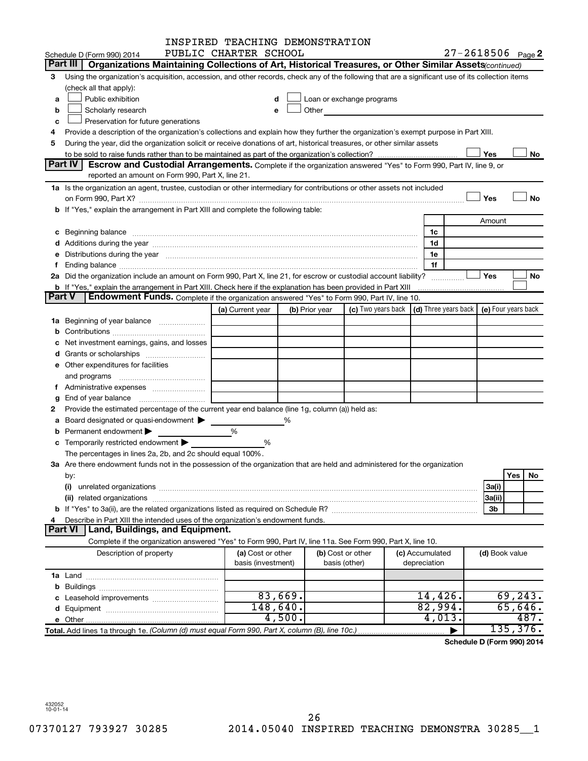|               | Schedule D (Form 990) 2014                                                                                                                                                                                                     | PUBLIC CHARTER SCHOOL |          |                |                           |                                                         | 27-2618506 Page 2          |                  |           |
|---------------|--------------------------------------------------------------------------------------------------------------------------------------------------------------------------------------------------------------------------------|-----------------------|----------|----------------|---------------------------|---------------------------------------------------------|----------------------------|------------------|-----------|
| Part III      | Organizations Maintaining Collections of Art, Historical Treasures, or Other Similar Assets (continued)                                                                                                                        |                       |          |                |                           |                                                         |                            |                  |           |
| 3             | Using the organization's acquisition, accession, and other records, check any of the following that are a significant use of its collection items                                                                              |                       |          |                |                           |                                                         |                            |                  |           |
|               | (check all that apply):                                                                                                                                                                                                        |                       |          |                |                           |                                                         |                            |                  |           |
| a             | Public exhibition                                                                                                                                                                                                              |                       | d        |                | Loan or exchange programs |                                                         |                            |                  |           |
| b             | Scholarly research                                                                                                                                                                                                             |                       | e        |                | <b>Other Community</b>    |                                                         |                            |                  |           |
| с             | Preservation for future generations                                                                                                                                                                                            |                       |          |                |                           |                                                         |                            |                  |           |
| 4             | Provide a description of the organization's collections and explain how they further the organization's exempt purpose in Part XIII.                                                                                           |                       |          |                |                           |                                                         |                            |                  |           |
| 5             | During the year, did the organization solicit or receive donations of art, historical treasures, or other similar assets                                                                                                       |                       |          |                |                           |                                                         |                            |                  |           |
|               |                                                                                                                                                                                                                                |                       |          |                |                           |                                                         | Yes                        |                  | No        |
|               | Part IV<br>Escrow and Custodial Arrangements. Complete if the organization answered "Yes" to Form 990, Part IV, line 9, or<br>reported an amount on Form 990, Part X, line 21.                                                 |                       |          |                |                           |                                                         |                            |                  |           |
|               | 1a Is the organization an agent, trustee, custodian or other intermediary for contributions or other assets not included                                                                                                       |                       |          |                |                           |                                                         |                            |                  |           |
|               |                                                                                                                                                                                                                                |                       |          |                |                           |                                                         | Yes                        |                  | <b>No</b> |
|               | b If "Yes," explain the arrangement in Part XIII and complete the following table:                                                                                                                                             |                       |          |                |                           |                                                         |                            |                  |           |
|               |                                                                                                                                                                                                                                |                       |          |                |                           |                                                         | Amount                     |                  |           |
|               |                                                                                                                                                                                                                                |                       |          |                |                           | 1c                                                      |                            |                  |           |
|               |                                                                                                                                                                                                                                |                       |          |                |                           | 1d                                                      |                            |                  |           |
|               | Distributions during the year manufactured and continuum control of the state of the control of the state of the state of the state of the state of the state of the state of the state of the state of the state of the state |                       |          |                |                           | 1e                                                      |                            |                  |           |
| f             |                                                                                                                                                                                                                                |                       |          |                |                           | 1f                                                      |                            |                  |           |
|               | 2a Did the organization include an amount on Form 990, Part X, line 21, for escrow or custodial account liability?                                                                                                             |                       |          |                |                           |                                                         | Yes                        |                  | No        |
|               | <b>b</b> If "Yes," explain the arrangement in Part XIII. Check here if the explanation has been provided in Part XIII                                                                                                          |                       |          |                |                           |                                                         |                            |                  |           |
| <b>Part V</b> | Endowment Funds. Complete if the organization answered "Yes" to Form 990, Part IV, line 10.                                                                                                                                    |                       |          |                |                           |                                                         |                            |                  |           |
|               |                                                                                                                                                                                                                                | (a) Current year      |          | (b) Prior year |                           | (c) Two years back $\vert$ (d) Three years back $\vert$ | (e) Four years back        |                  |           |
|               | <b>1a</b> Beginning of year balance <i>mimimimimimia</i>                                                                                                                                                                       |                       |          |                |                           |                                                         |                            |                  |           |
|               |                                                                                                                                                                                                                                |                       |          |                |                           |                                                         |                            |                  |           |
|               | Net investment earnings, gains, and losses                                                                                                                                                                                     |                       |          |                |                           |                                                         |                            |                  |           |
|               |                                                                                                                                                                                                                                |                       |          |                |                           |                                                         |                            |                  |           |
|               | e Other expenditures for facilities                                                                                                                                                                                            |                       |          |                |                           |                                                         |                            |                  |           |
|               |                                                                                                                                                                                                                                |                       |          |                |                           |                                                         |                            |                  |           |
| f.            | Administrative expenses                                                                                                                                                                                                        |                       |          |                |                           |                                                         |                            |                  |           |
| g             |                                                                                                                                                                                                                                |                       |          |                |                           |                                                         |                            |                  |           |
| 2             | Provide the estimated percentage of the current year end balance (line 1g, column (a)) held as:                                                                                                                                |                       |          |                |                           |                                                         |                            |                  |           |
|               | a Board designated or quasi-endowment >                                                                                                                                                                                        |                       | %        |                |                           |                                                         |                            |                  |           |
|               | <b>b</b> Permanent endowment $\blacktriangleright$                                                                                                                                                                             | %                     |          |                |                           |                                                         |                            |                  |           |
|               | <b>c</b> Temporarily restricted endowment $\blacktriangleright$                                                                                                                                                                | %                     |          |                |                           |                                                         |                            |                  |           |
|               | The percentages in lines 2a, 2b, and 2c should equal 100%.                                                                                                                                                                     |                       |          |                |                           |                                                         |                            |                  |           |
|               | 3a Are there endowment funds not in the possession of the organization that are held and administered for the organization                                                                                                     |                       |          |                |                           |                                                         |                            |                  |           |
|               | by:                                                                                                                                                                                                                            |                       |          |                |                           |                                                         |                            | Yes              | No        |
|               | (i)                                                                                                                                                                                                                            |                       |          |                |                           |                                                         | 3a(i)                      |                  |           |
|               |                                                                                                                                                                                                                                |                       |          |                |                           |                                                         | 3a(ii)                     |                  |           |
|               |                                                                                                                                                                                                                                |                       |          |                |                           |                                                         | 3b                         |                  |           |
|               | Describe in Part XIII the intended uses of the organization's endowment funds.<br>Land, Buildings, and Equipment.<br><b>Part VI</b>                                                                                            |                       |          |                |                           |                                                         |                            |                  |           |
|               | Complete if the organization answered "Yes" to Form 990, Part IV, line 11a. See Form 990, Part X, line 10.                                                                                                                     |                       |          |                |                           |                                                         |                            |                  |           |
|               | Description of property                                                                                                                                                                                                        | (a) Cost or other     |          |                | (b) Cost or other         | (c) Accumulated                                         |                            |                  |           |
|               |                                                                                                                                                                                                                                | basis (investment)    |          |                | basis (other)             | depreciation                                            | (d) Book value             |                  |           |
|               |                                                                                                                                                                                                                                |                       |          |                |                           |                                                         |                            |                  |           |
|               |                                                                                                                                                                                                                                |                       |          |                |                           |                                                         |                            |                  |           |
|               |                                                                                                                                                                                                                                |                       | 83,669.  |                |                           | 14,426.                                                 |                            | 69, 243.         |           |
|               |                                                                                                                                                                                                                                |                       | 148,640. |                |                           | 82,994.                                                 |                            | 65,646.          |           |
|               | e Other.                                                                                                                                                                                                                       |                       | 4,500.   |                |                           | 4,013.                                                  |                            |                  | 487.      |
|               | Total. Add lines 1a through 1e. (Column (d) must equal Form 990, Part X, column (B), line 10c.)                                                                                                                                |                       |          |                |                           |                                                         |                            | 135,376 <b>.</b> |           |
|               |                                                                                                                                                                                                                                |                       |          |                |                           |                                                         | Schedule D (Form 990) 2014 |                  |           |
|               |                                                                                                                                                                                                                                |                       |          |                |                           |                                                         |                            |                  |           |

432052 10-01-14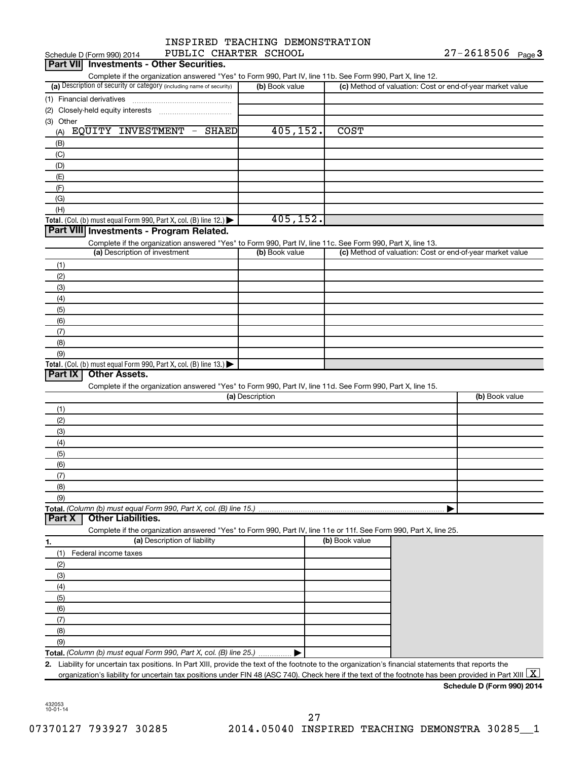#### Schedule D (Form 990) 2014 PUBLIC\_CHARTER\_SCHOOL Z 7-Z 6 I 85 U 6 Page INSPIRED TEACHING DEMONSTRATION PUBLIC CHARTER SCHOOL 27-2618506

27-2618506 Page 3

|                                    |                           | <b>Part VII</b> Investments - Other Securities.                                                 |                                                                                                                                                                                                                                                                                                                            |                |                                                           |
|------------------------------------|---------------------------|-------------------------------------------------------------------------------------------------|----------------------------------------------------------------------------------------------------------------------------------------------------------------------------------------------------------------------------------------------------------------------------------------------------------------------------|----------------|-----------------------------------------------------------|
|                                    |                           |                                                                                                 | Complete if the organization answered "Yes" to Form 990, Part IV, line 11b. See Form 990, Part X, line 12.                                                                                                                                                                                                                 |                |                                                           |
|                                    |                           | (a) Description of security or category (including name of security)                            | (b) Book value                                                                                                                                                                                                                                                                                                             |                | (c) Method of valuation: Cost or end-of-year market value |
|                                    | (1) Financial derivatives |                                                                                                 |                                                                                                                                                                                                                                                                                                                            |                |                                                           |
| (3) Other                          |                           | (2) Closely-held equity interests                                                               |                                                                                                                                                                                                                                                                                                                            |                |                                                           |
| (A)                                |                           | EQUITY INVESTMENT - SHAED                                                                       | 405, 152.                                                                                                                                                                                                                                                                                                                  | <b>COST</b>    |                                                           |
| (B)                                |                           |                                                                                                 |                                                                                                                                                                                                                                                                                                                            |                |                                                           |
| (C)                                |                           |                                                                                                 |                                                                                                                                                                                                                                                                                                                            |                |                                                           |
| (D)                                |                           |                                                                                                 |                                                                                                                                                                                                                                                                                                                            |                |                                                           |
| (E)                                |                           |                                                                                                 |                                                                                                                                                                                                                                                                                                                            |                |                                                           |
| (F)                                |                           |                                                                                                 |                                                                                                                                                                                                                                                                                                                            |                |                                                           |
| (G)                                |                           |                                                                                                 |                                                                                                                                                                                                                                                                                                                            |                |                                                           |
| (H)                                |                           |                                                                                                 |                                                                                                                                                                                                                                                                                                                            |                |                                                           |
|                                    |                           | Total. (Col. (b) must equal Form 990, Part X, col. (B) line 12.)                                | 405, 152.                                                                                                                                                                                                                                                                                                                  |                |                                                           |
|                                    |                           | Part VIII Investments - Program Related.                                                        |                                                                                                                                                                                                                                                                                                                            |                |                                                           |
|                                    |                           |                                                                                                 | Complete if the organization answered "Yes" to Form 990, Part IV, line 11c. See Form 990, Part X, line 13.                                                                                                                                                                                                                 |                |                                                           |
|                                    |                           | (a) Description of investment                                                                   | (b) Book value                                                                                                                                                                                                                                                                                                             |                | (c) Method of valuation: Cost or end-of-year market value |
| (1)                                |                           |                                                                                                 |                                                                                                                                                                                                                                                                                                                            |                |                                                           |
| (2)                                |                           |                                                                                                 |                                                                                                                                                                                                                                                                                                                            |                |                                                           |
| (3)                                |                           |                                                                                                 |                                                                                                                                                                                                                                                                                                                            |                |                                                           |
| (4)                                |                           |                                                                                                 |                                                                                                                                                                                                                                                                                                                            |                |                                                           |
| (5)<br>(6)                         |                           |                                                                                                 |                                                                                                                                                                                                                                                                                                                            |                |                                                           |
| (7)                                |                           |                                                                                                 |                                                                                                                                                                                                                                                                                                                            |                |                                                           |
| (8)                                |                           |                                                                                                 |                                                                                                                                                                                                                                                                                                                            |                |                                                           |
| (9)                                |                           |                                                                                                 |                                                                                                                                                                                                                                                                                                                            |                |                                                           |
| <b>Part IX</b>                     | <b>Other Assets.</b>      |                                                                                                 | Complete if the organization answered "Yes" to Form 990, Part IV, line 11d. See Form 990, Part X, line 15.<br>(a) Description                                                                                                                                                                                              |                | (b) Book value                                            |
| (1)                                |                           |                                                                                                 |                                                                                                                                                                                                                                                                                                                            |                |                                                           |
| (2)                                |                           |                                                                                                 |                                                                                                                                                                                                                                                                                                                            |                |                                                           |
| (3)                                |                           |                                                                                                 |                                                                                                                                                                                                                                                                                                                            |                |                                                           |
| (4)                                |                           |                                                                                                 |                                                                                                                                                                                                                                                                                                                            |                |                                                           |
| (5)                                |                           |                                                                                                 |                                                                                                                                                                                                                                                                                                                            |                |                                                           |
| (6)                                |                           |                                                                                                 |                                                                                                                                                                                                                                                                                                                            |                |                                                           |
| (7)<br>(8)                         |                           |                                                                                                 |                                                                                                                                                                                                                                                                                                                            |                |                                                           |
| (9)                                |                           |                                                                                                 |                                                                                                                                                                                                                                                                                                                            |                |                                                           |
|                                    |                           |                                                                                                 |                                                                                                                                                                                                                                                                                                                            |                |                                                           |
|                                    |                           |                                                                                                 |                                                                                                                                                                                                                                                                                                                            |                |                                                           |
|                                    |                           | Total. (Column (b) must equal Form 990, Part X, col. (B) line 15.)<br><b>Other Liabilities.</b> |                                                                                                                                                                                                                                                                                                                            |                |                                                           |
|                                    |                           |                                                                                                 |                                                                                                                                                                                                                                                                                                                            |                |                                                           |
|                                    |                           | (a) Description of liability                                                                    | Complete if the organization answered "Yes" to Form 990, Part IV, line 11e or 11f. See Form 990, Part X, line 25.                                                                                                                                                                                                          | (b) Book value |                                                           |
|                                    | Federal income taxes      |                                                                                                 |                                                                                                                                                                                                                                                                                                                            |                |                                                           |
|                                    |                           |                                                                                                 |                                                                                                                                                                                                                                                                                                                            |                |                                                           |
|                                    |                           |                                                                                                 |                                                                                                                                                                                                                                                                                                                            |                |                                                           |
|                                    |                           |                                                                                                 |                                                                                                                                                                                                                                                                                                                            |                |                                                           |
|                                    |                           |                                                                                                 |                                                                                                                                                                                                                                                                                                                            |                |                                                           |
|                                    |                           |                                                                                                 |                                                                                                                                                                                                                                                                                                                            |                |                                                           |
| (1)<br>(4)<br>(5)<br>(6)<br>(7)    |                           |                                                                                                 |                                                                                                                                                                                                                                                                                                                            |                |                                                           |
| <b>Part X</b><br>(2)<br>(3)<br>(8) |                           |                                                                                                 |                                                                                                                                                                                                                                                                                                                            |                |                                                           |
| (9)                                |                           |                                                                                                 |                                                                                                                                                                                                                                                                                                                            |                |                                                           |
|                                    |                           | Total. (Column (b) must equal Form 990, Part X, col. (B) line 25.)                              |                                                                                                                                                                                                                                                                                                                            |                |                                                           |
|                                    |                           |                                                                                                 | Liability for uncertain tax positions. In Part XIII, provide the text of the footnote to the organization's financial statements that reports the<br>organization's liability for uncertain tax positions under FIN 48 (ASC 740). Check here if the text of the footnote has been provided in Part XIII $\boxed{\text{X}}$ |                |                                                           |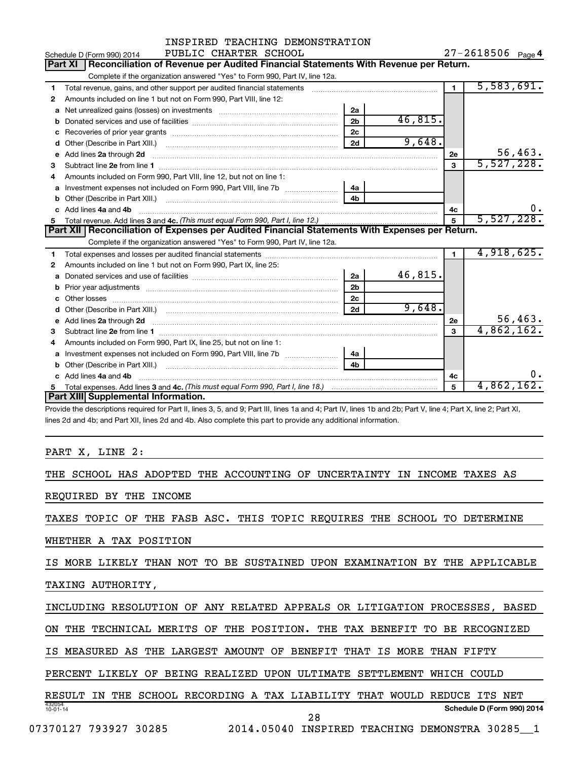| INSPIRED TEACHING DEMONSTRATION |  |
|---------------------------------|--|
|---------------------------------|--|

Schedule D (Form 990) 2014 Page PUBLIC CHARTER SCHOOL 27-2618506 27-2618506 Page 4

|    | <b>Part XI</b><br>Reconciliation of Revenue per Audited Financial Statements With Revenue per Return.                                                       |                |         |                |            |
|----|-------------------------------------------------------------------------------------------------------------------------------------------------------------|----------------|---------|----------------|------------|
|    | Complete if the organization answered "Yes" to Form 990, Part IV, line 12a.                                                                                 |                |         |                |            |
| 1  | Total revenue, gains, and other support per audited financial statements [11] [12] Total revenue, gains, and other support per audited financial statements |                |         | $\blacksquare$ | 5,583,691. |
| 2  | Amounts included on line 1 but not on Form 990, Part VIII, line 12:                                                                                         |                |         |                |            |
| a  |                                                                                                                                                             | 2a             |         |                |            |
| b  |                                                                                                                                                             | 2 <sub>b</sub> | 46,815. |                |            |
| c  |                                                                                                                                                             | 2c             |         |                |            |
| d  |                                                                                                                                                             | 2d             | 9,648.  |                |            |
|    | Add lines 2a through 2d                                                                                                                                     |                |         | 2e             | 56,463.    |
| З  | Subtract line 2e from line 1 <b>manual contract and contract line 2e</b> from line 1                                                                        |                |         | 3              | 5,527,228. |
| 4  | Amounts included on Form 990, Part VIII, line 12, but not on line 1:                                                                                        |                |         |                |            |
| a  |                                                                                                                                                             |                |         |                |            |
| b  |                                                                                                                                                             | 4 <sub>b</sub> |         |                |            |
|    | Add lines 4a and 4b                                                                                                                                         |                |         | 4c             | 0.         |
| 5. |                                                                                                                                                             |                |         | 5              | 5,527,228. |
|    |                                                                                                                                                             |                |         |                |            |
|    | Part XII Reconciliation of Expenses per Audited Financial Statements With Expenses per Return.                                                              |                |         |                |            |
|    | Complete if the organization answered "Yes" to Form 990, Part IV, line 12a.                                                                                 |                |         |                |            |
| 1  |                                                                                                                                                             |                |         | $\blacksquare$ | 4,918,625. |
| 2  | Amounts included on line 1 but not on Form 990, Part IX, line 25:                                                                                           |                |         |                |            |
| a  |                                                                                                                                                             | 2a             | 46,815. |                |            |
| b  |                                                                                                                                                             | 2 <sub>b</sub> |         |                |            |
| c  |                                                                                                                                                             | 2c             |         |                |            |
| d  |                                                                                                                                                             |                | 9,648.  |                |            |
| е  | Add lines 2a through 2d                                                                                                                                     |                |         | 2e             | 56,463.    |
| з  | Subtract line 2e from line 1 <b>manual contract and contract the 2e</b> from line 1                                                                         |                |         | 3              | 4,862,162. |
| 4  | Amounts included on Form 990, Part IX, line 25, but not on line 1:                                                                                          |                |         |                |            |
| a  |                                                                                                                                                             | - 4а           |         |                |            |
| b  |                                                                                                                                                             | 4 <sub>b</sub> |         |                |            |
|    | c Add lines 4a and 4b                                                                                                                                       |                |         | 4c             | 0.         |
|    | <b>Part XIII Supplemental Information.</b>                                                                                                                  |                |         | 5              | 4,862,162. |

Provide the descriptions required for Part II, lines 3, 5, and 9; Part III, lines 1a and 4; Part IV, lines 1b and 2b; Part V, line 4; Part X, line 2; Part XI, lines 2d and 4b; and Part XII, lines 2d and 4b. Also complete this part to provide any additional information.

#### PART X, LINE 2:

|  |  |  |  |  |  |  | THE SCHOOL HAS ADOPTED THE ACCOUNTING OF UNCERTAINTY IN INCOME TAXES AS |  |  |  |  |  |
|--|--|--|--|--|--|--|-------------------------------------------------------------------------|--|--|--|--|--|
|--|--|--|--|--|--|--|-------------------------------------------------------------------------|--|--|--|--|--|

#### REQUIRED BY THE INCOME

TAXES TOPIC OF THE FASB ASC. THIS TOPIC REQUIRES THE SCHOOL TO DETERMINE

WHETHER A TAX POSITION

IS MORE LIKELY THAN NOT TO BE SUSTAINED UPON EXAMINATION BY THE APPLICABLE

TAXING AUTHORITY,

INCLUDING RESOLUTION OF ANY RELATED APPEALS OR LITIGATION PROCESSES, BASED

ON THE TECHNICAL MERITS OF THE POSITION. THE TAX BENEFIT TO BE RECOGNIZED

IS MEASURED AS THE LARGEST AMOUNT OF BENEFIT THAT IS MORE THAN FIFTY

PERCENT LIKELY OF BEING REALIZED UPON ULTIMATE SETTLEMENT WHICH COULD

432054 10-01-14 **Schedule D (Form 990) 2014** RESULT IN THE SCHOOL RECORDING A TAX LIABILITY THAT WOULD REDUCE ITS NET 28

07370127 793927 30285 2014.05040 INSPIRED TEACHING DEMONSTRA 30285 1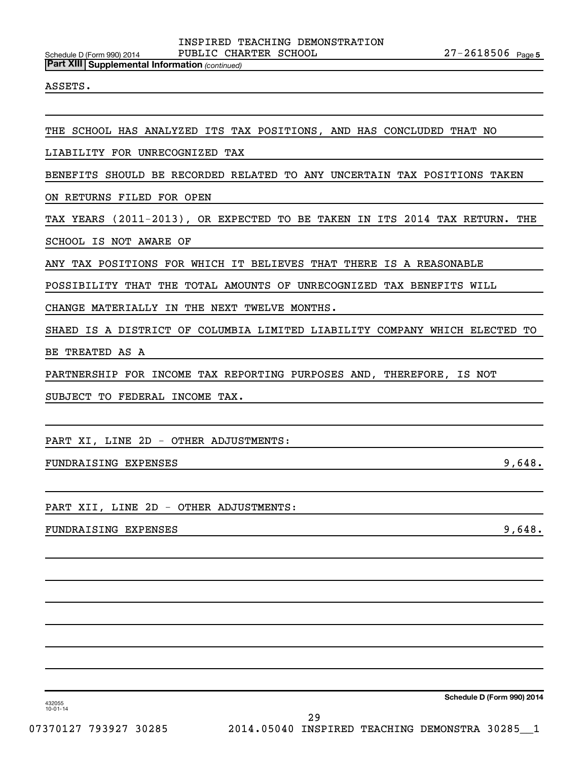**Part XIII | Supplemental Information** (continued)

ASSETS.

THE SCHOOL HAS ANALYZED ITS TAX POSITIONS, AND HAS CONCLUDED THAT NO

LIABILITY FOR UNRECOGNIZED TAX

BENEFITS SHOULD BE RECORDED RELATED TO ANY UNCERTAIN TAX POSITIONS TAKEN

ON RETURNS FILED FOR OPEN

TAX YEARS (2011-2013), OR EXPECTED TO BE TAKEN IN ITS 2014 TAX RETURN. THE

SCHOOL IS NOT AWARE OF

ANY TAX POSITIONS FOR WHICH IT BELIEVES THAT THERE IS A REASONABLE

POSSIBILITY THAT THE TOTAL AMOUNTS OF UNRECOGNIZED TAX BENEFITS WILL

CHANGE MATERIALLY IN THE NEXT TWELVE MONTHS.

SHAED IS A DISTRICT OF COLUMBIA LIMITED LIABILITY COMPANY WHICH ELECTED TO

BE TREATED AS A

PARTNERSHIP FOR INCOME TAX REPORTING PURPOSES AND, THEREFORE, IS NOT

SUBJECT TO FEDERAL INCOME TAX.

PART XI, LINE 2D - OTHER ADJUSTMENTS:

FUNDRAISING EXPENSES 9,648.

PART XII, LINE 2D - OTHER ADJUSTMENTS:

FUNDRAISING EXPENSES 9,648.

**Schedule D (Form 990) 2014**

432055 10-01-14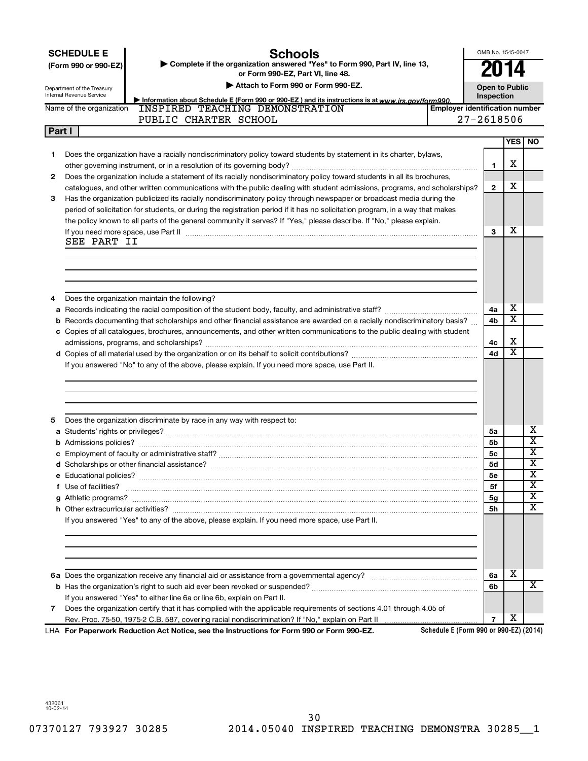## **SCHEDULE E**

## **Schools**

**(Form 990 or 990-EZ) | Complete if the organization answered "Yes" to Form 990, Part IV, line 13, or Form 990-EZ, Part VI, line 48.**

**Open to Public 2014**

OMB No. 1545-0047

|        | $1$ of $111$ 330 - L.E., $1$ at t vi, in te                                                                                                                                                       |                                                                                                                                  |                                       |                                     |                       |                         |  |  |  |
|--------|---------------------------------------------------------------------------------------------------------------------------------------------------------------------------------------------------|----------------------------------------------------------------------------------------------------------------------------------|---------------------------------------|-------------------------------------|-----------------------|-------------------------|--|--|--|
|        | Attach to Form 990 or Form 990-EZ.<br>Department of the Treasury<br>Internal Revenue Service<br>Information about Schedule E (Form 990 or 990-EZ) and its instructions is at www.irs.gov/form990. |                                                                                                                                  |                                       | <b>Open to Public</b><br>Inspection |                       |                         |  |  |  |
|        | Name of the organization                                                                                                                                                                          | INSPIRED TEACHING DEMONSTRATION                                                                                                  | <b>Employer identification number</b> |                                     |                       |                         |  |  |  |
|        |                                                                                                                                                                                                   | PUBLIC CHARTER SCHOOL                                                                                                            |                                       | 27-2618506                          |                       |                         |  |  |  |
| Part I |                                                                                                                                                                                                   |                                                                                                                                  |                                       |                                     |                       |                         |  |  |  |
|        |                                                                                                                                                                                                   |                                                                                                                                  |                                       |                                     | <b>YES</b>            | <b>NO</b>               |  |  |  |
|        |                                                                                                                                                                                                   |                                                                                                                                  |                                       |                                     |                       |                         |  |  |  |
| 1      |                                                                                                                                                                                                   | Does the organization have a racially nondiscriminatory policy toward students by statement in its charter, bylaws,              |                                       |                                     | x                     |                         |  |  |  |
|        |                                                                                                                                                                                                   |                                                                                                                                  |                                       | 1                                   |                       |                         |  |  |  |
| 2      |                                                                                                                                                                                                   | Does the organization include a statement of its racially nondiscriminatory policy toward students in all its brochures,         |                                       |                                     | х                     |                         |  |  |  |
|        |                                                                                                                                                                                                   | catalogues, and other written communications with the public dealing with student admissions, programs, and scholarships?        |                                       | $\overline{2}$                      |                       |                         |  |  |  |
| з      |                                                                                                                                                                                                   | Has the organization publicized its racially nondiscriminatory policy through newspaper or broadcast media during the            |                                       |                                     |                       |                         |  |  |  |
|        |                                                                                                                                                                                                   | period of solicitation for students, or during the registration period if it has no solicitation program, in a way that makes    |                                       |                                     |                       |                         |  |  |  |
|        |                                                                                                                                                                                                   | the policy known to all parts of the general community it serves? If "Yes," please describe. If "No," please explain.            |                                       |                                     |                       |                         |  |  |  |
|        |                                                                                                                                                                                                   |                                                                                                                                  |                                       | 3                                   | x                     |                         |  |  |  |
|        | SEE PART II                                                                                                                                                                                       |                                                                                                                                  |                                       |                                     |                       |                         |  |  |  |
|        |                                                                                                                                                                                                   |                                                                                                                                  |                                       |                                     |                       |                         |  |  |  |
|        |                                                                                                                                                                                                   |                                                                                                                                  |                                       |                                     |                       |                         |  |  |  |
|        |                                                                                                                                                                                                   |                                                                                                                                  |                                       |                                     |                       |                         |  |  |  |
|        |                                                                                                                                                                                                   |                                                                                                                                  |                                       |                                     |                       |                         |  |  |  |
| 4      |                                                                                                                                                                                                   | Does the organization maintain the following?                                                                                    |                                       |                                     |                       |                         |  |  |  |
| a      |                                                                                                                                                                                                   |                                                                                                                                  |                                       | 4a                                  | х                     |                         |  |  |  |
|        |                                                                                                                                                                                                   | <b>b</b> Records documenting that scholarships and other financial assistance are awarded on a racially nondiscriminatory basis? |                                       | 4b                                  | x                     |                         |  |  |  |
|        |                                                                                                                                                                                                   | c Copies of all catalogues, brochures, announcements, and other written communications to the public dealing with student        |                                       |                                     |                       |                         |  |  |  |
|        |                                                                                                                                                                                                   |                                                                                                                                  |                                       | 4с                                  | х                     |                         |  |  |  |
|        |                                                                                                                                                                                                   |                                                                                                                                  |                                       | 4d                                  | $\overline{\text{x}}$ |                         |  |  |  |
|        |                                                                                                                                                                                                   | If you answered "No" to any of the above, please explain. If you need more space, use Part II.                                   |                                       |                                     |                       |                         |  |  |  |
|        |                                                                                                                                                                                                   |                                                                                                                                  |                                       |                                     |                       |                         |  |  |  |
| 5      |                                                                                                                                                                                                   | Does the organization discriminate by race in any way with respect to:                                                           |                                       |                                     |                       |                         |  |  |  |
|        |                                                                                                                                                                                                   |                                                                                                                                  |                                       | 5a                                  |                       | X                       |  |  |  |
|        |                                                                                                                                                                                                   |                                                                                                                                  |                                       | 5b                                  |                       | $\overline{\mathbf{x}}$ |  |  |  |
|        |                                                                                                                                                                                                   |                                                                                                                                  |                                       | 5c                                  |                       | $\overline{\mathbf{X}}$ |  |  |  |
|        |                                                                                                                                                                                                   |                                                                                                                                  |                                       | 5d                                  |                       | $\overline{\mathbf{X}}$ |  |  |  |
|        |                                                                                                                                                                                                   |                                                                                                                                  |                                       | 5e                                  |                       | $\overline{\mathbf{x}}$ |  |  |  |
|        |                                                                                                                                                                                                   |                                                                                                                                  |                                       | 5f                                  |                       | $\overline{\mathbf{x}}$ |  |  |  |
|        |                                                                                                                                                                                                   |                                                                                                                                  |                                       | 5g                                  |                       | $\overline{\mathbf{x}}$ |  |  |  |
|        | <b>h</b> Other extracurricular activities?                                                                                                                                                        |                                                                                                                                  |                                       | 5h                                  |                       | $\overline{\mathtt{x}}$ |  |  |  |
|        |                                                                                                                                                                                                   | If you answered "Yes" to any of the above, please explain. If you need more space, use Part II.                                  |                                       |                                     |                       |                         |  |  |  |
|        |                                                                                                                                                                                                   |                                                                                                                                  |                                       |                                     |                       |                         |  |  |  |
|        |                                                                                                                                                                                                   |                                                                                                                                  |                                       | 6a                                  | х                     |                         |  |  |  |
|        |                                                                                                                                                                                                   |                                                                                                                                  |                                       | 6b                                  |                       | x                       |  |  |  |
|        |                                                                                                                                                                                                   | If you answered "Yes" to either line 6a or line 6b, explain on Part II.                                                          |                                       |                                     |                       |                         |  |  |  |

**For Paperwork Reduction Act Notice, see the Instructions for Form 990 or Form 990-EZ.** LHA

Rev. Proc. 75-50, 1975-2 C.B. 587, covering racial nondiscrimination? If "No," explain on Part II

**7** Does the organization certify that it has complied with the applicable requirements of sections 4.01 through 4.05 of

**Schedule E (Form 990 or 990-EZ) (2014)**

**7**

X

432061 10-02-14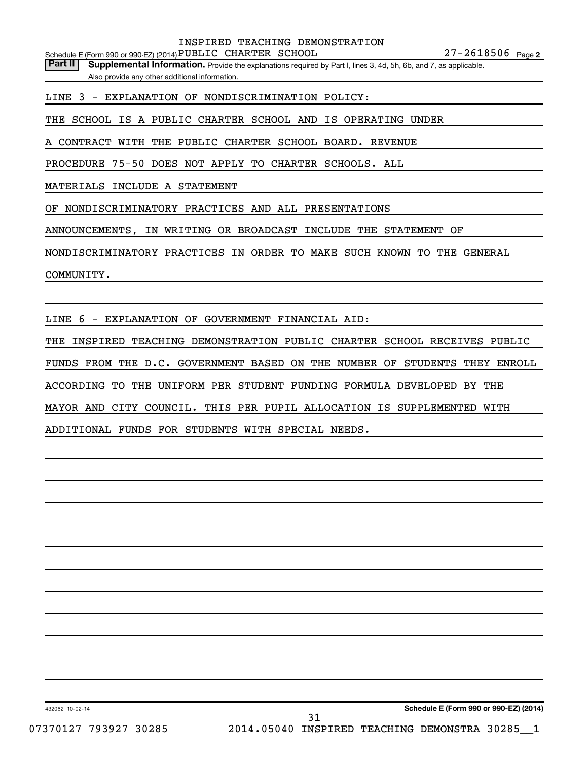27-2618506 Page 2 Schedule E (Form 990 or 990-EZ) (2014)  $\texttt{PUBLIC}$   $\texttt{CHARTER}$   $\texttt{SCHOOL}$   $27\texttt{-}2618506$   $\texttt{Page}$ 

Part II | Supplemental Information. Provide the explanations required by Part I, lines 3, 4d, 5h, 6b, and 7, as applicable. Also provide any other additional information.

LINE 3 - EXPLANATION OF NONDISCRIMINATION POLICY:

THE SCHOOL IS A PUBLIC CHARTER SCHOOL AND IS OPERATING UNDER

A CONTRACT WITH THE PUBLIC CHARTER SCHOOL BOARD. REVENUE

PROCEDURE 75-50 DOES NOT APPLY TO CHARTER SCHOOLS. ALL

MATERIALS INCLUDE A STATEMENT

OF NONDISCRIMINATORY PRACTICES AND ALL PRESENTATIONS

ANNOUNCEMENTS, IN WRITING OR BROADCAST INCLUDE THE STATEMENT OF

NONDISCRIMINATORY PRACTICES IN ORDER TO MAKE SUCH KNOWN TO THE GENERAL

COMMUNITY.

LINE 6 - EXPLANATION OF GOVERNMENT FINANCIAL AID:

THE INSPIRED TEACHING DEMONSTRATION PUBLIC CHARTER SCHOOL RECEIVES PUBLIC FUNDS FROM THE D.C. GOVERNMENT BASED ON THE NUMBER OF STUDENTS THEY ENROLL ACCORDING TO THE UNIFORM PER STUDENT FUNDING FORMULA DEVELOPED BY THE MAYOR AND CITY COUNCIL. THIS PER PUPIL ALLOCATION IS SUPPLEMENTED WITH ADDITIONAL FUNDS FOR STUDENTS WITH SPECIAL NEEDS.

432062 10-02-14

07370127 793927 30285 2014.05040 INSPIRED TEACHING DEMONSTRA 30285\_1 31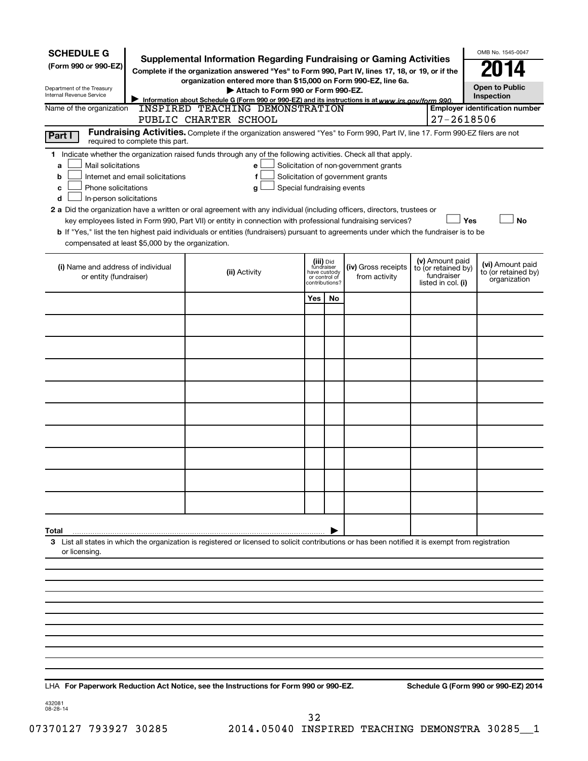| <b>SCHEDULE G</b><br>(Form 990 or 990-EZ)<br>Department of the Treasury<br>Internal Revenue Service                                           |                                  | <b>Supplemental Information Regarding Fundraising or Gaming Activities</b><br>Complete if the organization answered "Yes" to Form 990, Part IV, lines 17, 18, or 19, or if the<br>organization entered more than \$15,000 on Form 990-EZ, line 6a.<br>Attach to Form 990 or Form 990-EZ.<br>Information about Schedule G (Form 990 or 990-EZ) and its instructions is at www.irs.gov/form 990.                                                                                                                                                     |                                                                            |    |                                                                            |  |                                                                            | OMB No. 1545-0047<br><b>Open to Public</b><br>Inspection |
|-----------------------------------------------------------------------------------------------------------------------------------------------|----------------------------------|----------------------------------------------------------------------------------------------------------------------------------------------------------------------------------------------------------------------------------------------------------------------------------------------------------------------------------------------------------------------------------------------------------------------------------------------------------------------------------------------------------------------------------------------------|----------------------------------------------------------------------------|----|----------------------------------------------------------------------------|--|----------------------------------------------------------------------------|----------------------------------------------------------|
| Name of the organization                                                                                                                      |                                  | <b>Employer identification number</b>                                                                                                                                                                                                                                                                                                                                                                                                                                                                                                              |                                                                            |    |                                                                            |  |                                                                            |                                                          |
|                                                                                                                                               |                                  | PUBLIC CHARTER SCHOOL<br>Fundraising Activities. Complete if the organization answered "Yes" to Form 990, Part IV, line 17. Form 990-EZ filers are not                                                                                                                                                                                                                                                                                                                                                                                             |                                                                            |    |                                                                            |  | 27-2618506                                                                 |                                                          |
| Part I                                                                                                                                        | required to complete this part.  |                                                                                                                                                                                                                                                                                                                                                                                                                                                                                                                                                    |                                                                            |    |                                                                            |  |                                                                            |                                                          |
| Mail solicitations<br>a<br>b<br>Phone solicitations<br>c<br>In-person solicitations<br>d<br>compensated at least \$5,000 by the organization. | Internet and email solicitations | 1 Indicate whether the organization raised funds through any of the following activities. Check all that apply.<br>е<br>f<br>Special fundraising events<br>g<br>2 a Did the organization have a written or oral agreement with any individual (including officers, directors, trustees or<br>key employees listed in Form 990, Part VII) or entity in connection with professional fundraising services?<br>b If "Yes," list the ten highest paid individuals or entities (fundraisers) pursuant to agreements under which the fundraiser is to be |                                                                            |    | Solicitation of non-government grants<br>Solicitation of government grants |  | Yes                                                                        | <b>No</b>                                                |
| (i) Name and address of individual<br>or entity (fundraiser)                                                                                  |                                  | (ii) Activity                                                                                                                                                                                                                                                                                                                                                                                                                                                                                                                                      | (iii) Did<br>fundraiser<br>have custody<br>or control of<br>contributions? |    | (iv) Gross receipts<br>from activity                                       |  | (v) Amount paid<br>to (or retained by)<br>fundraiser<br>listed in col. (i) | (vi) Amount paid<br>to (or retained by)<br>organization  |
|                                                                                                                                               |                                  |                                                                                                                                                                                                                                                                                                                                                                                                                                                                                                                                                    | Yes                                                                        | No |                                                                            |  |                                                                            |                                                          |
|                                                                                                                                               |                                  |                                                                                                                                                                                                                                                                                                                                                                                                                                                                                                                                                    |                                                                            |    |                                                                            |  |                                                                            |                                                          |
|                                                                                                                                               |                                  |                                                                                                                                                                                                                                                                                                                                                                                                                                                                                                                                                    |                                                                            |    |                                                                            |  |                                                                            |                                                          |
|                                                                                                                                               |                                  |                                                                                                                                                                                                                                                                                                                                                                                                                                                                                                                                                    |                                                                            |    |                                                                            |  |                                                                            |                                                          |
|                                                                                                                                               |                                  |                                                                                                                                                                                                                                                                                                                                                                                                                                                                                                                                                    |                                                                            |    |                                                                            |  |                                                                            |                                                          |
|                                                                                                                                               |                                  |                                                                                                                                                                                                                                                                                                                                                                                                                                                                                                                                                    |                                                                            |    |                                                                            |  |                                                                            |                                                          |
|                                                                                                                                               |                                  |                                                                                                                                                                                                                                                                                                                                                                                                                                                                                                                                                    |                                                                            |    |                                                                            |  |                                                                            |                                                          |
|                                                                                                                                               |                                  |                                                                                                                                                                                                                                                                                                                                                                                                                                                                                                                                                    |                                                                            |    |                                                                            |  |                                                                            |                                                          |
|                                                                                                                                               |                                  |                                                                                                                                                                                                                                                                                                                                                                                                                                                                                                                                                    |                                                                            |    |                                                                            |  |                                                                            |                                                          |
|                                                                                                                                               |                                  |                                                                                                                                                                                                                                                                                                                                                                                                                                                                                                                                                    |                                                                            |    |                                                                            |  |                                                                            |                                                          |
|                                                                                                                                               |                                  |                                                                                                                                                                                                                                                                                                                                                                                                                                                                                                                                                    |                                                                            |    |                                                                            |  |                                                                            |                                                          |
|                                                                                                                                               |                                  |                                                                                                                                                                                                                                                                                                                                                                                                                                                                                                                                                    |                                                                            |    |                                                                            |  |                                                                            |                                                          |
|                                                                                                                                               |                                  |                                                                                                                                                                                                                                                                                                                                                                                                                                                                                                                                                    |                                                                            |    |                                                                            |  |                                                                            |                                                          |
| Total                                                                                                                                         |                                  | 3 List all states in which the organization is registered or licensed to solicit contributions or has been notified it is exempt from registration                                                                                                                                                                                                                                                                                                                                                                                                 |                                                                            |    |                                                                            |  |                                                                            |                                                          |
| or licensing.                                                                                                                                 |                                  |                                                                                                                                                                                                                                                                                                                                                                                                                                                                                                                                                    |                                                                            |    |                                                                            |  |                                                                            |                                                          |
|                                                                                                                                               |                                  |                                                                                                                                                                                                                                                                                                                                                                                                                                                                                                                                                    |                                                                            |    |                                                                            |  |                                                                            |                                                          |
|                                                                                                                                               |                                  |                                                                                                                                                                                                                                                                                                                                                                                                                                                                                                                                                    |                                                                            |    |                                                                            |  |                                                                            |                                                          |
|                                                                                                                                               |                                  |                                                                                                                                                                                                                                                                                                                                                                                                                                                                                                                                                    |                                                                            |    |                                                                            |  |                                                                            |                                                          |
|                                                                                                                                               |                                  |                                                                                                                                                                                                                                                                                                                                                                                                                                                                                                                                                    |                                                                            |    |                                                                            |  |                                                                            |                                                          |
|                                                                                                                                               |                                  |                                                                                                                                                                                                                                                                                                                                                                                                                                                                                                                                                    |                                                                            |    |                                                                            |  |                                                                            |                                                          |
|                                                                                                                                               |                                  |                                                                                                                                                                                                                                                                                                                                                                                                                                                                                                                                                    |                                                                            |    |                                                                            |  |                                                                            |                                                          |
|                                                                                                                                               |                                  |                                                                                                                                                                                                                                                                                                                                                                                                                                                                                                                                                    |                                                                            |    |                                                                            |  |                                                                            |                                                          |

LHA For Paperwork Reduction Act Notice, see the Instructions for Form 990 or 990-EZ. Schedule G (Form 990 or 990-EZ) 2014

432081 08-28-14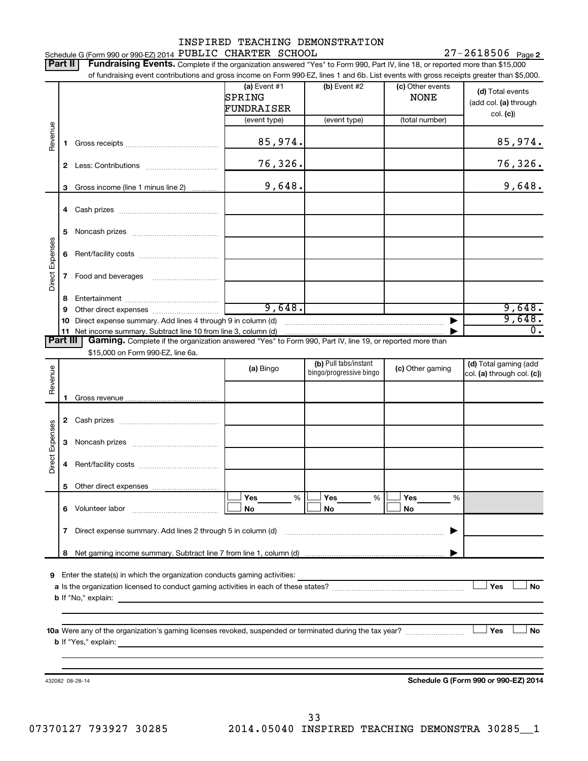#### 27-2618506 Page 2 Schedule G (Form 990 or 990-EZ) 2014 Page PUBLIC CHARTER SCHOOL 27-2618506

| <b>Part II</b>         |              | Fundraising Events. Complete if the organization answered "Yes" to Form 990, Part IV, line 18, or reported more than \$15,000                                                                                         |                                             |                         |                                 |                                           |
|------------------------|--------------|-----------------------------------------------------------------------------------------------------------------------------------------------------------------------------------------------------------------------|---------------------------------------------|-------------------------|---------------------------------|-------------------------------------------|
|                        |              | of fundraising event contributions and gross income on Form 990-EZ, lines 1 and 6b. List events with gross receipts greater than \$5,000.                                                                             |                                             |                         |                                 |                                           |
|                        |              |                                                                                                                                                                                                                       | (a) Event #1<br>SPRING<br><b>FUNDRAISER</b> | (b) Event #2            | (c) Other events<br><b>NONE</b> | (d) Total events<br>(add col. (a) through |
|                        |              |                                                                                                                                                                                                                       | (event type)                                | (event type)            | (total number)                  | col. (c)                                  |
| Revenue                | 1.           |                                                                                                                                                                                                                       | 85,974.                                     |                         |                                 | 85,974.                                   |
|                        | $\mathbf{2}$ |                                                                                                                                                                                                                       | 76,326.                                     |                         |                                 | 76,326.                                   |
|                        | 3            | Gross income (line 1 minus line 2)                                                                                                                                                                                    | 9,648.                                      |                         |                                 | 9,648.                                    |
|                        |              |                                                                                                                                                                                                                       |                                             |                         |                                 |                                           |
|                        | 5            |                                                                                                                                                                                                                       |                                             |                         |                                 |                                           |
|                        | 6            |                                                                                                                                                                                                                       |                                             |                         |                                 |                                           |
| Direct Expenses        | $\mathbf{7}$ | Food and beverages                                                                                                                                                                                                    |                                             |                         |                                 |                                           |
|                        | 8            |                                                                                                                                                                                                                       |                                             |                         |                                 |                                           |
|                        | 9            |                                                                                                                                                                                                                       | 9,648.                                      |                         |                                 | 9,648.                                    |
|                        |              | 10 Direct expense summary. Add lines 4 through 9 in column (d)                                                                                                                                                        |                                             |                         |                                 | 9,648.                                    |
| <b>Part III</b>        |              | 11 Net income summary. Subtract line 10 from line 3, column (d)                                                                                                                                                       |                                             |                         |                                 | $\overline{0}$ .                          |
|                        |              | Gaming. Complete if the organization answered "Yes" to Form 990, Part IV, line 19, or reported more than<br>\$15,000 on Form 990-EZ, line 6a.                                                                         |                                             |                         |                                 |                                           |
|                        |              |                                                                                                                                                                                                                       |                                             | (b) Pull tabs/instant   |                                 | (d) Total gaming (add                     |
| Revenue                |              |                                                                                                                                                                                                                       | (a) Bingo                                   | bingo/progressive bingo | (c) Other gaming                | col. (a) through col. (c))                |
|                        |              |                                                                                                                                                                                                                       |                                             |                         |                                 |                                           |
|                        |              |                                                                                                                                                                                                                       |                                             |                         |                                 |                                           |
|                        |              |                                                                                                                                                                                                                       |                                             |                         |                                 |                                           |
| <b>Direct Expenses</b> | 3            |                                                                                                                                                                                                                       |                                             |                         |                                 |                                           |
|                        | 4            |                                                                                                                                                                                                                       |                                             |                         |                                 |                                           |
|                        |              |                                                                                                                                                                                                                       |                                             |                         |                                 |                                           |
|                        |              |                                                                                                                                                                                                                       | Yes<br>%                                    | Yes<br>%                | Yes<br>%                        |                                           |
|                        | 6.           | Volunteer labor                                                                                                                                                                                                       | No                                          | No                      | No                              |                                           |
|                        | 7            | Direct expense summary. Add lines 2 through 5 in column (d)                                                                                                                                                           |                                             |                         |                                 |                                           |
|                        |              |                                                                                                                                                                                                                       |                                             |                         |                                 |                                           |
|                        | 8            |                                                                                                                                                                                                                       |                                             |                         |                                 |                                           |
|                        |              | 9 Enter the state(s) in which the organization conducts gaming activities:                                                                                                                                            |                                             |                         |                                 |                                           |
|                        |              |                                                                                                                                                                                                                       |                                             |                         |                                 | Yes<br>No                                 |
|                        |              |                                                                                                                                                                                                                       |                                             |                         |                                 |                                           |
|                        |              | 10a Were any of the organization's gaming licenses revoked, suspended or terminated during the tax year?<br><b>b</b> If "Yes," explain:<br><u> 1989 - Johann Stein, mars an deus Amerikaansk kommunister (* 1958)</u> |                                             |                         |                                 | Yes<br>No                                 |
|                        |              |                                                                                                                                                                                                                       |                                             |                         |                                 |                                           |

**Schedule G (Form 990 or 990-EZ) 2014**

33

432082 08-28-14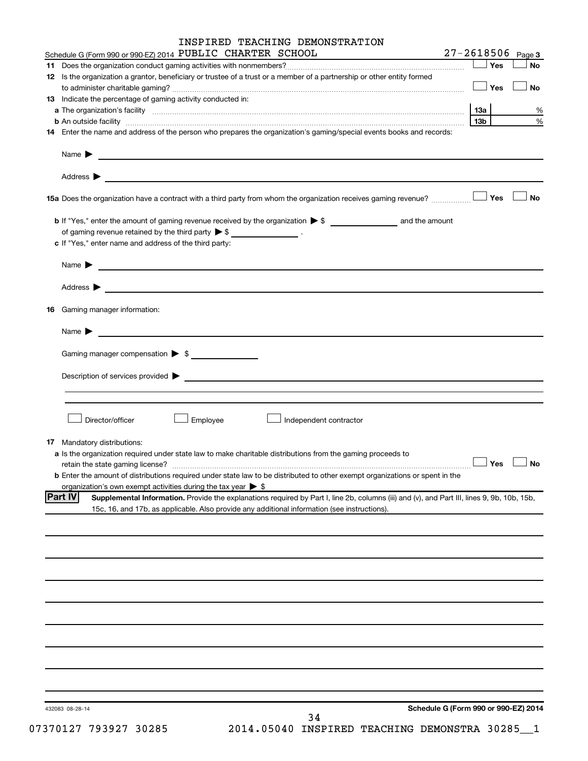| Schedule G (Form 990 or 990-EZ) 2014 PUBLIC CHARTER SCHOOL                                                                                                                                                                                                    |                 |     | $27 - 2618506$ Page 3 |
|---------------------------------------------------------------------------------------------------------------------------------------------------------------------------------------------------------------------------------------------------------------|-----------------|-----|-----------------------|
|                                                                                                                                                                                                                                                               |                 | Yes | No                    |
| 12 Is the organization a grantor, beneficiary or trustee of a trust or a member of a partnership or other entity formed                                                                                                                                       |                 | Yes | No                    |
| 13 Indicate the percentage of gaming activity conducted in:                                                                                                                                                                                                   |                 |     |                       |
|                                                                                                                                                                                                                                                               | 13а             |     | %                     |
| <b>b</b> An outside facility <b>contained an according to the contract of the contract of the contract of the contract of the contract of the contract of the contract of the contract of the contract of the contract of the contrac</b>                     | 13 <sub>b</sub> |     | %                     |
| 14 Enter the name and address of the person who prepares the organization's gaming/special events books and records:                                                                                                                                          |                 |     |                       |
|                                                                                                                                                                                                                                                               |                 |     |                       |
| Address $\blacktriangleright$                                                                                                                                                                                                                                 |                 |     |                       |
| 15a Does the organization have a contract with a third party from whom the organization receives gaming revenue?                                                                                                                                              |                 | Yes | <b>No</b>             |
|                                                                                                                                                                                                                                                               |                 |     |                       |
| of gaming revenue retained by the third party $\triangleright$ \$ _______________________.                                                                                                                                                                    |                 |     |                       |
| c If "Yes," enter name and address of the third party:                                                                                                                                                                                                        |                 |     |                       |
| Name $\blacktriangleright$<br><u> 1989 - Andrea Stadt Britain, amerikansk politiker (</u>                                                                                                                                                                     |                 |     |                       |
| Address >                                                                                                                                                                                                                                                     |                 |     |                       |
| <b>16</b> Gaming manager information:                                                                                                                                                                                                                         |                 |     |                       |
| Name $\triangleright$                                                                                                                                                                                                                                         |                 |     |                       |
|                                                                                                                                                                                                                                                               |                 |     |                       |
| Gaming manager compensation > \$                                                                                                                                                                                                                              |                 |     |                       |
|                                                                                                                                                                                                                                                               |                 |     |                       |
|                                                                                                                                                                                                                                                               |                 |     |                       |
| Director/officer<br>Employee<br>Independent contractor                                                                                                                                                                                                        |                 |     |                       |
|                                                                                                                                                                                                                                                               |                 |     |                       |
| 17 Mandatory distributions:<br>a Is the organization required under state law to make charitable distributions from the gaming proceeds to                                                                                                                    |                 |     |                       |
|                                                                                                                                                                                                                                                               |                 | Yes | No                    |
| <b>b</b> Enter the amount of distributions required under state law to be distributed to other exempt organizations or spent in the                                                                                                                           |                 |     |                       |
| organization's own exempt activities during the tax year $\triangleright$ \$                                                                                                                                                                                  |                 |     |                       |
| <b>Part IV</b><br>Supplemental Information. Provide the explanations required by Part I, line 2b, columns (iii) and (v), and Part III, lines 9, 9b, 10b, 15b,<br>15c, 16, and 17b, as applicable. Also provide any additional information (see instructions). |                 |     |                       |
|                                                                                                                                                                                                                                                               |                 |     |                       |
|                                                                                                                                                                                                                                                               |                 |     |                       |
|                                                                                                                                                                                                                                                               |                 |     |                       |
|                                                                                                                                                                                                                                                               |                 |     |                       |
|                                                                                                                                                                                                                                                               |                 |     |                       |
|                                                                                                                                                                                                                                                               |                 |     |                       |
|                                                                                                                                                                                                                                                               |                 |     |                       |
|                                                                                                                                                                                                                                                               |                 |     |                       |
|                                                                                                                                                                                                                                                               |                 |     |                       |
|                                                                                                                                                                                                                                                               |                 |     |                       |
| Schedule G (Form 990 or 990-EZ) 2014<br>432083 08-28-14<br>34                                                                                                                                                                                                 |                 |     |                       |

07370127 793927 30285 2014.05040 INSPIRED TEACHING DEMONSTRA 30285...1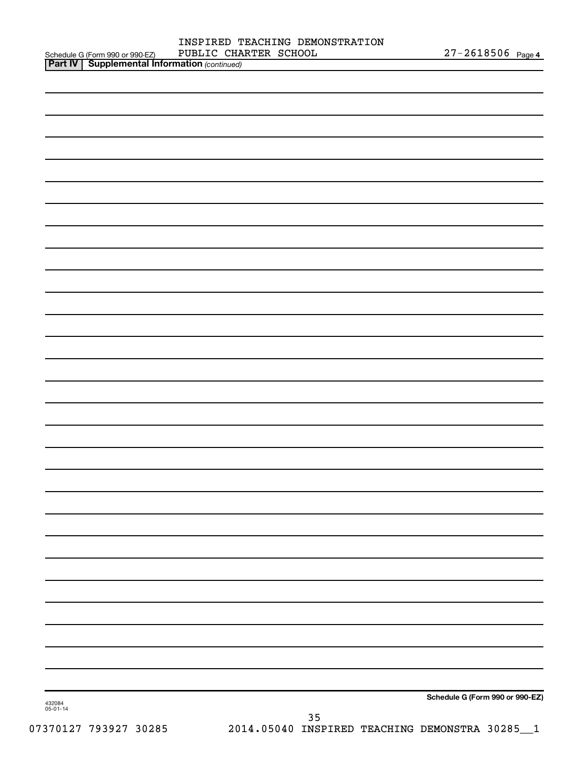|                                 | INSPIRED TEACHING DEMONSTRATION |                       |
|---------------------------------|---------------------------------|-----------------------|
| Schedule G (Form 990 or 990-EZ) | PUBLIC CHARTER SCHOOL           | $27 - 2618506$ Page 4 |

| Schedule G (Form 990 or 990-EZ)                       | PUDDIL CAARI |  |
|-------------------------------------------------------|--------------|--|
| <b>Part IV   Supplemental Information (continued)</b> |              |  |

| 432084<br>05-01-14 | Schedule G (Form 990 or 990-EZ) |
|--------------------|---------------------------------|
|                    |                                 |
|                    |                                 |
|                    |                                 |
|                    |                                 |
|                    |                                 |
|                    |                                 |
|                    |                                 |
|                    |                                 |
|                    |                                 |
|                    |                                 |
|                    |                                 |
|                    |                                 |
|                    |                                 |
|                    |                                 |
|                    |                                 |
|                    |                                 |
|                    |                                 |
|                    |                                 |
|                    |                                 |
|                    |                                 |
|                    |                                 |
|                    |                                 |
|                    |                                 |
|                    |                                 |
|                    |                                 |
|                    |                                 |
|                    |                                 |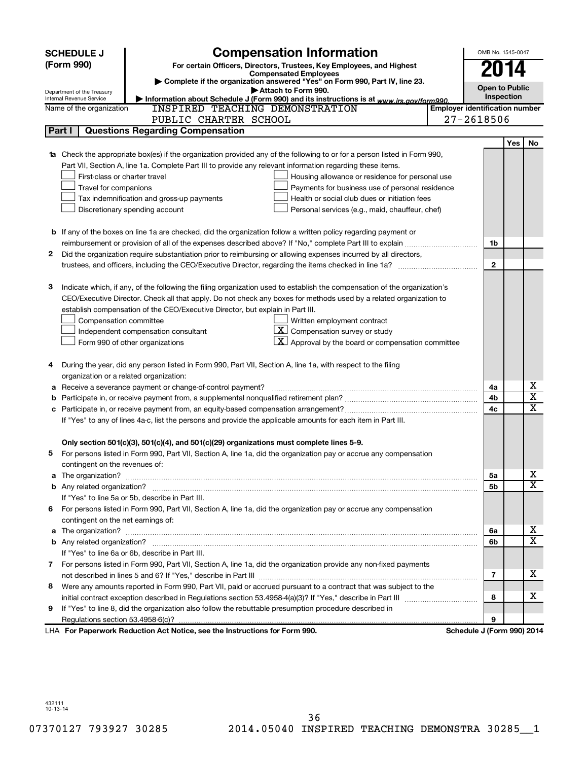| <b>Compensation Information</b><br><b>SCHEDULE J</b>                                                                             | OMB No. 1545-0047                     |
|----------------------------------------------------------------------------------------------------------------------------------|---------------------------------------|
| (Form 990)<br>For certain Officers, Directors, Trustees, Key Employees, and Highest                                              | [174                                  |
| <b>Compensated Employees</b><br>> Complete if the organization answered "Yes" on Form 990, Part IV, line 23.                     |                                       |
| Attach to Form 990.<br>Department of the Treasury                                                                                | <b>Open to Public</b>                 |
| Information about Schedule J (Form 990) and its instructions is at www.irs.gov/form990.<br>Internal Revenue Service              | Inspection                            |
| INSPIRED TEACHING DEMONSTRATION<br>Name of the organization                                                                      | <b>Employer identification number</b> |
| PUBLIC CHARTER SCHOOL                                                                                                            | $27 - 2618506$                        |
| <b>Questions Regarding Compensation</b><br>Part I                                                                                |                                       |
|                                                                                                                                  | Yes<br>No                             |
| <b>1a</b> Check the appropriate box(es) if the organization provided any of the following to or for a person listed in Form 990, |                                       |
| Part VII, Section A, line 1a. Complete Part III to provide any relevant information regarding these items.                       |                                       |
| First-class or charter travel<br>Housing allowance or residence for personal use                                                 |                                       |
| Travel for companions<br>Payments for business use of personal residence                                                         |                                       |
| Tax indemnification and gross-up payments<br>Health or social club dues or initiation fees                                       |                                       |
| Discretionary spending account<br>Personal services (e.g., maid, chauffeur, chef)                                                |                                       |
|                                                                                                                                  |                                       |
| <b>b</b> If any of the boxes on line 1a are checked, did the organization follow a written policy regarding payment or           |                                       |
| reimbursement or provision of all of the expenses described above? If "No," complete Part III to explain                         | 1b                                    |
| 2<br>Did the organization require substantiation prior to reimbursing or allowing expenses incurred by all directors,            |                                       |
| trustees, and officers, including the CEO/Executive Director, regarding the items checked in line 1a?                            | $\mathbf{2}$                          |
|                                                                                                                                  |                                       |
| Indicate which, if any, of the following the filing organization used to establish the compensation of the organization's<br>3   |                                       |
| CEO/Executive Director. Check all that apply. Do not check any boxes for methods used by a related organization to               |                                       |
| establish compensation of the CEO/Executive Director, but explain in Part III.                                                   |                                       |
| Written employment contract<br>Compensation committee                                                                            |                                       |
| $\lfloor \underline{X} \rfloor$ Compensation survey or study<br>Independent compensation consultant                              |                                       |
| $\lfloor x \rfloor$ Approval by the board or compensation committee<br>Form 990 of other organizations                           |                                       |
|                                                                                                                                  |                                       |
| During the year, did any person listed in Form 990, Part VII, Section A, line 1a, with respect to the filing<br>4                |                                       |
| organization or a related organization:                                                                                          |                                       |
| Receive a severance payment or change-of-control payment?                                                                        | х<br>4a                               |
| Participate in, or receive payment from, a supplemental nonqualified retirement plan?<br>b                                       | $\overline{\textbf{x}}$<br>4b         |
|                                                                                                                                  | $\overline{\text{x}}$<br>4c           |
| If "Yes" to any of lines 4a-c, list the persons and provide the applicable amounts for each item in Part III.                    |                                       |
|                                                                                                                                  |                                       |
| Only section 501(c)(3), 501(c)(4), and 501(c)(29) organizations must complete lines 5-9.                                         |                                       |
| For persons listed in Form 990, Part VII, Section A, line 1a, did the organization pay or accrue any compensation<br>5           |                                       |
| contingent on the revenues of:                                                                                                   |                                       |
|                                                                                                                                  | x<br>5a                               |
|                                                                                                                                  | $\overline{\text{x}}$<br>5b           |
| If "Yes" to line 5a or 5b, describe in Part III.                                                                                 |                                       |
| For persons listed in Form 990, Part VII, Section A, line 1a, did the organization pay or accrue any compensation<br>6.          |                                       |
| contingent on the net earnings of:                                                                                               |                                       |
|                                                                                                                                  | x<br>6a                               |
|                                                                                                                                  | $\overline{\mathtt{x}}$<br>6b         |
| If "Yes" to line 6a or 6b, describe in Part III.                                                                                 |                                       |
| 7 For persons listed in Form 990, Part VII, Section A, line 1a, did the organization provide any non-fixed payments              |                                       |
|                                                                                                                                  | х<br>7                                |
| Were any amounts reported in Form 990, Part VII, paid or accrued pursuant to a contract that was subject to the<br>8             |                                       |
|                                                                                                                                  | х<br>8                                |
| If "Yes" to line 8, did the organization also follow the rebuttable presumption procedure described in<br>9                      |                                       |
|                                                                                                                                  | 9                                     |
| LHA For Paperwork Reduction Act Notice, see the Instructions for Form 990.                                                       | Schedule J (Form 990) 2014            |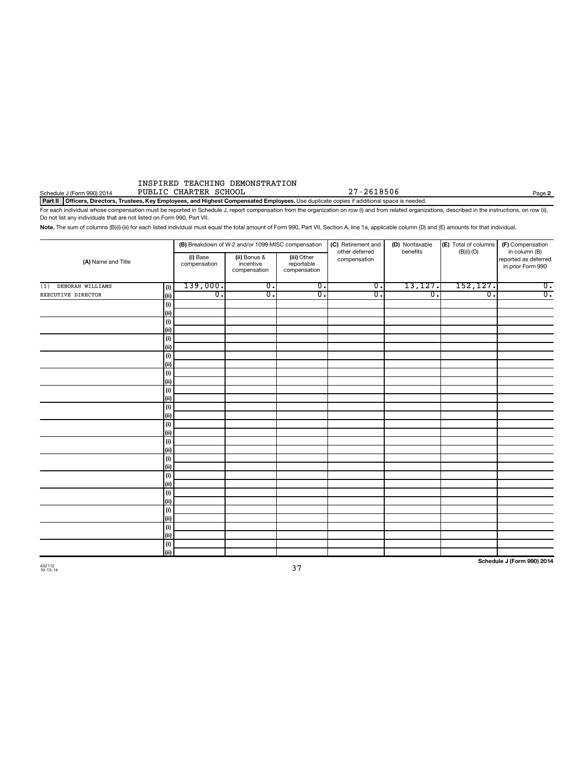**2 Part II Officers, Directors, Trustees, Key Employees, and Highest Compensated Employees.**  Use duplicate copies if additional space is needed. Schedule J (Form 990) 2014 PUBLIC CHARTER SCHOOL 27-2618506 27-2618506

For each individual whose compensation must be reported in Schedule J, report compensation from the organization on row (i) and from related organizations, described in the instructions, on row (ii). Do not list any individuals that are not listed on Form 990, Part VII.

**Note.**  The sum of columns (B)(i)-(iii) for each listed individual must equal the total amount of Form 990, Part VII, Section A, line 1a, applicable column (D) and (E) amounts for that individual.

| (A) Name and Title      |                              |                          | (B) Breakdown of W-2 and/or 1099-MISC compensation |                                           | (C) Retirement and             | (D) Nontaxable | (E) Total of columns        | (F) Compensation                                           |
|-------------------------|------------------------------|--------------------------|----------------------------------------------------|-------------------------------------------|--------------------------------|----------------|-----------------------------|------------------------------------------------------------|
|                         |                              | (i) Base<br>compensation | (ii) Bonus &<br>incentive<br>compensation          | (iii) Other<br>reportable<br>compensation | other deferred<br>compensation | benefits       | $(B)(i)$ - $(D)$            | in column (B)<br>reported as deferred<br>in prior Form 990 |
| DEBORAH WILLIAMS<br>(1) | (i)                          | 139,000.                 | $\overline{\mathbf{0}}$ .                          | $\overline{0}$ .                          | σ.                             | 13,127.        | 152, 127.                   | $\overline{\mathfrak{o}}$ .                                |
| EXECUTIVE DIRECTOR      | (ii)                         | $\overline{0}$ .         | σ.                                                 | $\overline{\mathfrak{o}}$ .               | $\overline{0}$ .               | σ.             | $\overline{\mathfrak{o}}$ . | $\overline{\mathfrak{o}}$ .                                |
|                         | (i)                          |                          |                                                    |                                           |                                |                |                             |                                                            |
|                         | (ii)                         |                          |                                                    |                                           |                                |                |                             |                                                            |
|                         | (i)                          |                          |                                                    |                                           |                                |                |                             |                                                            |
|                         | (ii)                         |                          |                                                    |                                           |                                |                |                             |                                                            |
|                         | (i)                          |                          |                                                    |                                           |                                |                |                             |                                                            |
|                         | (ii)                         |                          |                                                    |                                           |                                |                |                             |                                                            |
|                         | $\qquad \qquad \textbf{(i)}$ |                          |                                                    |                                           |                                |                |                             |                                                            |
|                         | (ii)                         |                          |                                                    |                                           |                                |                |                             |                                                            |
|                         | (i)                          |                          |                                                    |                                           |                                |                |                             |                                                            |
|                         | (ii)                         |                          |                                                    |                                           |                                |                |                             |                                                            |
|                         | (i)                          |                          |                                                    |                                           |                                |                |                             |                                                            |
|                         | (ii)                         |                          |                                                    |                                           |                                |                |                             |                                                            |
|                         | (i)<br>(ii)                  |                          |                                                    |                                           |                                |                |                             |                                                            |
|                         | (i)                          |                          |                                                    |                                           |                                |                |                             |                                                            |
|                         | (ii)                         |                          |                                                    |                                           |                                |                |                             |                                                            |
|                         | (i)                          |                          |                                                    |                                           |                                |                |                             |                                                            |
|                         | (ii)                         |                          |                                                    |                                           |                                |                |                             |                                                            |
|                         | $(i)$                        |                          |                                                    |                                           |                                |                |                             |                                                            |
|                         | (ii)                         |                          |                                                    |                                           |                                |                |                             |                                                            |
|                         | (i)                          |                          |                                                    |                                           |                                |                |                             |                                                            |
|                         | (ii)                         |                          |                                                    |                                           |                                |                |                             |                                                            |
|                         | (i)                          |                          |                                                    |                                           |                                |                |                             |                                                            |
|                         | (ii)                         |                          |                                                    |                                           |                                |                |                             |                                                            |
|                         | (i)                          |                          |                                                    |                                           |                                |                |                             |                                                            |
|                         | (ii)                         |                          |                                                    |                                           |                                |                |                             |                                                            |
|                         | (i)                          |                          |                                                    |                                           |                                |                |                             |                                                            |
|                         | (ii)                         |                          |                                                    |                                           |                                |                |                             |                                                            |
|                         | (i)                          |                          |                                                    |                                           |                                |                |                             |                                                            |
|                         | (ii)                         |                          |                                                    |                                           |                                |                |                             |                                                            |

432112 10-13-14

37

**Schedule J (Form 990) 2014**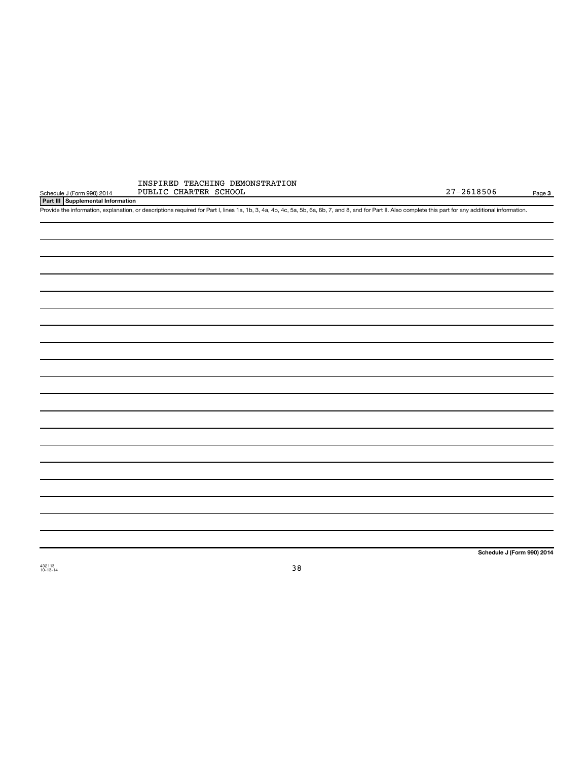|                                   | INSPIRED TEACHING DEMONSTRATION<br>PUBLIC CHARTER SCHOOL                                                                                                                                                   | 27-2618506 |        |
|-----------------------------------|------------------------------------------------------------------------------------------------------------------------------------------------------------------------------------------------------------|------------|--------|
| Schedule J (Form 990) 2014        |                                                                                                                                                                                                            |            | Page 3 |
| Part III Supplemental Information |                                                                                                                                                                                                            |            |        |
|                                   | Provide the information, explanation, or descriptions required for Part I, lines 1a, 1b, 3, 4a, 4b, 4c, 5a, 5b, 6a, 6b, 7, and 8, and for Part II. Also complete this part for any additional information. |            |        |
|                                   |                                                                                                                                                                                                            |            |        |
|                                   |                                                                                                                                                                                                            |            |        |
|                                   |                                                                                                                                                                                                            |            |        |
|                                   |                                                                                                                                                                                                            |            |        |
|                                   |                                                                                                                                                                                                            |            |        |
|                                   |                                                                                                                                                                                                            |            |        |
|                                   |                                                                                                                                                                                                            |            |        |
|                                   |                                                                                                                                                                                                            |            |        |
|                                   |                                                                                                                                                                                                            |            |        |
|                                   |                                                                                                                                                                                                            |            |        |
|                                   |                                                                                                                                                                                                            |            |        |
|                                   |                                                                                                                                                                                                            |            |        |
|                                   |                                                                                                                                                                                                            |            |        |
|                                   |                                                                                                                                                                                                            |            |        |
|                                   |                                                                                                                                                                                                            |            |        |
|                                   |                                                                                                                                                                                                            |            |        |
|                                   |                                                                                                                                                                                                            |            |        |
|                                   |                                                                                                                                                                                                            |            |        |
|                                   |                                                                                                                                                                                                            |            |        |
|                                   |                                                                                                                                                                                                            |            |        |
|                                   |                                                                                                                                                                                                            |            |        |
|                                   |                                                                                                                                                                                                            |            |        |
|                                   |                                                                                                                                                                                                            |            |        |
|                                   |                                                                                                                                                                                                            |            |        |
|                                   |                                                                                                                                                                                                            |            |        |
|                                   |                                                                                                                                                                                                            |            |        |
|                                   |                                                                                                                                                                                                            |            |        |
|                                   |                                                                                                                                                                                                            |            |        |
|                                   |                                                                                                                                                                                                            |            |        |
|                                   |                                                                                                                                                                                                            |            |        |
|                                   |                                                                                                                                                                                                            |            |        |
|                                   |                                                                                                                                                                                                            |            |        |
|                                   |                                                                                                                                                                                                            |            |        |
|                                   |                                                                                                                                                                                                            |            |        |
|                                   |                                                                                                                                                                                                            |            |        |

38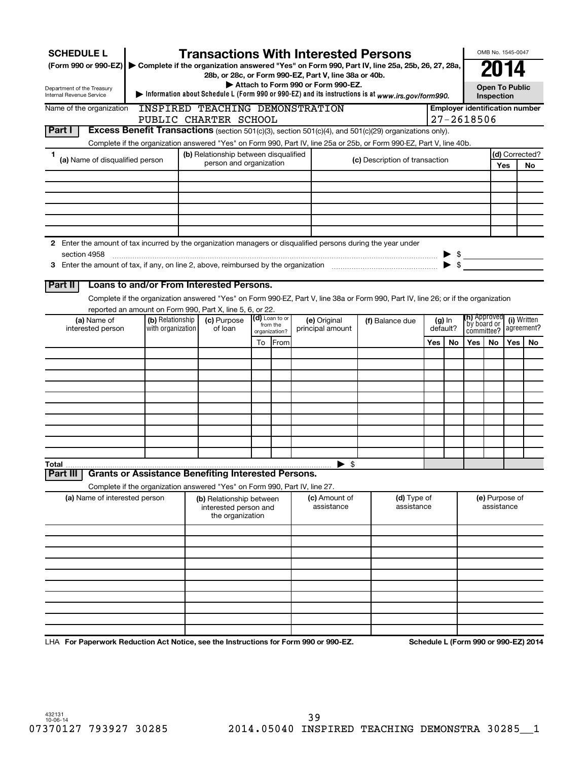| <b>Transactions With Interested Persons</b><br><b>SCHEDULE L</b><br>(Form 990 or 990-EZ) Complete if the organization answered "Yes" on Form 990, Part IV, line 25a, 25b, 26, 27, 28a,<br>28b, or 28c, or Form 990-EZ, Part V, line 38a or 40b.<br>Attach to Form 990 or Form 990-EZ.<br>Department of the Treasury<br>Information about Schedule L (Form 990 or 990-EZ) and its instructions is at www.irs.gov/form990.<br>Internal Revenue Service |                   |                                                                                                                                    |    |                           |  |                             |                           |                                | OMB No. 1545-0047<br><b>Open To Public</b><br>Inspection |    |                           |                                       |     |                                      |
|------------------------------------------------------------------------------------------------------------------------------------------------------------------------------------------------------------------------------------------------------------------------------------------------------------------------------------------------------------------------------------------------------------------------------------------------------|-------------------|------------------------------------------------------------------------------------------------------------------------------------|----|---------------------------|--|-----------------------------|---------------------------|--------------------------------|----------------------------------------------------------|----|---------------------------|---------------------------------------|-----|--------------------------------------|
| INSPIRED TEACHING DEMONSTRATION<br>Name of the organization<br>PUBLIC CHARTER SCHOOL                                                                                                                                                                                                                                                                                                                                                                 |                   |                                                                                                                                    |    |                           |  |                             |                           |                                | $27 - 2618506$                                           |    |                           | <b>Employer identification number</b> |     |                                      |
| Part I                                                                                                                                                                                                                                                                                                                                                                                                                                               |                   | <b>Excess Benefit Transactions</b> (section 501(c)(3), section 501(c)(4), and 501(c)(29) organizations only).                      |    |                           |  |                             |                           |                                |                                                          |    |                           |                                       |     |                                      |
|                                                                                                                                                                                                                                                                                                                                                                                                                                                      |                   | Complete if the organization answered "Yes" on Form 990, Part IV, line 25a or 25b, or Form 990-EZ, Part V, line 40b.               |    |                           |  |                             |                           |                                |                                                          |    |                           |                                       |     |                                      |
| (a) Name of disqualified person                                                                                                                                                                                                                                                                                                                                                                                                                      |                   | (b) Relationship between disqualified<br>person and organization                                                                   |    |                           |  |                             |                           | (c) Description of transaction |                                                          |    |                           |                                       | Yes | (d) Corrected?<br>No                 |
|                                                                                                                                                                                                                                                                                                                                                                                                                                                      |                   |                                                                                                                                    |    |                           |  |                             |                           |                                |                                                          |    |                           |                                       |     |                                      |
| 2 Enter the amount of tax incurred by the organization managers or disqualified persons during the year under<br>section 4958<br>Part II                                                                                                                                                                                                                                                                                                             |                   | Loans to and/or From Interested Persons.                                                                                           |    |                           |  |                             |                           |                                |                                                          |    | $\triangleright$ \$       |                                       |     |                                      |
|                                                                                                                                                                                                                                                                                                                                                                                                                                                      |                   | Complete if the organization answered "Yes" on Form 990-EZ, Part V, line 38a or Form 990, Part IV, line 26; or if the organization |    |                           |  |                             |                           |                                |                                                          |    |                           |                                       |     |                                      |
| (a) Name of                                                                                                                                                                                                                                                                                                                                                                                                                                          | (b) Relationship  | reported an amount on Form 990, Part X, line 5, 6, or 22.<br>(c) Purpose                                                           |    | (d) Loan to or            |  | (e) Original                |                           | (f) Balance due                |                                                          |    | (h) Approved              |                                       |     | (i) Written                          |
| interested person                                                                                                                                                                                                                                                                                                                                                                                                                                    | with organization | of loan                                                                                                                            |    | from the<br>organization? |  | principal amount            |                           |                                | (g) In<br>default?                                       |    | by board or<br>committee? |                                       |     | agreement?                           |
|                                                                                                                                                                                                                                                                                                                                                                                                                                                      |                   |                                                                                                                                    | To | From                      |  |                             |                           | Yes                            |                                                          | No | Yes   No                  |                                       |     | Yes   No                             |
|                                                                                                                                                                                                                                                                                                                                                                                                                                                      |                   |                                                                                                                                    |    |                           |  |                             |                           |                                |                                                          |    |                           |                                       |     |                                      |
|                                                                                                                                                                                                                                                                                                                                                                                                                                                      |                   |                                                                                                                                    |    |                           |  |                             |                           |                                |                                                          |    |                           |                                       |     |                                      |
|                                                                                                                                                                                                                                                                                                                                                                                                                                                      |                   |                                                                                                                                    |    |                           |  |                             |                           |                                |                                                          |    |                           |                                       |     |                                      |
|                                                                                                                                                                                                                                                                                                                                                                                                                                                      |                   |                                                                                                                                    |    |                           |  |                             |                           |                                |                                                          |    |                           |                                       |     |                                      |
|                                                                                                                                                                                                                                                                                                                                                                                                                                                      |                   |                                                                                                                                    |    |                           |  |                             |                           |                                |                                                          |    |                           |                                       |     |                                      |
|                                                                                                                                                                                                                                                                                                                                                                                                                                                      |                   |                                                                                                                                    |    |                           |  |                             |                           |                                |                                                          |    |                           |                                       |     |                                      |
|                                                                                                                                                                                                                                                                                                                                                                                                                                                      |                   |                                                                                                                                    |    |                           |  |                             |                           |                                |                                                          |    |                           |                                       |     |                                      |
|                                                                                                                                                                                                                                                                                                                                                                                                                                                      |                   |                                                                                                                                    |    |                           |  |                             |                           |                                |                                                          |    |                           |                                       |     |                                      |
| Total<br>Part III   Grants or Assistance Benefiting Interested Persons.                                                                                                                                                                                                                                                                                                                                                                              |                   |                                                                                                                                    |    |                           |  | $\blacktriangleright$ s     |                           |                                |                                                          |    |                           |                                       |     |                                      |
|                                                                                                                                                                                                                                                                                                                                                                                                                                                      |                   | Complete if the organization answered "Yes" on Form 990, Part IV, line 27.                                                         |    |                           |  |                             |                           |                                |                                                          |    |                           |                                       |     |                                      |
| (a) Name of interested person                                                                                                                                                                                                                                                                                                                                                                                                                        |                   | (b) Relationship between<br>interested person and<br>the organization                                                              |    |                           |  | (c) Amount of<br>assistance | (d) Type of<br>assistance |                                |                                                          |    |                           | (e) Purpose of<br>assistance          |     |                                      |
|                                                                                                                                                                                                                                                                                                                                                                                                                                                      |                   |                                                                                                                                    |    |                           |  |                             |                           |                                |                                                          |    |                           |                                       |     |                                      |
|                                                                                                                                                                                                                                                                                                                                                                                                                                                      |                   |                                                                                                                                    |    |                           |  |                             |                           |                                |                                                          |    |                           |                                       |     |                                      |
|                                                                                                                                                                                                                                                                                                                                                                                                                                                      |                   |                                                                                                                                    |    |                           |  |                             |                           |                                |                                                          |    |                           |                                       |     |                                      |
|                                                                                                                                                                                                                                                                                                                                                                                                                                                      |                   |                                                                                                                                    |    |                           |  |                             |                           |                                |                                                          |    |                           |                                       |     |                                      |
| LHA For Paperwork Reduction Act Notice, see the Instructions for Form 990 or 990-EZ.                                                                                                                                                                                                                                                                                                                                                                 |                   |                                                                                                                                    |    |                           |  |                             |                           |                                |                                                          |    |                           |                                       |     | Schedule L (Form 990 or 990-EZ) 2014 |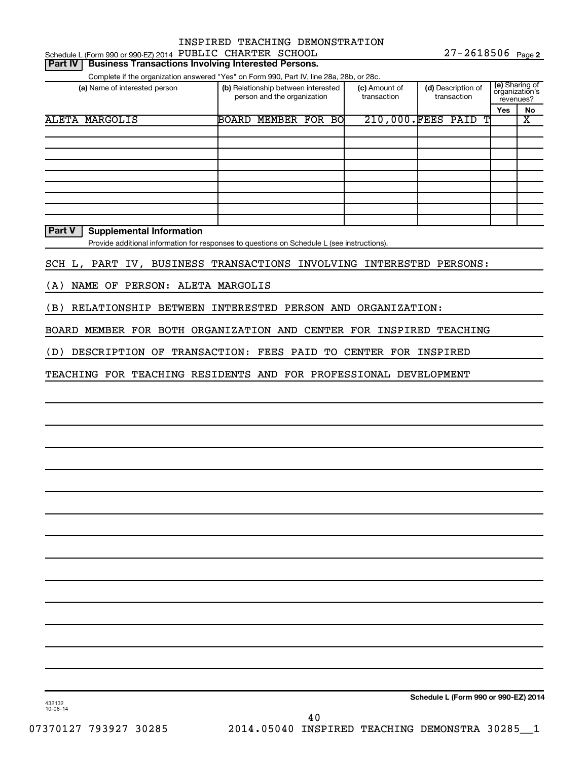27-2618506 Page 2 Schedule L (Form 990 or 990-EZ) 2014 PUBLIC CHARTER SCHOOL  $27-2618506$  Page

Complete if the organization answered "Yes" on Form 990, Part IV, line 28a, 28b, or 28c. **Part IV | Business Transactions Involving Interested Persons.** 

| Complete if the organization answered Frest for Form 990, Part IV, line 28a, 28D, or 28C. |                                                                    |  |               |                              |                                   |                                               |    |  |  |  |  |
|-------------------------------------------------------------------------------------------|--------------------------------------------------------------------|--|---------------|------------------------------|-----------------------------------|-----------------------------------------------|----|--|--|--|--|
| (a) Name of interested person                                                             | (b) Relationship between interested<br>person and the organization |  |               | (c) Amount of<br>transaction | (d) Description of<br>transaction | (e) Sharing of<br>organization's<br>revenues? |    |  |  |  |  |
|                                                                                           |                                                                    |  |               |                              |                                   | Yes                                           | No |  |  |  |  |
| ALETA MARGOLIS                                                                            | BOARD                                                              |  | MEMBER FOR BO |                              | 210,000. FEES PAID T              |                                               | х  |  |  |  |  |
|                                                                                           |                                                                    |  |               |                              |                                   |                                               |    |  |  |  |  |
|                                                                                           |                                                                    |  |               |                              |                                   |                                               |    |  |  |  |  |
|                                                                                           |                                                                    |  |               |                              |                                   |                                               |    |  |  |  |  |
|                                                                                           |                                                                    |  |               |                              |                                   |                                               |    |  |  |  |  |
|                                                                                           |                                                                    |  |               |                              |                                   |                                               |    |  |  |  |  |
|                                                                                           |                                                                    |  |               |                              |                                   |                                               |    |  |  |  |  |
|                                                                                           |                                                                    |  |               |                              |                                   |                                               |    |  |  |  |  |
|                                                                                           |                                                                    |  |               |                              |                                   |                                               |    |  |  |  |  |
|                                                                                           |                                                                    |  |               |                              |                                   |                                               |    |  |  |  |  |
|                                                                                           |                                                                    |  |               |                              |                                   |                                               |    |  |  |  |  |

#### **Part V** | Supplemental Information

Provide additional information for responses to questions on Schedule L (see instructions).

SCH L, PART IV, BUSINESS TRANSACTIONS INVOLVING INTERESTED PERSONS:

(A) NAME OF PERSON: ALETA MARGOLIS

(B) RELATIONSHIP BETWEEN INTERESTED PERSON AND ORGANIZATION:

BOARD MEMBER FOR BOTH ORGANIZATION AND CENTER FOR INSPIRED TEACHING

(D) DESCRIPTION OF TRANSACTION: FEES PAID TO CENTER FOR INSPIRED

TEACHING FOR TEACHING RESIDENTS AND FOR PROFESSIONAL DEVELOPMENT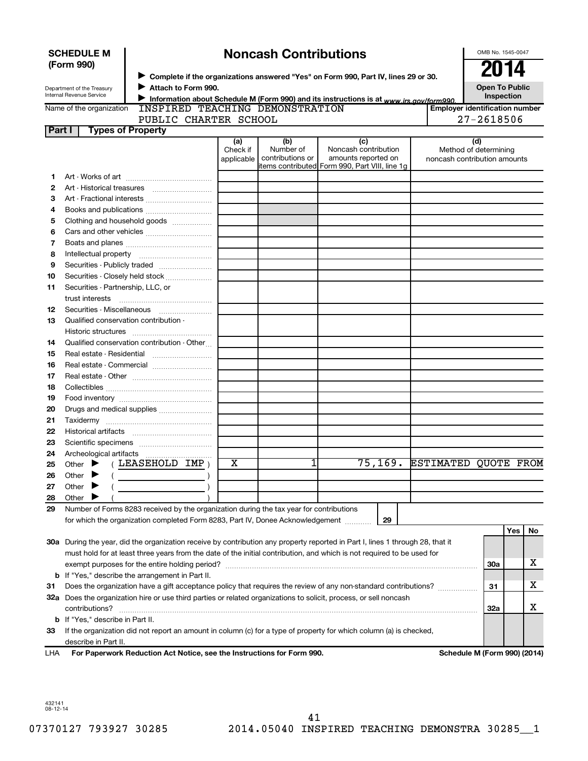|                     | <b>SCHEDULE M</b><br>(Form 990)<br>▶ Complete if the organizations answered "Yes" on Form 990, Part IV, lines 29 or 30.<br>Attach to Form 990.<br>Department of the Treasury<br>Internal Revenue Service<br>Information about Schedule M (Form 990) and its instructions is at www.irs.gov/form990.<br>INSPIRED TEACHING DEMONSTRATION<br>Name of the organization<br>PUBLIC CHARTER SCHOOL |                               | <b>Noncash Contributions</b>         |                                                                                                      | OMB No. 1545-0047<br>2014<br><b>Open To Public</b><br>Inspection<br><b>Employer identification number</b><br>$27 - 2618506$ |                                                              |  |
|---------------------|---------------------------------------------------------------------------------------------------------------------------------------------------------------------------------------------------------------------------------------------------------------------------------------------------------------------------------------------------------------------------------------------|-------------------------------|--------------------------------------|------------------------------------------------------------------------------------------------------|-----------------------------------------------------------------------------------------------------------------------------|--------------------------------------------------------------|--|
| Part I              | <b>Types of Property</b>                                                                                                                                                                                                                                                                                                                                                                    | (a)<br>Check if<br>applicable | (b)<br>Number of<br>contributions or | (c)<br>Noncash contribution<br>amounts reported on<br>items contributed Form 990, Part VIII, line 1q |                                                                                                                             | (d)<br>Method of determining<br>noncash contribution amounts |  |
| 1<br>2              |                                                                                                                                                                                                                                                                                                                                                                                             |                               |                                      |                                                                                                      |                                                                                                                             |                                                              |  |
| з<br>4              |                                                                                                                                                                                                                                                                                                                                                                                             |                               |                                      |                                                                                                      |                                                                                                                             |                                                              |  |
| 5<br>6              | Clothing and household goods                                                                                                                                                                                                                                                                                                                                                                |                               |                                      |                                                                                                      |                                                                                                                             |                                                              |  |
| $\overline{7}$<br>8 |                                                                                                                                                                                                                                                                                                                                                                                             |                               |                                      |                                                                                                      |                                                                                                                             |                                                              |  |
| 9<br>10             | Securities - Publicly traded<br>Securities - Closely held stock                                                                                                                                                                                                                                                                                                                             |                               |                                      |                                                                                                      |                                                                                                                             |                                                              |  |
| 11                  | Securities - Partnership, LLC, or                                                                                                                                                                                                                                                                                                                                                           |                               |                                      |                                                                                                      |                                                                                                                             |                                                              |  |
| 12<br>13            | Qualified conservation contribution -                                                                                                                                                                                                                                                                                                                                                       |                               |                                      |                                                                                                      |                                                                                                                             |                                                              |  |
| 14                  | Qualified conservation contribution - Other                                                                                                                                                                                                                                                                                                                                                 |                               |                                      |                                                                                                      |                                                                                                                             |                                                              |  |
| 15<br>16            | Real estate - Residential                                                                                                                                                                                                                                                                                                                                                                   |                               |                                      |                                                                                                      |                                                                                                                             |                                                              |  |
| 17<br>18            |                                                                                                                                                                                                                                                                                                                                                                                             |                               |                                      |                                                                                                      |                                                                                                                             |                                                              |  |
| 19<br>20            | Drugs and medical supplies                                                                                                                                                                                                                                                                                                                                                                  |                               |                                      |                                                                                                      |                                                                                                                             |                                                              |  |
| 21                  | Taxidermy                                                                                                                                                                                                                                                                                                                                                                                   |                               |                                      |                                                                                                      |                                                                                                                             |                                                              |  |

| 27  | Other                                                                                                                  |  |  |  |  |  |  |  |  |            |                                                                                                                            |   |  |  |  |     |     |
|-----|------------------------------------------------------------------------------------------------------------------------|--|--|--|--|--|--|--|--|------------|----------------------------------------------------------------------------------------------------------------------------|---|--|--|--|-----|-----|
| 28  | Other                                                                                                                  |  |  |  |  |  |  |  |  |            |                                                                                                                            |   |  |  |  |     |     |
| 29  | Number of Forms 8283 received by the organization during the tax year for contributions                                |  |  |  |  |  |  |  |  |            |                                                                                                                            |   |  |  |  |     |     |
|     | 29<br>for which the organization completed Form 8283, Part IV, Donee Acknowledgement                                   |  |  |  |  |  |  |  |  |            |                                                                                                                            |   |  |  |  |     |     |
|     |                                                                                                                        |  |  |  |  |  |  |  |  |            |                                                                                                                            |   |  |  |  | Yes | No. |
| 30a |                                                                                                                        |  |  |  |  |  |  |  |  |            | During the year, did the organization receive by contribution any property reported in Part I, lines 1 through 28, that it |   |  |  |  |     |     |
|     | must hold for at least three years from the date of the initial contribution, and which is not required to be used for |  |  |  |  |  |  |  |  |            |                                                                                                                            |   |  |  |  |     |     |
|     | exempt purposes for the entire holding period?                                                                         |  |  |  |  |  |  |  |  | <b>30a</b> |                                                                                                                            | x |  |  |  |     |     |
|     | <b>b</b> If "Yes," describe the arrangement in Part II.                                                                |  |  |  |  |  |  |  |  |            |                                                                                                                            |   |  |  |  |     |     |
| 31  | Does the organization have a gift acceptance policy that requires the review of any non-standard contributions?        |  |  |  |  |  |  |  |  | 31         |                                                                                                                            | х |  |  |  |     |     |
| 32a | Does the organization hire or use third parties or related organizations to solicit, process, or sell noncash          |  |  |  |  |  |  |  |  |            |                                                                                                                            |   |  |  |  |     |     |
|     | contributions?                                                                                                         |  |  |  |  |  |  |  |  | <b>32a</b> |                                                                                                                            | A |  |  |  |     |     |
|     | <b>b</b> If "Yes," describe in Part II.                                                                                |  |  |  |  |  |  |  |  |            |                                                                                                                            |   |  |  |  |     |     |
| 33  |                                                                                                                        |  |  |  |  |  |  |  |  |            | If the organization did not report an amount in column (c) for a type of property for which column (a) is checked,         |   |  |  |  |     |     |
|     | describe in Part II.                                                                                                   |  |  |  |  |  |  |  |  |            |                                                                                                                            |   |  |  |  |     |     |
|     |                                                                                                                        |  |  |  |  |  |  |  |  |            |                                                                                                                            |   |  |  |  |     |     |

**For Paperwork Reduction Act Notice, see the Instructions for Form 990. Schedule M (Form 990) (2014)** LHA

……………………………

 $($  LEASEHOLD IMP $)$ 

432141 08-12-14

X | 1 75,169. ESTIMATED QUOTE FROM

**22** Historical artifacts **was constructed 23** Scientific specimens ~~~~~~~~~~~

Other  $\blacktriangleright$  ( )

**24** Archeological artifacts

Other  $\blacktriangleright$ 

**25 26**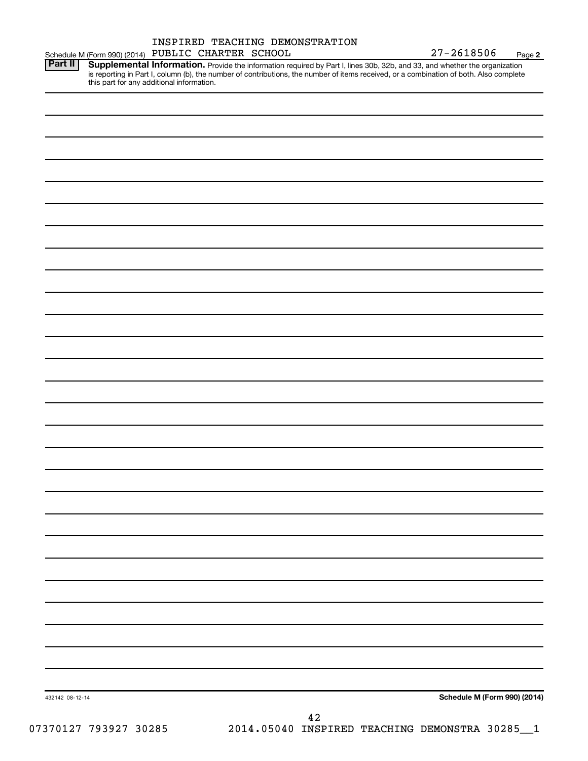## Schedule M (Form 990) (2014) Page PUBLIC CHARTER SCHOOL 27-2618506 INSPIRED TEACHING DEMONSTRATION

Provide the information required by Part I, lines 30b, 32b, and 33, and whether the organization is reporting in Part I, column (b), the number of contributions, the number of items received, or a combination of both. Also complete this part for any additional information. **Part II Supplemental Information.** 

| 432142 08-12-14       |                                                |          |  | <b>Schedule M (Form 990) (2014)</b> |
|-----------------------|------------------------------------------------|----------|--|-------------------------------------|
| 07370127 793927 30285 | 2014.05040 INSPIRED TEACHING DEMONSTRA 30285_1 | $\bf 42$ |  |                                     |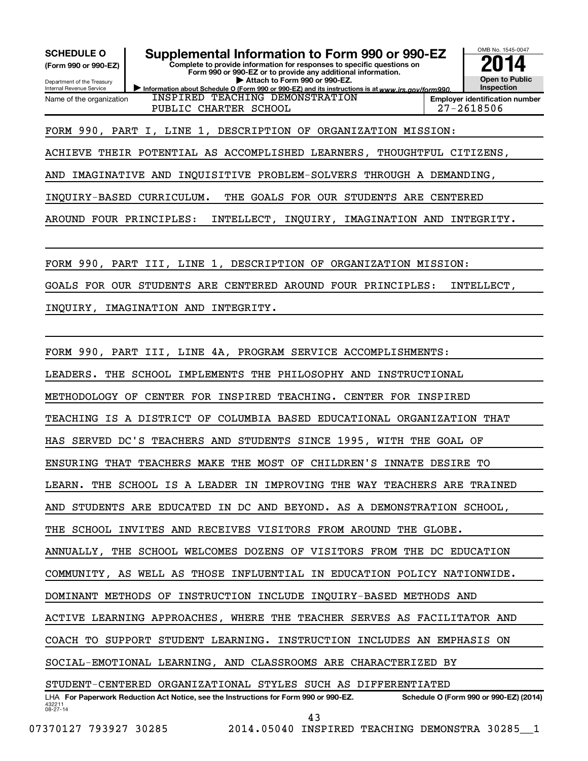OMB No. 1545-0047 Department of the Treasury Internal Revenue Service Information about Schedule O (Form 990 or 990-EZ) and its instructions is at www.irs.gov/form990. **Complete to provide information for responses to specific questions on Form 990 or 990-EZ or to provide any additional information. | Attach to Form 990 or 990-EZ. (Form 990 or 990-EZ) Open to Public Inspection Employer identification number** Name of the organization **SCHEDULE O Supplemental Information to Form 990 or 990-EZ 2014** INSPIRED TEACHING DEMONSTRATION PUBLIC CHARTER SCHOOL 27-2618506 FORM 990, PART I, LINE 1, DESCRIPTION OF ORGANIZATION MISSION: ACHIEVE THEIR POTENTIAL AS ACCOMPLISHED LEARNERS, THOUGHTFUL CITIZENS, AND IMAGINATIVE AND INQUISITIVE PROBLEM-SOLVERS THROUGH A DEMANDING, INQUIRY-BASED CURRICULUM. THE GOALS FOR OUR STUDENTS ARE CENTERED AROUND FOUR PRINCIPLES: INTELLECT, INQUIRY, IMAGINATION AND INTEGRITY.

FORM 990, PART III, LINE 1, DESCRIPTION OF ORGANIZATION MISSION: GOALS FOR OUR STUDENTS ARE CENTERED AROUND FOUR PRINCIPLES: INTELLECT, INQUIRY, IMAGINATION AND INTEGRITY.

FORM 990, PART III, LINE 4A, PROGRAM SERVICE ACCOMPLISHMENTS:

LEADERS. THE SCHOOL IMPLEMENTS THE PHILOSOPHY AND INSTRUCTIONAL

METHODOLOGY OF CENTER FOR INSPIRED TEACHING. CENTER FOR INSPIRED

TEACHING IS A DISTRICT OF COLUMBIA BASED EDUCATIONAL ORGANIZATION THAT

HAS SERVED DC'S TEACHERS AND STUDENTS SINCE 1995, WITH THE GOAL OF

ENSURING THAT TEACHERS MAKE THE MOST OF CHILDREN'S INNATE DESIRE TO

LEARN. THE SCHOOL IS A LEADER IN IMPROVING THE WAY TEACHERS ARE TRAINED

AND STUDENTS ARE EDUCATED IN DC AND BEYOND. AS A DEMONSTRATION SCHOOL,

THE SCHOOL INVITES AND RECEIVES VISITORS FROM AROUND THE GLOBE.

ANNUALLY, THE SCHOOL WELCOMES DOZENS OF VISITORS FROM THE DC EDUCATION

COMMUNITY, AS WELL AS THOSE INFLUENTIAL IN EDUCATION POLICY NATIONWIDE.

DOMINANT METHODS OF INSTRUCTION INCLUDE INQUIRY-BASED METHODS AND

ACTIVE LEARNING APPROACHES, WHERE THE TEACHER SERVES AS FACILITATOR AND

COACH TO SUPPORT STUDENT LEARNING. INSTRUCTION INCLUDES AN EMPHASIS ON

SOCIAL-EMOTIONAL LEARNING, AND CLASSROOMS ARE CHARACTERIZED BY

432211 08-27-14 **For Paperwork Reduction Act Notice, see the Instructions for Form 990 or 990-EZ. Schedule O (Form 990 or 990-EZ) (2014)** LHA STUDENT-CENTERED ORGANIZATIONAL STYLES SUCH AS DIFFERENTIATED 43

07370127 793927 30285 2014.05040 INSPIRED TEACHING DEMONSTRA 30285 1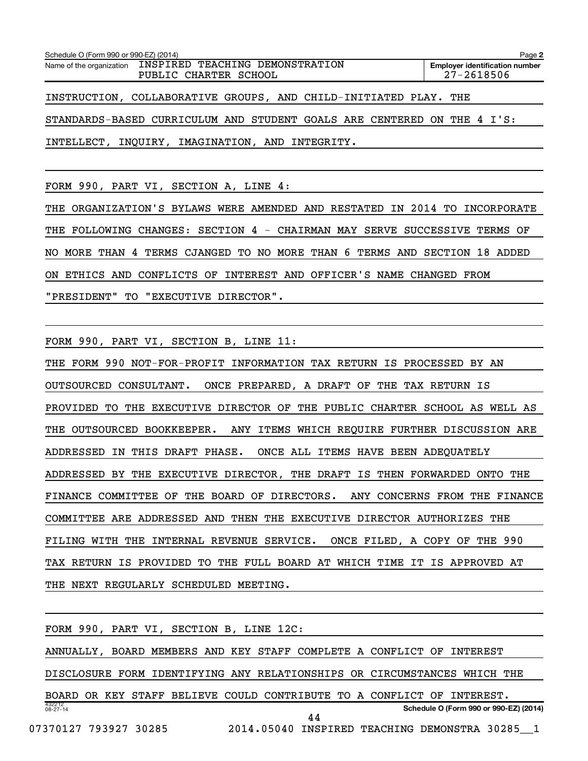| Schedule O (Form 990 or 990-EZ) (2014)<br>Page 2                        |  |  |                                                     |  |  |  |  |  |  |
|-------------------------------------------------------------------------|--|--|-----------------------------------------------------|--|--|--|--|--|--|
| Name of the organization INSPIRED TEACHING DEMONSTRATION                |  |  | <b>Employer identification number</b><br>27-2618506 |  |  |  |  |  |  |
| INSTRUCTION, COLLABORATIVE GROUPS, AND CHILD-INITIATED PLAY. THE        |  |  |                                                     |  |  |  |  |  |  |
| STANDARDS-BASED CURRICULUM AND STUDENT GOALS ARE CENTERED ON THE 4 I'S: |  |  |                                                     |  |  |  |  |  |  |

INTELLECT, INQUIRY, IMAGINATION, AND INTEGRITY.

FORM 990, PART VI, SECTION A, LINE 4:

THE ORGANIZATION'S BYLAWS WERE AMENDED AND RESTATED IN 2014 TO INCORPORATE THE FOLLOWING CHANGES: SECTION 4 - CHAIRMAN MAY SERVE SUCCESSIVE TERMS OF NO MORE THAN 4 TERMS CJANGED TO NO MORE THAN 6 TERMS AND SECTION 18 ADDED ON ETHICS AND CONFLICTS OF INTEREST AND OFFICER'S NAME CHANGED FROM "PRESIDENT" TO "EXECUTIVE DIRECTOR".

FORM 990, PART VI, SECTION B, LINE 11:

THE FORM 990 NOT-FOR-PROFIT INFORMATION TAX RETURN IS PROCESSED BY AN OUTSOURCED CONSULTANT. ONCE PREPARED, A DRAFT OF THE TAX RETURN IS PROVIDED TO THE EXECUTIVE DIRECTOR OF THE PUBLIC CHARTER SCHOOL AS WELL AS THE OUTSOURCED BOOKKEEPER. ANY ITEMS WHICH REQUIRE FURTHER DISCUSSION ARE ADDRESSED IN THIS DRAFT PHASE. ONCE ALL ITEMS HAVE BEEN ADEQUATELY ADDRESSED BY THE EXECUTIVE DIRECTOR, THE DRAFT IS THEN FORWARDED ONTO THE FINANCE COMMITTEE OF THE BOARD OF DIRECTORS. ANY CONCERNS FROM THE FINANCE COMMITTEE ARE ADDRESSED AND THEN THE EXECUTIVE DIRECTOR AUTHORIZES THE FILING WITH THE INTERNAL REVENUE SERVICE. ONCE FILED, A COPY OF THE 990 TAX RETURN IS PROVIDED TO THE FULL BOARD AT WHICH TIME IT IS APPROVED AT THE NEXT REGULARLY SCHEDULED MEETING.

432212 08-27-14 **Schedule O (Form 990 or 990-EZ) (2014)** FORM 990, PART VI, SECTION B, LINE 12C: ANNUALLY, BOARD MEMBERS AND KEY STAFF COMPLETE A CONFLICT OF INTEREST DISCLOSURE FORM IDENTIFYING ANY RELATIONSHIPS OR CIRCUMSTANCES WHICH THE BOARD OR KEY STAFF BELIEVE COULD CONTRIBUTE TO A CONFLICT OF INTEREST. 07370127 793927 30285 2014.05040 INSPIRED TEACHING DEMONSTRA 30285 1 44